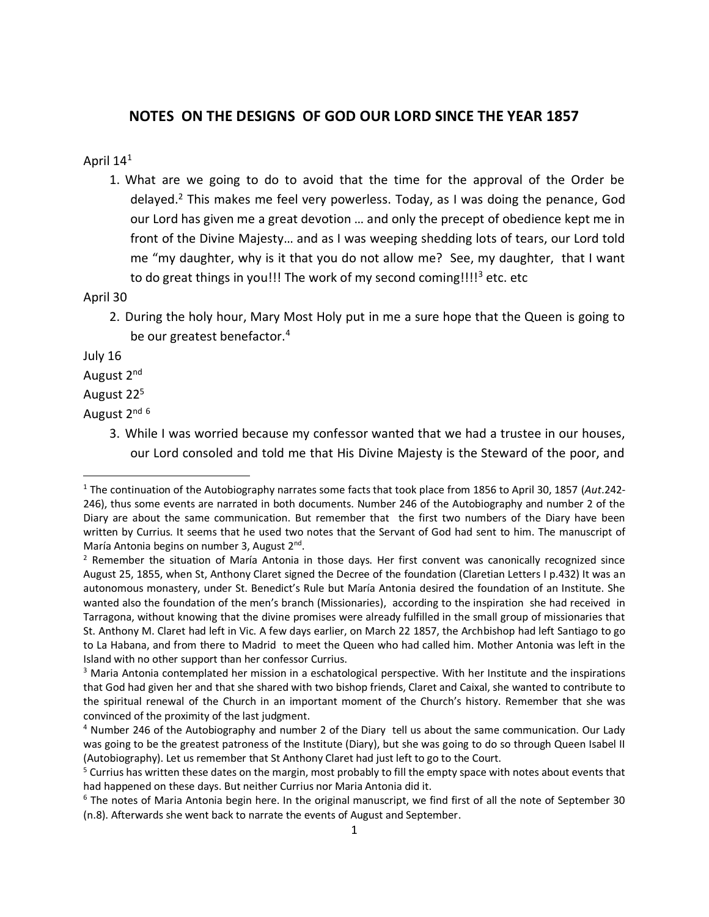# **NOTES ON THE DESIGNS OF GOD OUR LORD SINCE THE YEAR 1857**

## April 14<sup>1</sup>

1. What are we going to do to avoid that the time for the approval of the Order be delayed.<sup>2</sup> This makes me feel very powerless. Today, as I was doing the penance, God our Lord has given me a great devotion … and only the precept of obedience kept me in front of the Divine Majesty… and as I was weeping shedding lots of tears, our Lord told me "my daughter, why is it that you do not allow me? See, my daughter, that I want to do great things in you!!! The work of my second coming!!!!<sup>3</sup> etc. etc

### April 30

2. During the holy hour, Mary Most Holy put in me a sure hope that the Queen is going to be our greatest benefactor. 4

July 16

 $\overline{a}$ 

August 2nd

## August 22<sup>5</sup>

August 2<sup>nd 6</sup>

3. While I was worried because my confessor wanted that we had a trustee in our houses, our Lord consoled and told me that His Divine Majesty is the Steward of the poor, and

<sup>1</sup> The continuation of the Autobiography narrates some facts that took place from 1856 to April 30, 1857 (*Aut*.242- 246), thus some events are narrated in both documents. Number 246 of the Autobiography and number 2 of the Diary are about the same communication. But remember that the first two numbers of the Diary have been written by Currius. It seems that he used two notes that the Servant of God had sent to him. The manuscript of María Antonia begins on number 3, August 2<sup>nd</sup>.

 $<sup>2</sup>$  Remember the situation of María Antonia in those days. Her first convent was canonically recognized since</sup> August 25, 1855, when St, Anthony Claret signed the Decree of the foundation (Claretian Letters I p.432) It was an autonomous monastery, under St. Benedict's Rule but María Antonia desired the foundation of an Institute. She wanted also the foundation of the men's branch (Missionaries), according to the inspiration she had received in Tarragona, without knowing that the divine promises were already fulfilled in the small group of missionaries that St. Anthony M. Claret had left in Vic. A few days earlier, on March 22 1857, the Archbishop had left Santiago to go to La Habana, and from there to Madrid to meet the Queen who had called him. Mother Antonia was left in the Island with no other support than her confessor Currius.

<sup>&</sup>lt;sup>3</sup> Maria Antonia contemplated her mission in a eschatological perspective. With her Institute and the inspirations that God had given her and that she shared with two bishop friends, Claret and Caixal, she wanted to contribute to the spiritual renewal of the Church in an important moment of the Church's history. Remember that she was convinced of the proximity of the last judgment.

<sup>4</sup> Number 246 of the Autobiography and number 2 of the Diary tell us about the same communication. Our Lady was going to be the greatest patroness of the Institute (Diary), but she was going to do so through Queen Isabel II (Autobiography). Let us remember that St Anthony Claret had just left to go to the Court.

<sup>&</sup>lt;sup>5</sup> Currius has written these dates on the margin, most probably to fill the empty space with notes about events that had happened on these days. But neither Currius nor Maria Antonia did it.

<sup>&</sup>lt;sup>6</sup> The notes of Maria Antonia begin here. In the original manuscript, we find first of all the note of September 30 (n.8). Afterwards she went back to narrate the events of August and September.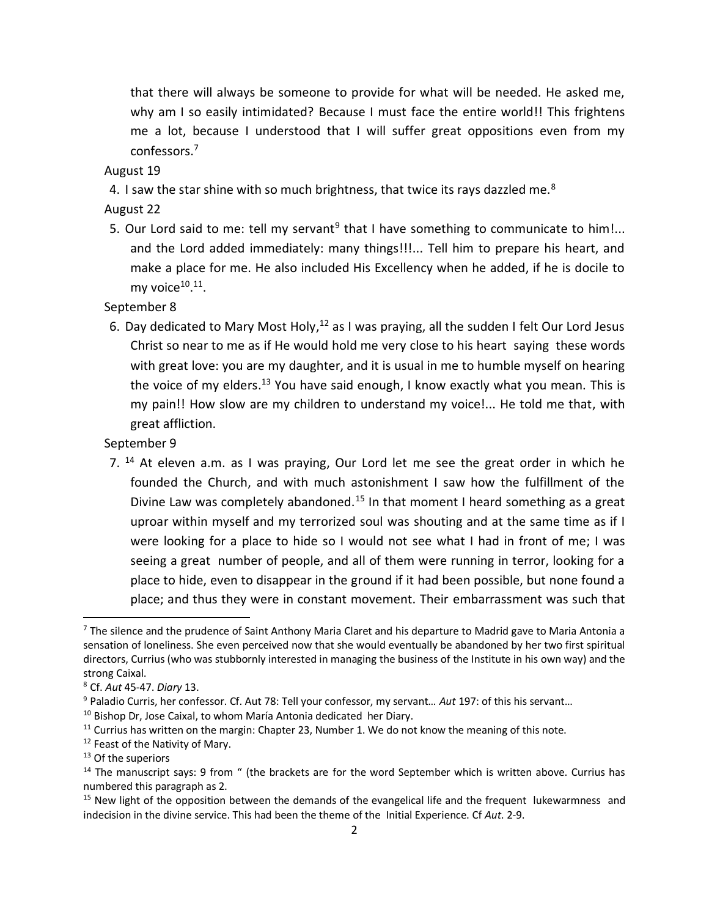that there will always be someone to provide for what will be needed. He asked me, why am I so easily intimidated? Because I must face the entire world!! This frightens me a lot, because I understood that I will suffer great oppositions even from my confessors.<sup>7</sup>

August 19

4. I saw the star shine with so much brightness, that twice its rays dazzled me.<sup>8</sup>

August 22

5. Our Lord said to me: tell my servant<sup>9</sup> that I have something to communicate to him!... and the Lord added immediately: many things!!!... Tell him to prepare his heart, and make a place for me. He also included His Excellency when he added, if he is docile to my voice $^{10.11}$ .

September 8

6. Day dedicated to Mary Most Holy,<sup>12</sup> as I was praying, all the sudden I felt Our Lord Jesus Christ so near to me as if He would hold me very close to his heart saying these words with great love: you are my daughter, and it is usual in me to humble myself on hearing the voice of my elders.<sup>13</sup> You have said enough, I know exactly what you mean. This is my pain!! How slow are my children to understand my voice!... He told me that, with great affliction.

September 9

7.  $14$  At eleven a.m. as I was praying, Our Lord let me see the great order in which he founded the Church, and with much astonishment I saw how the fulfillment of the Divine Law was completely abandoned.<sup>15</sup> In that moment I heard something as a great uproar within myself and my terrorized soul was shouting and at the same time as if I were looking for a place to hide so I would not see what I had in front of me; I was seeing a great number of people, and all of them were running in terror, looking for a place to hide, even to disappear in the ground if it had been possible, but none found a place; and thus they were in constant movement. Their embarrassment was such that

 $7$  The silence and the prudence of Saint Anthony Maria Claret and his departure to Madrid gave to Maria Antonia a sensation of loneliness. She even perceived now that she would eventually be abandoned by her two first spiritual directors, Currius (who was stubbornly interested in managing the business of the Institute in his own way) and the strong Caixal.

<sup>8</sup> Cf. *Aut* 45-47. *Diary* 13.

<sup>9</sup> Paladio Curris, her confessor. Cf. Aut 78: Tell your confessor, my servant… *Aut* 197: of this his servant…

<sup>&</sup>lt;sup>10</sup> Bishop Dr, Jose Caixal, to whom María Antonia dedicated her Diary.

 $11$  Currius has written on the margin: Chapter 23, Number 1. We do not know the meaning of this note.

<sup>&</sup>lt;sup>12</sup> Feast of the Nativity of Mary.

<sup>&</sup>lt;sup>13</sup> Of the superiors

 $14$  The manuscript says: 9 from " (the brackets are for the word September which is written above. Currius has numbered this paragraph as 2.

 $15$  New light of the opposition between the demands of the evangelical life and the frequent lukewarmness and indecision in the divine service. This had been the theme of the Initial Experience. Cf *Aut*. 2-9.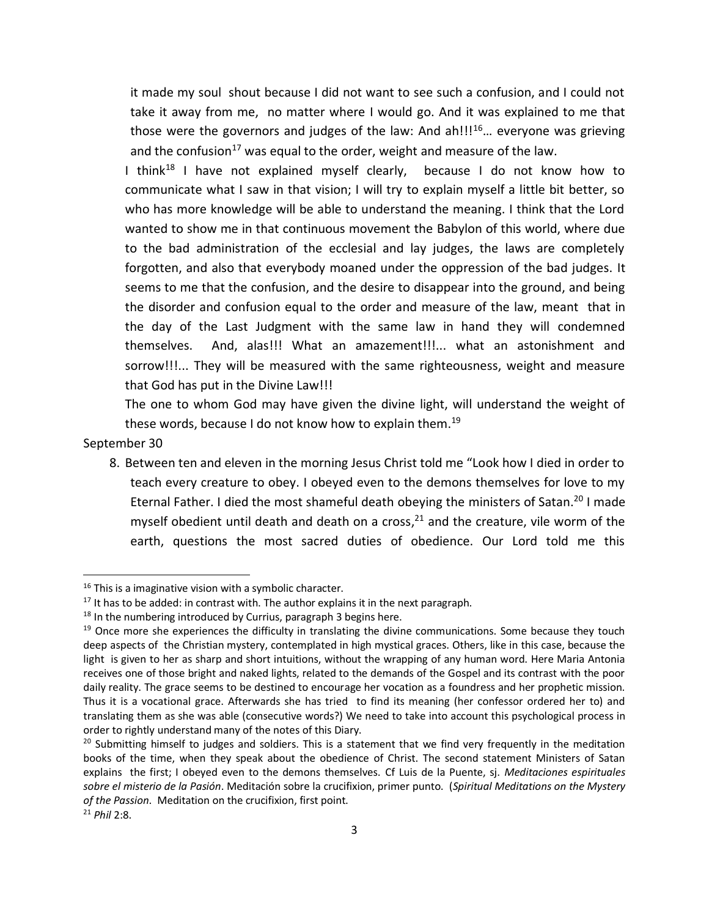it made my soul shout because I did not want to see such a confusion, and I could not take it away from me, no matter where I would go. And it was explained to me that those were the governors and judges of the law: And ah!!! $16$ ... everyone was grieving and the confusion<sup>17</sup> was equal to the order, weight and measure of the law.

I think<sup>18</sup> I have not explained myself clearly, because I do not know how to communicate what I saw in that vision; I will try to explain myself a little bit better, so who has more knowledge will be able to understand the meaning. I think that the Lord wanted to show me in that continuous movement the Babylon of this world, where due to the bad administration of the ecclesial and lay judges, the laws are completely forgotten, and also that everybody moaned under the oppression of the bad judges. It seems to me that the confusion, and the desire to disappear into the ground, and being the disorder and confusion equal to the order and measure of the law, meant that in the day of the Last Judgment with the same law in hand they will condemned themselves. And, alas!!! What an amazement!!!... what an astonishment and sorrow!!!... They will be measured with the same righteousness, weight and measure that God has put in the Divine Law!!!

The one to whom God may have given the divine light, will understand the weight of these words, because I do not know how to explain them.<sup>19</sup>

### September 30

 $\overline{a}$ 

8. Between ten and eleven in the morning Jesus Christ told me "Look how I died in order to teach every creature to obey. I obeyed even to the demons themselves for love to my Eternal Father. I died the most shameful death obeying the ministers of Satan.<sup>20</sup> I made myself obedient until death and death on a cross, $^{21}$  and the creature, vile worm of the earth, questions the most sacred duties of obedience. Our Lord told me this

<sup>&</sup>lt;sup>16</sup> This is a imaginative vision with a symbolic character.

 $17$  It has to be added: in contrast with. The author explains it in the next paragraph.

 $18$  In the numbering introduced by Currius, paragraph 3 begins here.

 $19$  Once more she experiences the difficulty in translating the divine communications. Some because they touch deep aspects of the Christian mystery, contemplated in high mystical graces. Others, like in this case, because the light is given to her as sharp and short intuitions, without the wrapping of any human word. Here Maria Antonia receives one of those bright and naked lights, related to the demands of the Gospel and its contrast with the poor daily reality. The grace seems to be destined to encourage her vocation as a foundress and her prophetic mission. Thus it is a vocational grace. Afterwards she has tried to find its meaning (her confessor ordered her to) and translating them as she was able (consecutive words?) We need to take into account this psychological process in order to rightly understand many of the notes of this Diary.

 $20$  Submitting himself to judges and soldiers. This is a statement that we find very frequently in the meditation books of the time, when they speak about the obedience of Christ. The second statement Ministers of Satan explains the first; I obeyed even to the demons themselves. Cf Luis de la Puente, sj. *Meditaciones espirituales sobre el misterio de la Pasión*. Meditación sobre la crucifixion, primer punto. (*Spiritual Meditations on the Mystery of the Passion*. Meditation on the crucifixion, first point.

<sup>21</sup> *Phil* 2:8.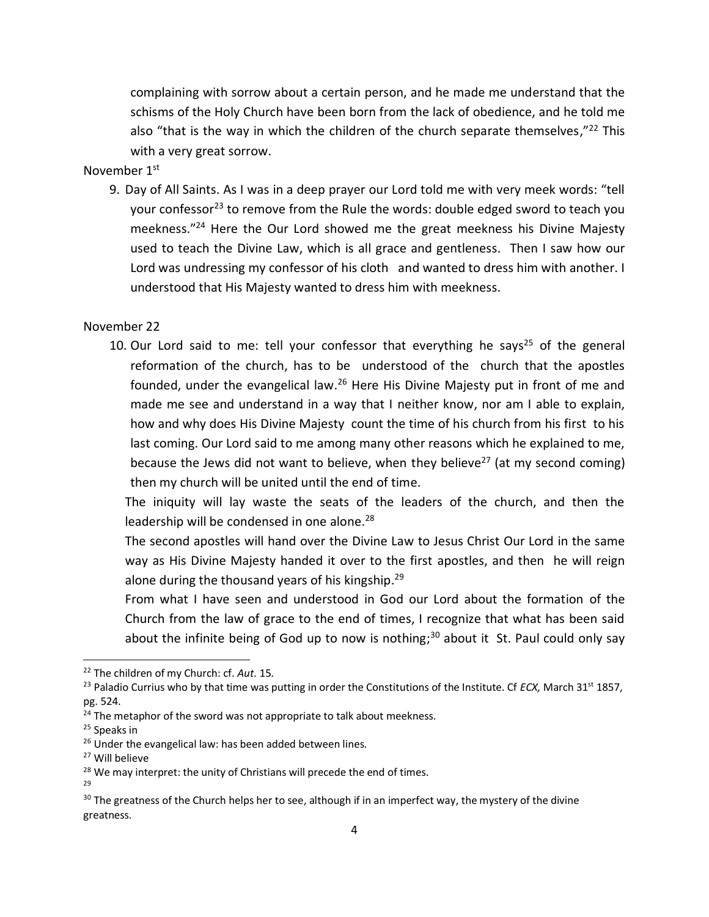complaining with sorrow about a certain person, and he made me understand that the schisms of the Holy Church have been born from the lack of obedience, and he told me also "that is the way in which the children of the church separate themselves,"<sup>22</sup> This with a very great sorrow.

## November 1st

9. Day of All Saints. As I was in a deep prayer our Lord told me with very meek words: "tell your confessor<sup>23</sup> to remove from the Rule the words: double edged sword to teach you meekness." <sup>24</sup> Here the Our Lord showed me the great meekness his Divine Majesty used to teach the Divine Law, which is all grace and gentleness. Then I saw how our Lord was undressing my confessor of his cloth and wanted to dress him with another. I understood that His Majesty wanted to dress him with meekness.

### November 22

10. Our Lord said to me: tell your confessor that everything he says<sup>25</sup> of the general reformation of the church, has to be understood of the church that the apostles founded, under the evangelical law.<sup>26</sup> Here His Divine Majesty put in front of me and made me see and understand in a way that I neither know, nor am I able to explain, how and why does His Divine Majesty count the time of his church from his first to his last coming. Our Lord said to me among many other reasons which he explained to me, because the Jews did not want to believe, when they believe<sup>27</sup> (at my second coming) then my church will be united until the end of time.

The iniquity will lay waste the seats of the leaders of the church, and then the leadership will be condensed in one alone.<sup>28</sup>

The second apostles will hand over the Divine Law to Jesus Christ Our Lord in the same way as His Divine Majesty handed it over to the first apostles, and then he will reign alone during the thousand years of his kingship.<sup>29</sup>

From what I have seen and understood in God our Lord about the formation of the Church from the law of grace to the end of times, I recognize that what has been said about the infinite being of God up to now is nothing;<sup>30</sup> about it St. Paul could only say

29

<sup>22</sup> The children of my Church: cf. *Aut*. 15.

<sup>&</sup>lt;sup>23</sup> Paladio Currius who by that time was putting in order the Constitutions of the Institute. Cf *ECX*, March 31<sup>st</sup> 1857, pg. 524.

 $24$  The metaphor of the sword was not appropriate to talk about meekness.

<sup>&</sup>lt;sup>25</sup> Speaks in

<sup>&</sup>lt;sup>26</sup> Under the evangelical law: has been added between lines.

<sup>27</sup> Will believe

<sup>&</sup>lt;sup>28</sup> We may interpret: the unity of Christians will precede the end of times.

 $30$  The greatness of the Church helps her to see, although if in an imperfect way, the mystery of the divine greatness.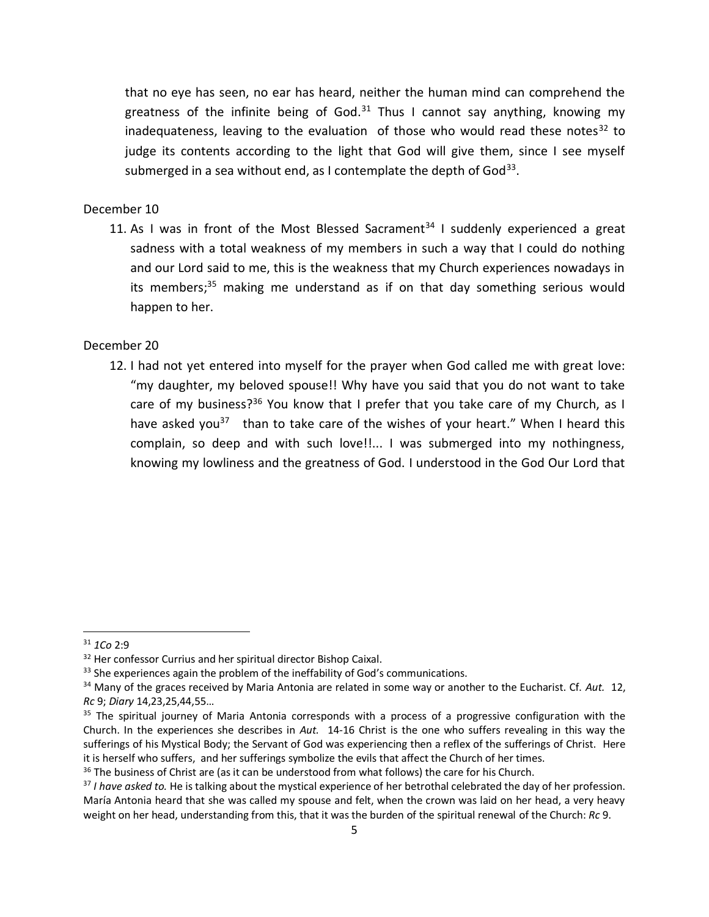that no eye has seen, no ear has heard, neither the human mind can comprehend the greatness of the infinite being of God.<sup>31</sup> Thus I cannot say anything, knowing my inadequateness, leaving to the evaluation of those who would read these notes<sup>32</sup> to judge its contents according to the light that God will give them, since I see myself submerged in a sea without end, as I contemplate the depth of God<sup>33</sup>.

## December 10

11. As I was in front of the Most Blessed Sacrament<sup>34</sup> I suddenly experienced a great sadness with a total weakness of my members in such a way that I could do nothing and our Lord said to me, this is the weakness that my Church experiences nowadays in its members;<sup>35</sup> making me understand as if on that day something serious would happen to her.

## December 20

12. I had not yet entered into myself for the prayer when God called me with great love: "my daughter, my beloved spouse!! Why have you said that you do not want to take care of my business?<sup>36</sup> You know that I prefer that you take care of my Church, as I have asked you<sup>37</sup> than to take care of the wishes of your heart." When I heard this complain, so deep and with such love!!... I was submerged into my nothingness, knowing my lowliness and the greatness of God. I understood in the God Our Lord that

<sup>31</sup> *1Co* 2:9

<sup>&</sup>lt;sup>32</sup> Her confessor Currius and her spiritual director Bishop Caixal.

<sup>&</sup>lt;sup>33</sup> She experiences again the problem of the ineffability of God's communications.

<sup>34</sup> Many of the graces received by Maria Antonia are related in some way or another to the Eucharist. Cf. *Aut.* 12, *Rc* 9; *Diary* 14,23,25,44,55…

<sup>&</sup>lt;sup>35</sup> The spiritual journey of Maria Antonia corresponds with a process of a progressive configuration with the Church. In the experiences she describes in *Aut.* 14-16 Christ is the one who suffers revealing in this way the sufferings of his Mystical Body; the Servant of God was experiencing then a reflex of the sufferings of Christ. Here it is herself who suffers, and her sufferings symbolize the evils that affect the Church of her times.

 $36$  The business of Christ are (as it can be understood from what follows) the care for his Church.

<sup>&</sup>lt;sup>37</sup> *I have asked to.* He is talking about the mystical experience of her betrothal celebrated the day of her profession. María Antonia heard that she was called my spouse and felt, when the crown was laid on her head, a very heavy weight on her head, understanding from this, that it was the burden of the spiritual renewal of the Church: *Rc* 9.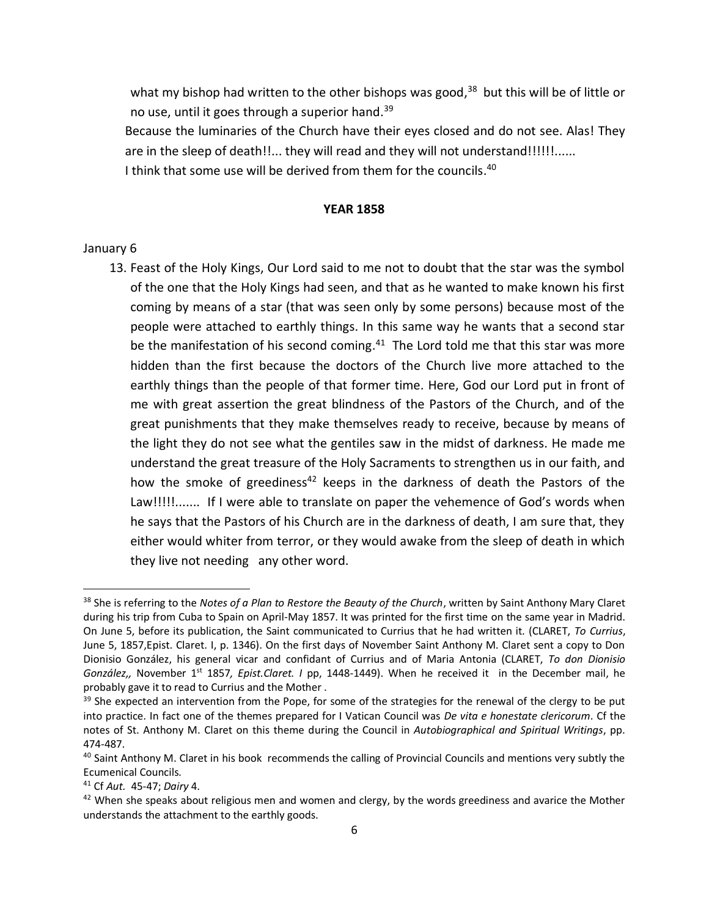what my bishop had written to the other bishops was good,<sup>38</sup> but this will be of little or no use, until it goes through a superior hand.<sup>39</sup>

Because the luminaries of the Church have their eyes closed and do not see. Alas! They are in the sleep of death!!... they will read and they will not understand!!!!!!...... I think that some use will be derived from them for the councils.<sup>40</sup>

#### **YEAR 1858**

### January 6

 $\overline{\phantom{a}}$ 

13. Feast of the Holy Kings, Our Lord said to me not to doubt that the star was the symbol of the one that the Holy Kings had seen, and that as he wanted to make known his first coming by means of a star (that was seen only by some persons) because most of the people were attached to earthly things. In this same way he wants that a second star be the manifestation of his second coming.<sup>41</sup> The Lord told me that this star was more hidden than the first because the doctors of the Church live more attached to the earthly things than the people of that former time. Here, God our Lord put in front of me with great assertion the great blindness of the Pastors of the Church, and of the great punishments that they make themselves ready to receive, because by means of the light they do not see what the gentiles saw in the midst of darkness. He made me understand the great treasure of the Holy Sacraments to strengthen us in our faith, and how the smoke of greediness<sup>42</sup> keeps in the darkness of death the Pastors of the Law!!!!!........ If I were able to translate on paper the vehemence of God's words when he says that the Pastors of his Church are in the darkness of death, I am sure that, they either would whiter from terror, or they would awake from the sleep of death in which they live not needing any other word.

<sup>38</sup> She is referring to the *Notes of a Plan to Restore the Beauty of the Church*, written by Saint Anthony Mary Claret during his trip from Cuba to Spain on April-May 1857. It was printed for the first time on the same year in Madrid. On June 5, before its publication, the Saint communicated to Currius that he had written it. (CLARET, *To Currius*, June 5, 1857,Epist. Claret. I, p. 1346). On the first days of November Saint Anthony M. Claret sent a copy to Don Dionisio González, his general vicar and confidant of Currius and of Maria Antonia (CLARET, *To don Dionisio González,, November 1<sup>st</sup> 1857, Epist.Claret. I pp, 1448-1449)*. When he received it in the December mail, he probably gave it to read to Currius and the Mother .

 $39$  She expected an intervention from the Pope, for some of the strategies for the renewal of the clergy to be put into practice. In fact one of the themes prepared for I Vatican Council was *De vita e honestate clericorum*. Cf the notes of St. Anthony M. Claret on this theme during the Council in *Autobiographical and Spiritual Writings*, pp. 474-487.

<sup>&</sup>lt;sup>40</sup> Saint Anthony M. Claret in his book recommends the calling of Provincial Councils and mentions very subtly the Ecumenical Councils.

<sup>41</sup> Cf *Aut.* 45-47; *Dairy* 4.

 $42$  When she speaks about religious men and women and clergy, by the words greediness and avarice the Mother understands the attachment to the earthly goods.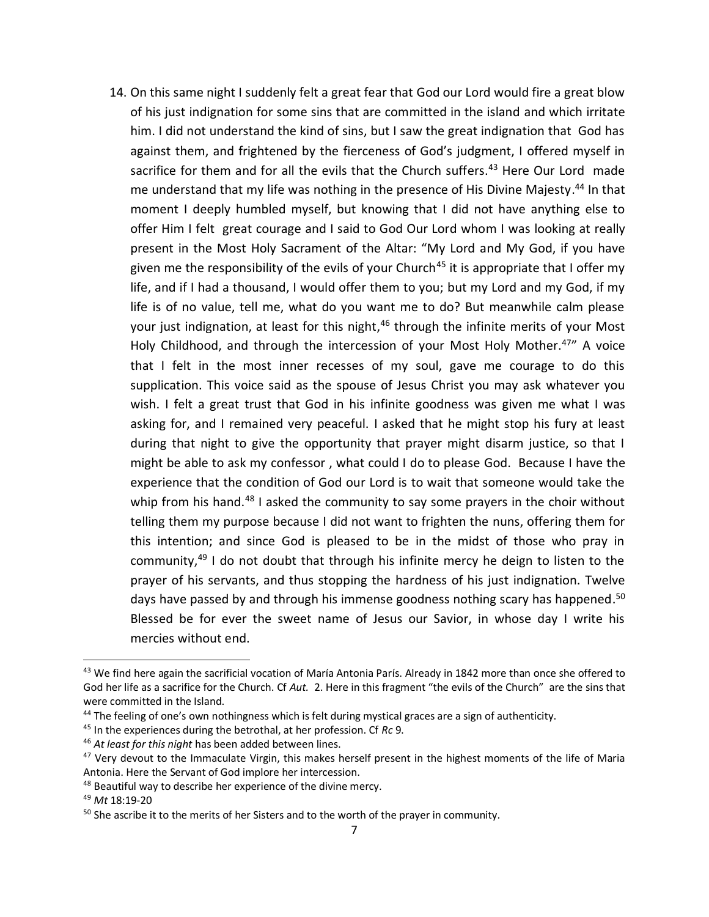14. On this same night I suddenly felt a great fear that God our Lord would fire a great blow of his just indignation for some sins that are committed in the island and which irritate him. I did not understand the kind of sins, but I saw the great indignation that God has against them, and frightened by the fierceness of God's judgment, I offered myself in sacrifice for them and for all the evils that the Church suffers.<sup>43</sup> Here Our Lord made me understand that my life was nothing in the presence of His Divine Majesty. <sup>44</sup> In that moment I deeply humbled myself, but knowing that I did not have anything else to offer Him I felt great courage and I said to God Our Lord whom I was looking at really present in the Most Holy Sacrament of the Altar: "My Lord and My God, if you have given me the responsibility of the evils of your Church<sup>45</sup> it is appropriate that I offer my life, and if I had a thousand, I would offer them to you; but my Lord and my God, if my life is of no value, tell me, what do you want me to do? But meanwhile calm please your just indignation, at least for this night,<sup>46</sup> through the infinite merits of your Most Holy Childhood, and through the intercession of your Most Holy Mother.<sup>47</sup>" A voice that I felt in the most inner recesses of my soul, gave me courage to do this supplication. This voice said as the spouse of Jesus Christ you may ask whatever you wish. I felt a great trust that God in his infinite goodness was given me what I was asking for, and I remained very peaceful. I asked that he might stop his fury at least during that night to give the opportunity that prayer might disarm justice, so that I might be able to ask my confessor , what could I do to please God. Because I have the experience that the condition of God our Lord is to wait that someone would take the whip from his hand.<sup>48</sup> I asked the community to say some prayers in the choir without telling them my purpose because I did not want to frighten the nuns, offering them for this intention; and since God is pleased to be in the midst of those who pray in community, <sup>49</sup> I do not doubt that through his infinite mercy he deign to listen to the prayer of his servants, and thus stopping the hardness of his just indignation. Twelve days have passed by and through his immense goodness nothing scary has happened.<sup>50</sup> Blessed be for ever the sweet name of Jesus our Savior, in whose day I write his mercies without end.

<sup>&</sup>lt;sup>43</sup> We find here again the sacrificial vocation of María Antonia París. Already in 1842 more than once she offered to God her life as a sacrifice for the Church. Cf *Aut.* 2. Here in this fragment "the evils of the Church" are the sins that were committed in the Island.

<sup>&</sup>lt;sup>44</sup> The feeling of one's own nothingness which is felt during mystical graces are a sign of authenticity.

<sup>45</sup> In the experiences during the betrothal, at her profession. Cf *Rc* 9.

<sup>46</sup> *At least for this night* has been added between lines.

<sup>&</sup>lt;sup>47</sup> Very devout to the Immaculate Virgin, this makes herself present in the highest moments of the life of Maria Antonia. Here the Servant of God implore her intercession.

<sup>48</sup> Beautiful way to describe her experience of the divine mercy.

<sup>49</sup> *Mt* 18:19-20

<sup>&</sup>lt;sup>50</sup> She ascribe it to the merits of her Sisters and to the worth of the prayer in community.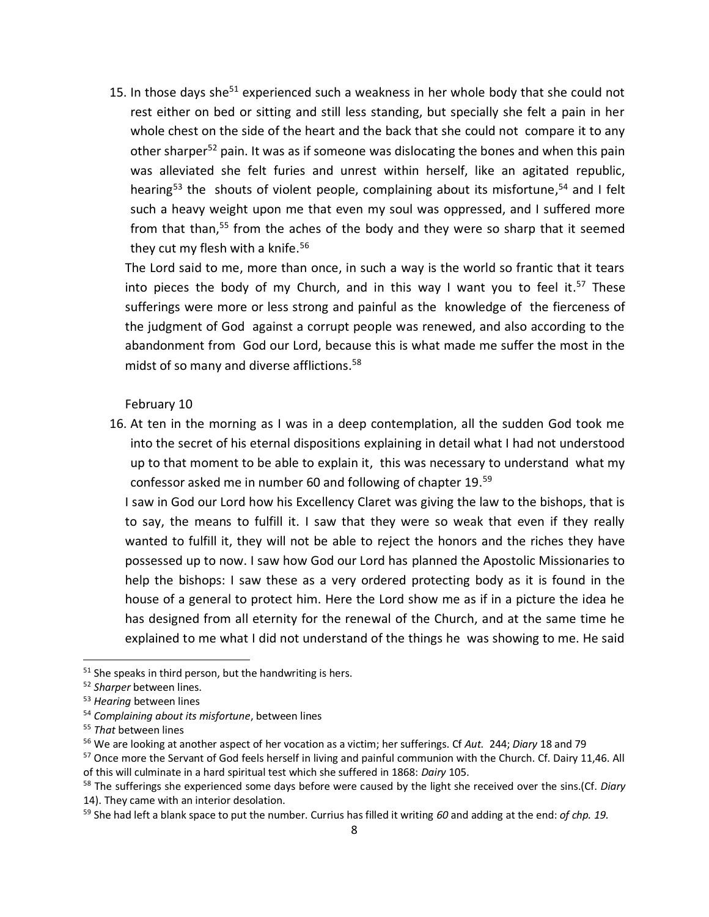15. In those days she<sup>51</sup> experienced such a weakness in her whole body that she could not rest either on bed or sitting and still less standing, but specially she felt a pain in her whole chest on the side of the heart and the back that she could not compare it to any other sharper<sup>52</sup> pain. It was as if someone was dislocating the bones and when this pain was alleviated she felt furies and unrest within herself, like an agitated republic, hearing<sup>53</sup> the shouts of violent people, complaining about its misfortune,<sup>54</sup> and I felt such a heavy weight upon me that even my soul was oppressed, and I suffered more from that than,<sup>55</sup> from the aches of the body and they were so sharp that it seemed they cut my flesh with a knife.<sup>56</sup>

The Lord said to me, more than once, in such a way is the world so frantic that it tears into pieces the body of my Church, and in this way I want you to feel it.<sup>57</sup> These sufferings were more or less strong and painful as the knowledge of the fierceness of the judgment of God against a corrupt people was renewed, and also according to the abandonment from God our Lord, because this is what made me suffer the most in the midst of so many and diverse afflictions. 58

February 10

16. At ten in the morning as I was in a deep contemplation, all the sudden God took me into the secret of his eternal dispositions explaining in detail what I had not understood up to that moment to be able to explain it, this was necessary to understand what my confessor asked me in number 60 and following of chapter 19. 59

I saw in God our Lord how his Excellency Claret was giving the law to the bishops, that is to say, the means to fulfill it. I saw that they were so weak that even if they really wanted to fulfill it, they will not be able to reject the honors and the riches they have possessed up to now. I saw how God our Lord has planned the Apostolic Missionaries to help the bishops: I saw these as a very ordered protecting body as it is found in the house of a general to protect him. Here the Lord show me as if in a picture the idea he has designed from all eternity for the renewal of the Church, and at the same time he explained to me what I did not understand of the things he was showing to me. He said

 $51$  She speaks in third person, but the handwriting is hers.

<sup>52</sup> *Sharper* between lines.

<sup>53</sup> *Hearing* between lines

<sup>54</sup> *Complaining about its misfortune*, between lines

<sup>55</sup> *That* between lines

<sup>56</sup> We are looking at another aspect of her vocation as a victim; her sufferings. Cf *Aut.* 244; *Diary* 18 and 79

<sup>&</sup>lt;sup>57</sup> Once more the Servant of God feels herself in living and painful communion with the Church. Cf. Dairy 11,46. All of this will culminate in a hard spiritual test which she suffered in 1868: *Dairy* 105.

<sup>58</sup> The sufferings she experienced some days before were caused by the light she received over the sins.(Cf. *Diary*  14). They came with an interior desolation.

<sup>59</sup> She had left a blank space to put the number. Currius has filled it writing *60* and adding at the end: *of chp. 19.*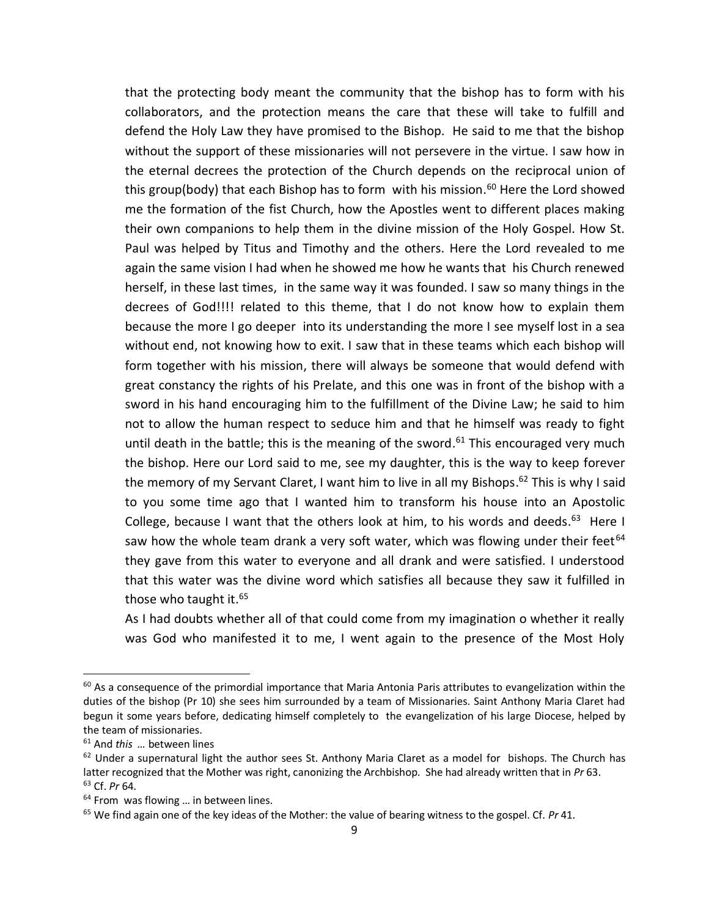that the protecting body meant the community that the bishop has to form with his collaborators, and the protection means the care that these will take to fulfill and defend the Holy Law they have promised to the Bishop. He said to me that the bishop without the support of these missionaries will not persevere in the virtue. I saw how in the eternal decrees the protection of the Church depends on the reciprocal union of this group(body) that each Bishop has to form with his mission.<sup>60</sup> Here the Lord showed me the formation of the fist Church, how the Apostles went to different places making their own companions to help them in the divine mission of the Holy Gospel. How St. Paul was helped by Titus and Timothy and the others. Here the Lord revealed to me again the same vision I had when he showed me how he wants that his Church renewed herself, in these last times, in the same way it was founded. I saw so many things in the decrees of God!!!! related to this theme, that I do not know how to explain them because the more I go deeper into its understanding the more I see myself lost in a sea without end, not knowing how to exit. I saw that in these teams which each bishop will form together with his mission, there will always be someone that would defend with great constancy the rights of his Prelate, and this one was in front of the bishop with a sword in his hand encouraging him to the fulfillment of the Divine Law; he said to him not to allow the human respect to seduce him and that he himself was ready to fight until death in the battle; this is the meaning of the sword.<sup>61</sup> This encouraged very much the bishop. Here our Lord said to me, see my daughter, this is the way to keep forever the memory of my Servant Claret, I want him to live in all my Bishops.<sup>62</sup> This is why I said to you some time ago that I wanted him to transform his house into an Apostolic College, because I want that the others look at him, to his words and deeds.<sup>63</sup> Here I saw how the whole team drank a very soft water, which was flowing under their feet $64$ they gave from this water to everyone and all drank and were satisfied. I understood that this water was the divine word which satisfies all because they saw it fulfilled in those who taught it. 65

As I had doubts whether all of that could come from my imagination o whether it really was God who manifested it to me, I went again to the presence of the Most Holy

 $60$  As a consequence of the primordial importance that Maria Antonia Paris attributes to evangelization within the duties of the bishop (Pr 10) she sees him surrounded by a team of Missionaries. Saint Anthony Maria Claret had begun it some years before, dedicating himself completely to the evangelization of his large Diocese, helped by the team of missionaries.

<sup>61</sup> And *this …* between lines

<sup>&</sup>lt;sup>62</sup> Under a supernatural light the author sees St. Anthony Maria Claret as a model for bishops. The Church has latter recognized that the Mother was right, canonizing the Archbishop. She had already written that in *Pr* 63. <sup>63</sup> Cf. *Pr* 64.

 $64$  From was flowing ... in between lines.

<sup>65</sup> We find again one of the key ideas of the Mother: the value of bearing witness to the gospel. Cf. *Pr* 41.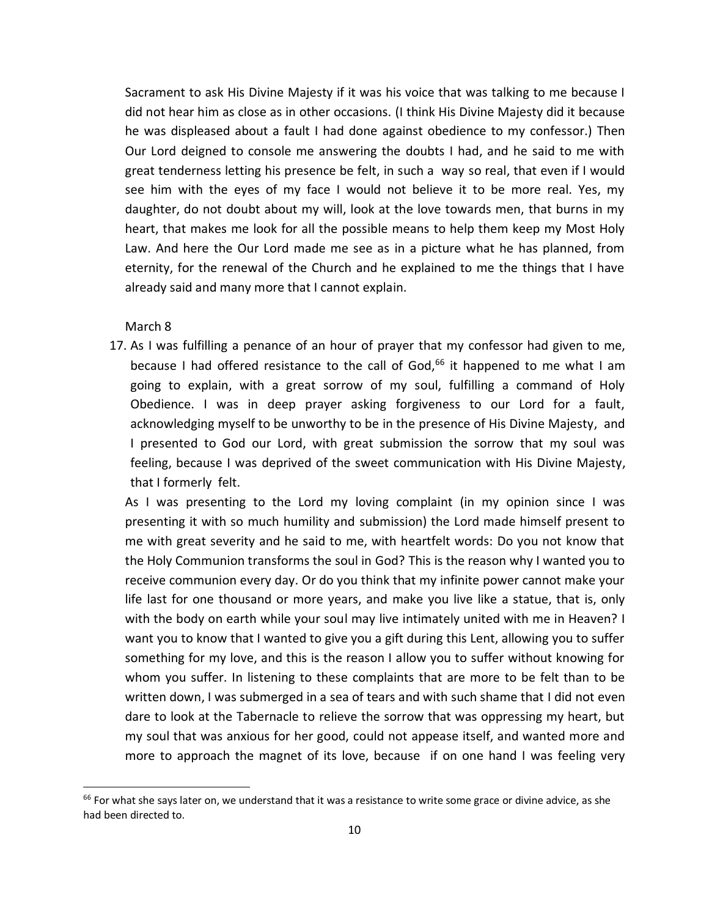Sacrament to ask His Divine Majesty if it was his voice that was talking to me because I did not hear him as close as in other occasions. (I think His Divine Majesty did it because he was displeased about a fault I had done against obedience to my confessor.) Then Our Lord deigned to console me answering the doubts I had, and he said to me with great tenderness letting his presence be felt, in such a way so real, that even if I would see him with the eyes of my face I would not believe it to be more real. Yes, my daughter, do not doubt about my will, look at the love towards men, that burns in my heart, that makes me look for all the possible means to help them keep my Most Holy Law. And here the Our Lord made me see as in a picture what he has planned, from eternity, for the renewal of the Church and he explained to me the things that I have already said and many more that I cannot explain.

March 8

 $\overline{\phantom{a}}$ 

17. As I was fulfilling a penance of an hour of prayer that my confessor had given to me, because I had offered resistance to the call of God,<sup>66</sup> it happened to me what I am going to explain, with a great sorrow of my soul, fulfilling a command of Holy Obedience. I was in deep prayer asking forgiveness to our Lord for a fault, acknowledging myself to be unworthy to be in the presence of His Divine Majesty, and I presented to God our Lord, with great submission the sorrow that my soul was feeling, because I was deprived of the sweet communication with His Divine Majesty, that I formerly felt.

As I was presenting to the Lord my loving complaint (in my opinion since I was presenting it with so much humility and submission) the Lord made himself present to me with great severity and he said to me, with heartfelt words: Do you not know that the Holy Communion transforms the soul in God? This is the reason why I wanted you to receive communion every day. Or do you think that my infinite power cannot make your life last for one thousand or more years, and make you live like a statue, that is, only with the body on earth while your soul may live intimately united with me in Heaven? I want you to know that I wanted to give you a gift during this Lent, allowing you to suffer something for my love, and this is the reason I allow you to suffer without knowing for whom you suffer. In listening to these complaints that are more to be felt than to be written down, I was submerged in a sea of tears and with such shame that I did not even dare to look at the Tabernacle to relieve the sorrow that was oppressing my heart, but my soul that was anxious for her good, could not appease itself, and wanted more and more to approach the magnet of its love, because if on one hand I was feeling very

 $66$  For what she says later on, we understand that it was a resistance to write some grace or divine advice, as she had been directed to.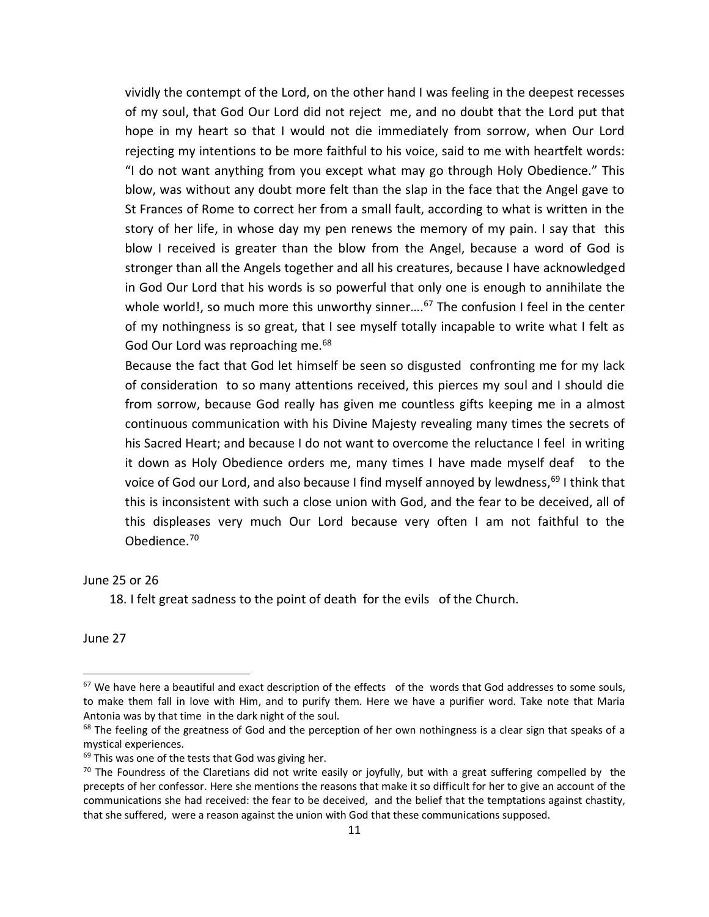vividly the contempt of the Lord, on the other hand I was feeling in the deepest recesses of my soul, that God Our Lord did not reject me, and no doubt that the Lord put that hope in my heart so that I would not die immediately from sorrow, when Our Lord rejecting my intentions to be more faithful to his voice, said to me with heartfelt words: "I do not want anything from you except what may go through Holy Obedience." This blow, was without any doubt more felt than the slap in the face that the Angel gave to St Frances of Rome to correct her from a small fault, according to what is written in the story of her life, in whose day my pen renews the memory of my pain. I say that this blow I received is greater than the blow from the Angel, because a word of God is stronger than all the Angels together and all his creatures, because I have acknowledged in God Our Lord that his words is so powerful that only one is enough to annihilate the whole world!, so much more this unworthy sinner....<sup>67</sup> The confusion I feel in the center of my nothingness is so great, that I see myself totally incapable to write what I felt as God Our Lord was reproaching me.<sup>68</sup>

Because the fact that God let himself be seen so disgusted confronting me for my lack of consideration to so many attentions received, this pierces my soul and I should die from sorrow, because God really has given me countless gifts keeping me in a almost continuous communication with his Divine Majesty revealing many times the secrets of his Sacred Heart; and because I do not want to overcome the reluctance I feel in writing it down as Holy Obedience orders me, many times I have made myself deaf to the voice of God our Lord, and also because I find myself annoyed by lewdness,<sup>69</sup> I think that this is inconsistent with such a close union with God, and the fear to be deceived, all of this displeases very much Our Lord because very often I am not faithful to the Obedience. 70

June 25 or 26

18. I felt great sadness to the point of death for the evils of the Church.

June 27

<sup>&</sup>lt;sup>67</sup> We have here a beautiful and exact description of the effects of the words that God addresses to some souls, to make them fall in love with Him, and to purify them. Here we have a purifier word. Take note that Maria Antonia was by that time in the dark night of the soul.

 $68$  The feeling of the greatness of God and the perception of her own nothingness is a clear sign that speaks of a mystical experiences.

<sup>&</sup>lt;sup>69</sup> This was one of the tests that God was giving her.

 $70$  The Foundress of the Claretians did not write easily or joyfully, but with a great suffering compelled by the precepts of her confessor. Here she mentions the reasons that make it so difficult for her to give an account of the communications she had received: the fear to be deceived, and the belief that the temptations against chastity, that she suffered, were a reason against the union with God that these communications supposed.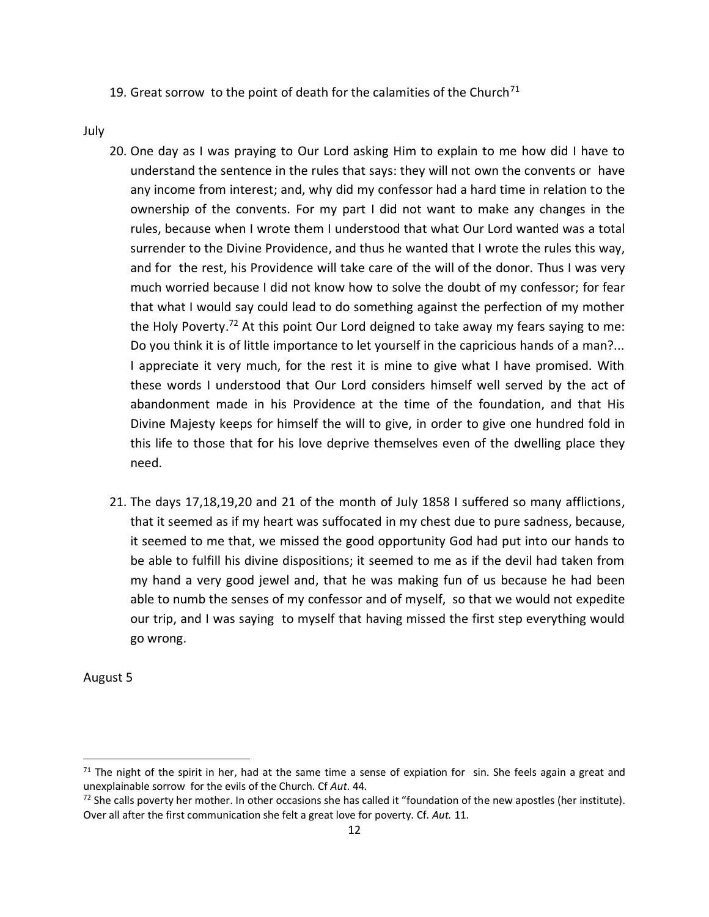19. Great sorrow to the point of death for the calamities of the Church<sup>71</sup>

July

- 20. One day as I was praying to Our Lord asking Him to explain to me how did I have to understand the sentence in the rules that says: they will not own the convents or have any income from interest; and, why did my confessor had a hard time in relation to the ownership of the convents. For my part I did not want to make any changes in the rules, because when I wrote them I understood that what Our Lord wanted was a total surrender to the Divine Providence, and thus he wanted that I wrote the rules this way, and for the rest, his Providence will take care of the will of the donor. Thus I was very much worried because I did not know how to solve the doubt of my confessor; for fear that what I would say could lead to do something against the perfection of my mother the Holy Poverty.<sup>72</sup> At this point Our Lord deigned to take away my fears saying to me: Do you think it is of little importance to let yourself in the capricious hands of a man?... I appreciate it very much, for the rest it is mine to give what I have promised. With these words I understood that Our Lord considers himself well served by the act of abandonment made in his Providence at the time of the foundation, and that His Divine Majesty keeps for himself the will to give, in order to give one hundred fold in this life to those that for his love deprive themselves even of the dwelling place they need.
- 21. The days 17,18,19,20 and 21 of the month of July 1858 I suffered so many afflictions, that it seemed as if my heart was suffocated in my chest due to pure sadness, because, it seemed to me that, we missed the good opportunity God had put into our hands to be able to fulfill his divine dispositions; it seemed to me as if the devil had taken from my hand a very good jewel and, that he was making fun of us because he had been able to numb the senses of my confessor and of myself, so that we would not expedite our trip, and I was saying to myself that having missed the first step everything would go wrong.

August 5

 $71$  The night of the spirit in her, had at the same time a sense of expiation for sin. She feels again a great and unexplainable sorrow for the evils of the Church. Cf *Aut*. 44.

 $<sup>72</sup>$  She calls poverty her mother. In other occasions she has called it "foundation of the new apostles (her institute).</sup> Over all after the first communication she felt a great love for poverty. Cf. *Aut.* 11.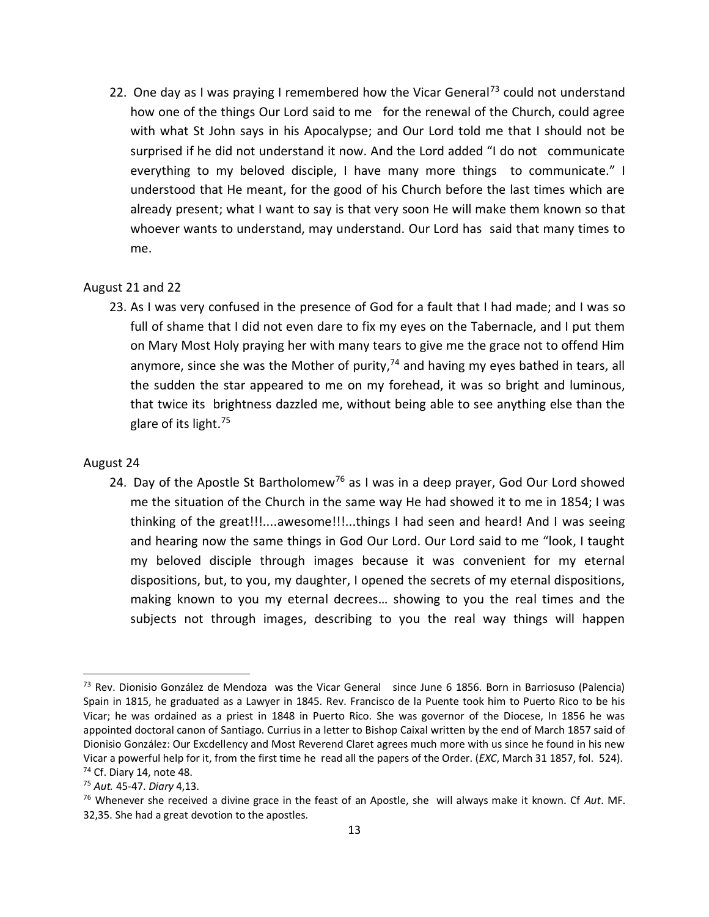22. One day as I was praying I remembered how the Vicar General<sup>73</sup> could not understand how one of the things Our Lord said to me for the renewal of the Church, could agree with what St John says in his Apocalypse; and Our Lord told me that I should not be surprised if he did not understand it now. And the Lord added "I do not communicate everything to my beloved disciple, I have many more things to communicate." I understood that He meant, for the good of his Church before the last times which are already present; what I want to say is that very soon He will make them known so that whoever wants to understand, may understand. Our Lord has said that many times to me.

### August 21 and 22

23. As I was very confused in the presence of God for a fault that I had made; and I was so full of shame that I did not even dare to fix my eyes on the Tabernacle, and I put them on Mary Most Holy praying her with many tears to give me the grace not to offend Him anymore, since she was the Mother of purity,<sup>74</sup> and having my eyes bathed in tears, all the sudden the star appeared to me on my forehead, it was so bright and luminous, that twice its brightness dazzled me, without being able to see anything else than the glare of its light.<sup>75</sup>

### August 24

 $\overline{a}$ 

24. Day of the Apostle St Bartholomew<sup>76</sup> as I was in a deep prayer, God Our Lord showed me the situation of the Church in the same way He had showed it to me in 1854; I was thinking of the great!!!....awesome!!!...things I had seen and heard! And I was seeing and hearing now the same things in God Our Lord. Our Lord said to me "look, I taught my beloved disciple through images because it was convenient for my eternal dispositions, but, to you, my daughter, I opened the secrets of my eternal dispositions, making known to you my eternal decrees… showing to you the real times and the subjects not through images, describing to you the real way things will happen

 $<sup>73</sup>$  Rev. Dionisio González de Mendoza was the Vicar General since June 6 1856. Born in Barriosuso (Palencia)</sup> Spain in 1815, he graduated as a Lawyer in 1845. Rev. Francisco de la Puente took him to Puerto Rico to be his Vicar; he was ordained as a priest in 1848 in Puerto Rico. She was governor of the Diocese, In 1856 he was appointed doctoral canon of Santiago. Currius in a letter to Bishop Caixal written by the end of March 1857 said of Dionisio González: Our Excdellency and Most Reverend Claret agrees much more with us since he found in his new Vicar a powerful help for it, from the first time he read all the papers of the Order. (*EXC*, March 31 1857, fol. 524).  $74$  Cf. Diary 14, note 48.

<sup>75</sup> *Aut.* 45-47. *Diary* 4,13.

<sup>76</sup> Whenever she received a divine grace in the feast of an Apostle, she will always make it known. Cf *Aut*. MF. 32,35. She had a great devotion to the apostles.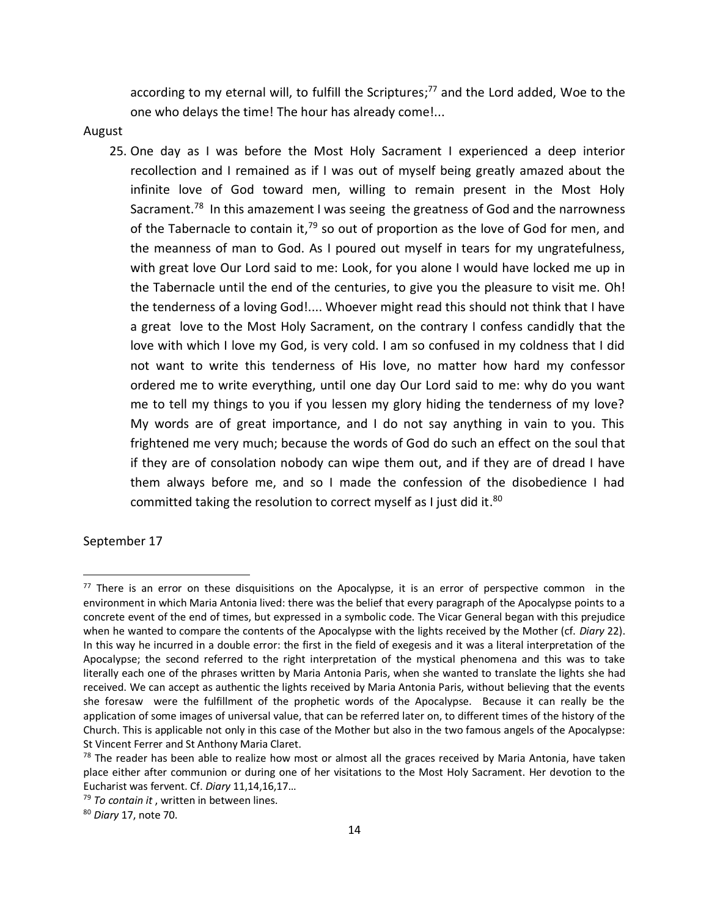according to my eternal will, to fulfill the Scriptures; <sup>77</sup> and the Lord added, Woe to the one who delays the time! The hour has already come!...

August

25. One day as I was before the Most Holy Sacrament I experienced a deep interior recollection and I remained as if I was out of myself being greatly amazed about the infinite love of God toward men, willing to remain present in the Most Holy Sacrament.<sup>78</sup> In this amazement I was seeing the greatness of God and the narrowness of the Tabernacle to contain it,<sup>79</sup> so out of proportion as the love of God for men, and the meanness of man to God. As I poured out myself in tears for my ungratefulness, with great love Our Lord said to me: Look, for you alone I would have locked me up in the Tabernacle until the end of the centuries, to give you the pleasure to visit me. Oh! the tenderness of a loving God!.... Whoever might read this should not think that I have a great love to the Most Holy Sacrament, on the contrary I confess candidly that the love with which I love my God, is very cold. I am so confused in my coldness that I did not want to write this tenderness of His love, no matter how hard my confessor ordered me to write everything, until one day Our Lord said to me: why do you want me to tell my things to you if you lessen my glory hiding the tenderness of my love? My words are of great importance, and I do not say anything in vain to you. This frightened me very much; because the words of God do such an effect on the soul that if they are of consolation nobody can wipe them out, and if they are of dread I have them always before me, and so I made the confession of the disobedience I had committed taking the resolution to correct myself as I just did it.<sup>80</sup>

September 17

 $77$  There is an error on these disquisitions on the Apocalypse, it is an error of perspective common in the environment in which Maria Antonia lived: there was the belief that every paragraph of the Apocalypse points to a concrete event of the end of times, but expressed in a symbolic code. The Vicar General began with this prejudice when he wanted to compare the contents of the Apocalypse with the lights received by the Mother (cf. *Diary* 22). In this way he incurred in a double error: the first in the field of exegesis and it was a literal interpretation of the Apocalypse; the second referred to the right interpretation of the mystical phenomena and this was to take literally each one of the phrases written by Maria Antonia Paris, when she wanted to translate the lights she had received. We can accept as authentic the lights received by Maria Antonia Paris, without believing that the events she foresaw were the fulfillment of the prophetic words of the Apocalypse. Because it can really be the application of some images of universal value, that can be referred later on, to different times of the history of the Church. This is applicable not only in this case of the Mother but also in the two famous angels of the Apocalypse: St Vincent Ferrer and St Anthony Maria Claret.

<sup>&</sup>lt;sup>78</sup> The reader has been able to realize how most or almost all the graces received by Maria Antonia, have taken place either after communion or during one of her visitations to the Most Holy Sacrament. Her devotion to the Eucharist was fervent. Cf. *Diary* 11,14,16,17…

<sup>79</sup> *To contain it* , written in between lines.

<sup>80</sup> *Diary* 17, note 70.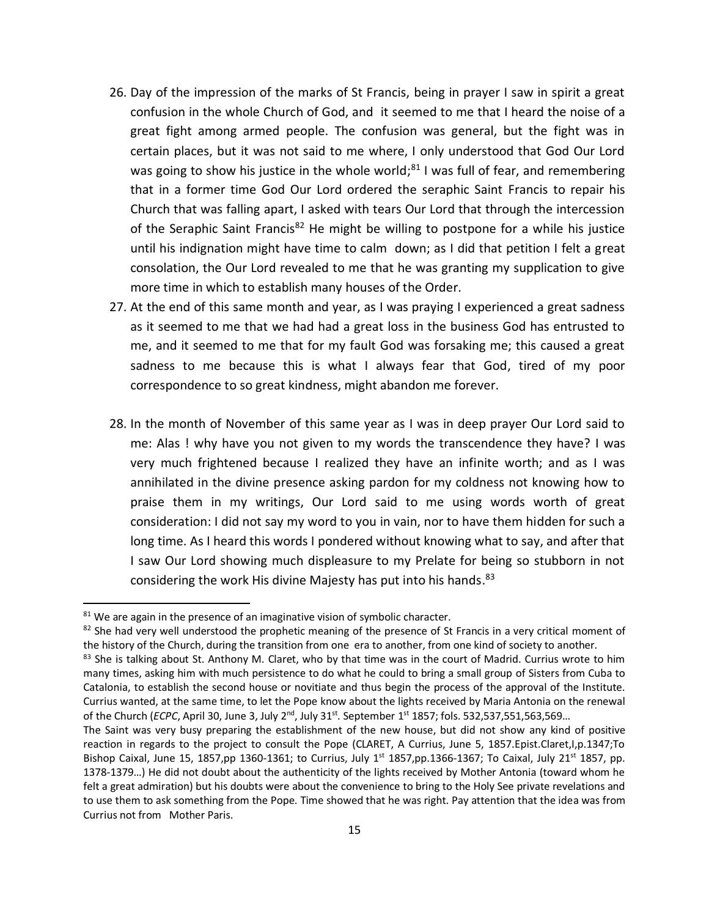- 26. Day of the impression of the marks of St Francis, being in prayer I saw in spirit a great confusion in the whole Church of God, and it seemed to me that I heard the noise of a great fight among armed people. The confusion was general, but the fight was in certain places, but it was not said to me where, I only understood that God Our Lord was going to show his justice in the whole world;<sup>81</sup> I was full of fear, and remembering that in a former time God Our Lord ordered the seraphic Saint Francis to repair his Church that was falling apart, I asked with tears Our Lord that through the intercession of the Seraphic Saint Francis<sup>82</sup> He might be willing to postpone for a while his justice until his indignation might have time to calm down; as I did that petition I felt a great consolation, the Our Lord revealed to me that he was granting my supplication to give more time in which to establish many houses of the Order.
- 27. At the end of this same month and year, as I was praying I experienced a great sadness as it seemed to me that we had had a great loss in the business God has entrusted to me, and it seemed to me that for my fault God was forsaking me; this caused a great sadness to me because this is what I always fear that God, tired of my poor correspondence to so great kindness, might abandon me forever.
- 28. In the month of November of this same year as I was in deep prayer Our Lord said to me: Alas ! why have you not given to my words the transcendence they have? I was very much frightened because I realized they have an infinite worth; and as I was annihilated in the divine presence asking pardon for my coldness not knowing how to praise them in my writings, Our Lord said to me using words worth of great consideration: I did not say my word to you in vain, nor to have them hidden for such a long time. As I heard this words I pondered without knowing what to say, and after that I saw Our Lord showing much displeasure to my Prelate for being so stubborn in not considering the work His divine Majesty has put into his hands.<sup>83</sup>

 $81$  We are again in the presence of an imaginative vision of symbolic character.

<sup>82</sup> She had very well understood the prophetic meaning of the presence of St Francis in a very critical moment of the history of the Church, during the transition from one era to another, from one kind of society to another.

<sup>83</sup> She is talking about St. Anthony M. Claret, who by that time was in the court of Madrid. Currius wrote to him many times, asking him with much persistence to do what he could to bring a small group of Sisters from Cuba to Catalonia, to establish the second house or novitiate and thus begin the process of the approval of the Institute. Currius wanted, at the same time, to let the Pope know about the lights received by Maria Antonia on the renewal of the Church (*ECPC*, April 30, June 3, July 2<sup>nd</sup>, July 31st. September 1st 1857; fols. 532,537,551,563,569...

The Saint was very busy preparing the establishment of the new house, but did not show any kind of positive reaction in regards to the project to consult the Pope (CLARET, A Currius, June 5, 1857.Epist.Claret,I,p.1347;To Bishop Caixal, June 15, 1857,pp 1360-1361; to Currius, July 1st 1857,pp.1366-1367; To Caixal, July 21st 1857, pp. 1378-1379…) He did not doubt about the authenticity of the lights received by Mother Antonia (toward whom he felt a great admiration) but his doubts were about the convenience to bring to the Holy See private revelations and to use them to ask something from the Pope. Time showed that he was right. Pay attention that the idea was from Currius not from Mother Paris.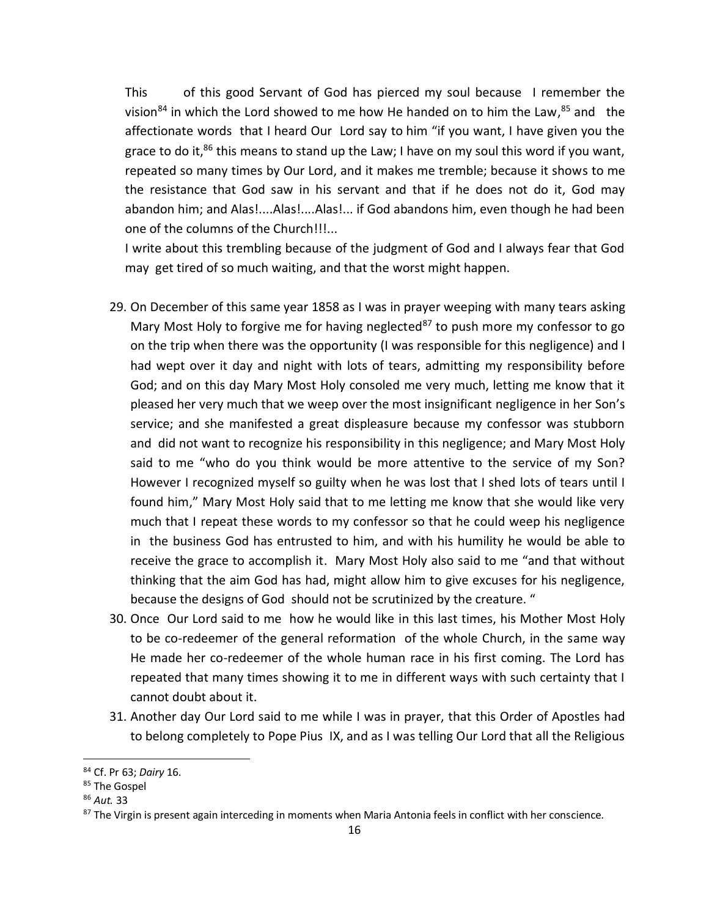This of this good Servant of God has pierced my soul because I remember the vision<sup>84</sup> in which the Lord showed to me how He handed on to him the Law,<sup>85</sup> and the affectionate words that I heard Our Lord say to him "if you want, I have given you the grace to do it,<sup>86</sup> this means to stand up the Law; I have on my soul this word if you want, repeated so many times by Our Lord, and it makes me tremble; because it shows to me the resistance that God saw in his servant and that if he does not do it, God may abandon him; and Alas!....Alas!....Alas!... if God abandons him, even though he had been one of the columns of the Church!!!...

I write about this trembling because of the judgment of God and I always fear that God may get tired of so much waiting, and that the worst might happen.

- 29. On December of this same year 1858 as I was in prayer weeping with many tears asking Mary Most Holy to forgive me for having neglected<sup>87</sup> to push more my confessor to go on the trip when there was the opportunity (I was responsible for this negligence) and I had wept over it day and night with lots of tears, admitting my responsibility before God; and on this day Mary Most Holy consoled me very much, letting me know that it pleased her very much that we weep over the most insignificant negligence in her Son's service; and she manifested a great displeasure because my confessor was stubborn and did not want to recognize his responsibility in this negligence; and Mary Most Holy said to me "who do you think would be more attentive to the service of my Son? However I recognized myself so guilty when he was lost that I shed lots of tears until I found him," Mary Most Holy said that to me letting me know that she would like very much that I repeat these words to my confessor so that he could weep his negligence in the business God has entrusted to him, and with his humility he would be able to receive the grace to accomplish it. Mary Most Holy also said to me "and that without thinking that the aim God has had, might allow him to give excuses for his negligence, because the designs of God should not be scrutinized by the creature. "
- 30. Once Our Lord said to me how he would like in this last times, his Mother Most Holy to be co-redeemer of the general reformation of the whole Church, in the same way He made her co-redeemer of the whole human race in his first coming. The Lord has repeated that many times showing it to me in different ways with such certainty that I cannot doubt about it.
- 31. Another day Our Lord said to me while I was in prayer, that this Order of Apostles had to belong completely to Pope Pius IX, and as I was telling Our Lord that all the Religious

<sup>84</sup> Cf. Pr 63; *Dairy* 16.

<sup>85</sup> The Gospel

<sup>86</sup> *Aut.* 33

<sup>87</sup> The Virgin is present again interceding in moments when Maria Antonia feels in conflict with her conscience.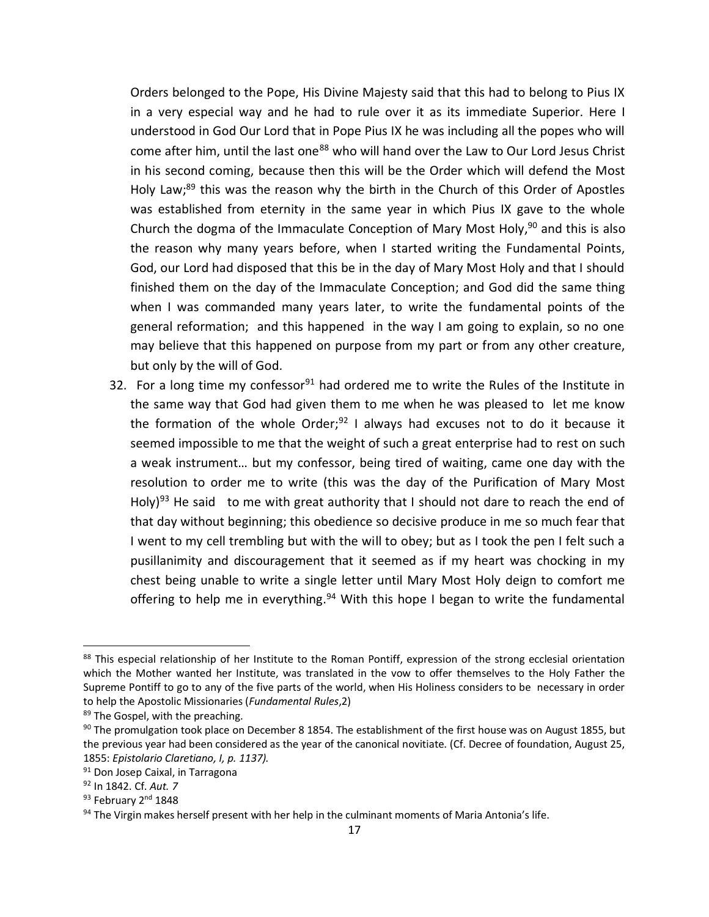Orders belonged to the Pope, His Divine Majesty said that this had to belong to Pius IX in a very especial way and he had to rule over it as its immediate Superior. Here I understood in God Our Lord that in Pope Pius IX he was including all the popes who will come after him, until the last one<sup>88</sup> who will hand over the Law to Our Lord Jesus Christ in his second coming, because then this will be the Order which will defend the Most Holy Law;<sup>89</sup> this was the reason why the birth in the Church of this Order of Apostles was established from eternity in the same year in which Pius IX gave to the whole Church the dogma of the Immaculate Conception of Mary Most Holy,<sup>90</sup> and this is also the reason why many years before, when I started writing the Fundamental Points, God, our Lord had disposed that this be in the day of Mary Most Holy and that I should finished them on the day of the Immaculate Conception; and God did the same thing when I was commanded many years later, to write the fundamental points of the general reformation; and this happened in the way I am going to explain, so no one may believe that this happened on purpose from my part or from any other creature, but only by the will of God.

32. For a long time my confessor<sup>91</sup> had ordered me to write the Rules of the Institute in the same way that God had given them to me when he was pleased to let me know the formation of the whole Order;<sup>92</sup> I always had excuses not to do it because it seemed impossible to me that the weight of such a great enterprise had to rest on such a weak instrument… but my confessor, being tired of waiting, came one day with the resolution to order me to write (this was the day of the Purification of Mary Most Holy)<sup>93</sup> He said to me with great authority that I should not dare to reach the end of that day without beginning; this obedience so decisive produce in me so much fear that I went to my cell trembling but with the will to obey; but as I took the pen I felt such a pusillanimity and discouragement that it seemed as if my heart was chocking in my chest being unable to write a single letter until Mary Most Holy deign to comfort me offering to help me in everything.<sup>94</sup> With this hope I began to write the fundamental

<sup>88</sup> This especial relationship of her Institute to the Roman Pontiff, expression of the strong ecclesial orientation which the Mother wanted her Institute, was translated in the vow to offer themselves to the Holy Father the Supreme Pontiff to go to any of the five parts of the world, when His Holiness considers to be necessary in order to help the Apostolic Missionaries (*Fundamental Rules*,2)

<sup>89</sup> The Gospel, with the preaching.

<sup>90</sup> The promulgation took place on December 8 1854. The establishment of the first house was on August 1855, but the previous year had been considered as the year of the canonical novitiate. (Cf. Decree of foundation, August 25, 1855: *Epistolario Claretiano, I, p. 1137).* 

<sup>91</sup> Don Josep Caixal, in Tarragona

<sup>92</sup> In 1842. Cf. *Aut. 7*

<sup>93</sup> February 2<sup>nd</sup> 1848

<sup>94</sup> The Virgin makes herself present with her help in the culminant moments of Maria Antonia's life.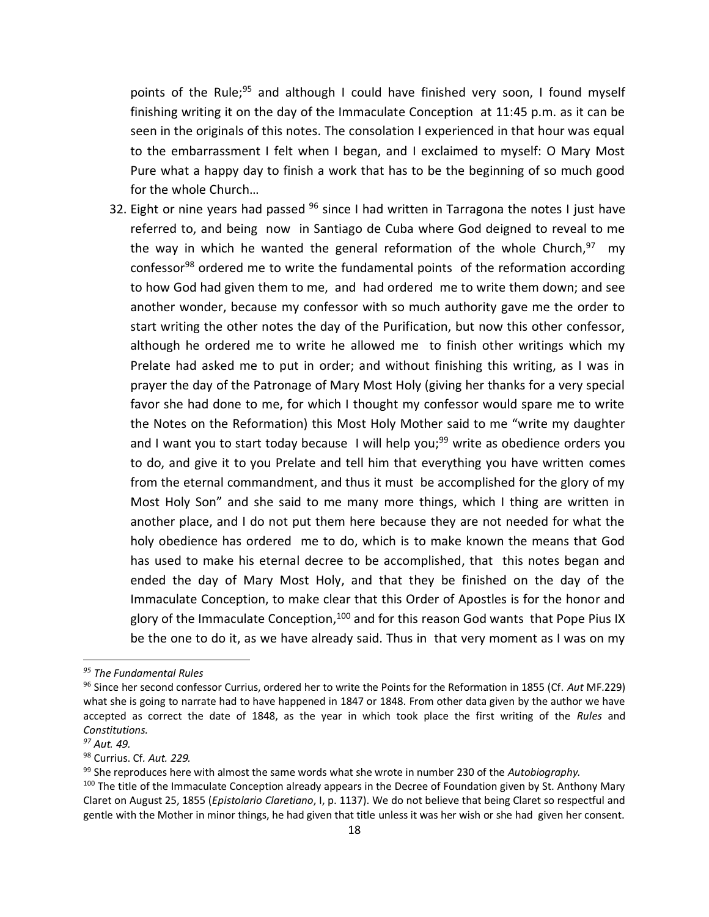points of the Rule;<sup>95</sup> and although I could have finished very soon, I found myself finishing writing it on the day of the Immaculate Conception at 11:45 p.m. as it can be seen in the originals of this notes. The consolation I experienced in that hour was equal to the embarrassment I felt when I began, and I exclaimed to myself: O Mary Most Pure what a happy day to finish a work that has to be the beginning of so much good for the whole Church…

32. Eight or nine years had passed  $96$  since I had written in Tarragona the notes I just have referred to, and being now in Santiago de Cuba where God deigned to reveal to me the way in which he wanted the general reformation of the whole Church,<sup>97</sup> my confessor<sup>98</sup> ordered me to write the fundamental points of the reformation according to how God had given them to me, and had ordered me to write them down; and see another wonder, because my confessor with so much authority gave me the order to start writing the other notes the day of the Purification, but now this other confessor, although he ordered me to write he allowed me to finish other writings which my Prelate had asked me to put in order; and without finishing this writing, as I was in prayer the day of the Patronage of Mary Most Holy (giving her thanks for a very special favor she had done to me, for which I thought my confessor would spare me to write the Notes on the Reformation) this Most Holy Mother said to me "write my daughter and I want you to start today because I will help you;<sup>99</sup> write as obedience orders you to do, and give it to you Prelate and tell him that everything you have written comes from the eternal commandment, and thus it must be accomplished for the glory of my Most Holy Son" and she said to me many more things, which I thing are written in another place, and I do not put them here because they are not needed for what the holy obedience has ordered me to do, which is to make known the means that God has used to make his eternal decree to be accomplished, that this notes began and ended the day of Mary Most Holy, and that they be finished on the day of the Immaculate Conception, to make clear that this Order of Apostles is for the honor and glory of the Immaculate Conception,<sup>100</sup> and for this reason God wants that Pope Pius IX be the one to do it, as we have already said. Thus in that very moment as I was on my

*<sup>95</sup> The Fundamental Rules*

<sup>96</sup> Since her second confessor Currius, ordered her to write the Points for the Reformation in 1855 (Cf. *Aut* MF.229) what she is going to narrate had to have happened in 1847 or 1848. From other data given by the author we have accepted as correct the date of 1848, as the year in which took place the first writing of the *Rules* and *Constitutions.* 

*<sup>97</sup> Aut. 49.*

<sup>98</sup> Currius. Cf*. Aut. 229.*

<sup>99</sup> She reproduces here with almost the same words what she wrote in number 230 of the *Autobiography.* 

<sup>&</sup>lt;sup>100</sup> The title of the Immaculate Conception already appears in the Decree of Foundation given by St. Anthony Mary Claret on August 25, 1855 (*Epistolario Claretiano*, I, p. 1137). We do not believe that being Claret so respectful and gentle with the Mother in minor things, he had given that title unless it was her wish or she had given her consent.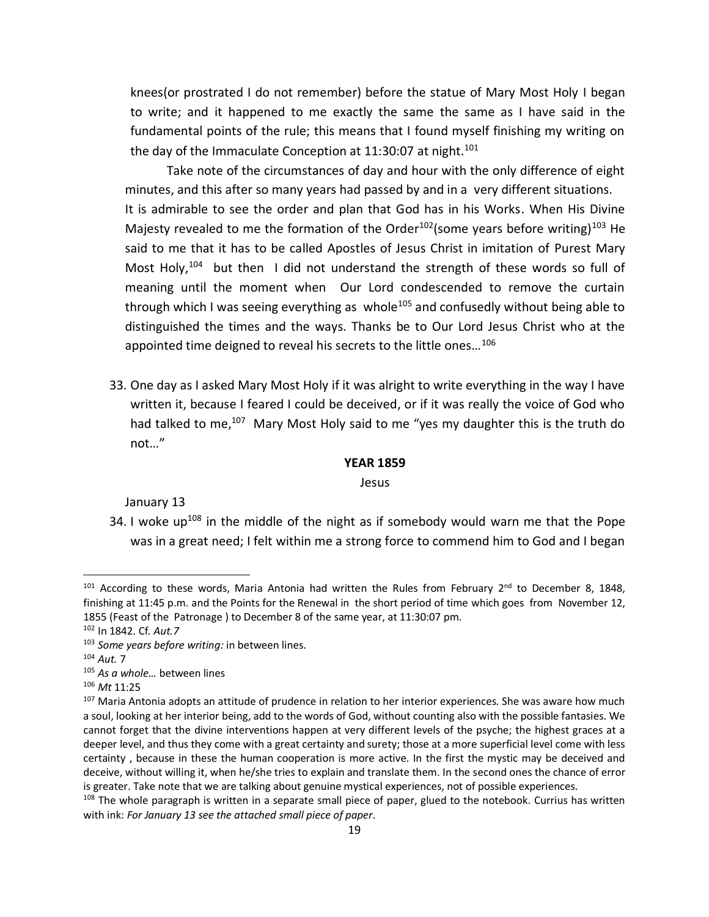knees(or prostrated I do not remember) before the statue of Mary Most Holy I began to write; and it happened to me exactly the same the same as I have said in the fundamental points of the rule; this means that I found myself finishing my writing on the day of the Immaculate Conception at 11:30:07 at night.<sup>101</sup>

Take note of the circumstances of day and hour with the only difference of eight minutes, and this after so many years had passed by and in a very different situations. It is admirable to see the order and plan that God has in his Works. When His Divine Majesty revealed to me the formation of the Order<sup>102</sup> (some years before writing)<sup>103</sup> He said to me that it has to be called Apostles of Jesus Christ in imitation of Purest Mary Most Holy,<sup>104</sup> but then I did not understand the strength of these words so full of meaning until the moment when Our Lord condescended to remove the curtain through which I was seeing everything as whole<sup>105</sup> and confusedly without being able to distinguished the times and the ways. Thanks be to Our Lord Jesus Christ who at the appointed time deigned to reveal his secrets to the little ones...<sup>106</sup>

33. One day as I asked Mary Most Holy if it was alright to write everything in the way I have written it, because I feared I could be deceived, or if it was really the voice of God who had talked to me,<sup>107</sup> Mary Most Holy said to me "yes my daughter this is the truth do not…"

#### **YEAR 1859**

### Jesus

January 13

34. I woke up<sup>108</sup> in the middle of the night as if somebody would warn me that the Pope was in a great need; I felt within me a strong force to commend him to God and I began

 $101$  According to these words, Maria Antonia had written the Rules from February  $2^{nd}$  to December 8, 1848, finishing at 11:45 p.m. and the Points for the Renewal in the short period of time which goes from November 12, 1855 (Feast of the Patronage ) to December 8 of the same year, at 11:30:07 pm.

<sup>102</sup> In 1842. Cf*. Aut.7*

<sup>103</sup> *Some years before writing:* in between lines.

<sup>104</sup> *Aut.* 7

<sup>105</sup> *As a whole…* between lines

<sup>106</sup> *Mt* 11:25

<sup>&</sup>lt;sup>107</sup> Maria Antonia adopts an attitude of prudence in relation to her interior experiences. She was aware how much a soul, looking at her interior being, add to the words of God, without counting also with the possible fantasies. We cannot forget that the divine interventions happen at very different levels of the psyche; the highest graces at a deeper level, and thus they come with a great certainty and surety; those at a more superficial level come with less certainty , because in these the human cooperation is more active. In the first the mystic may be deceived and deceive, without willing it, when he/she tries to explain and translate them. In the second ones the chance of error is greater. Take note that we are talking about genuine mystical experiences, not of possible experiences.

<sup>&</sup>lt;sup>108</sup> The whole paragraph is written in a separate small piece of paper, glued to the notebook. Currius has written with ink: *For January 13 see the attached small piece of paper*.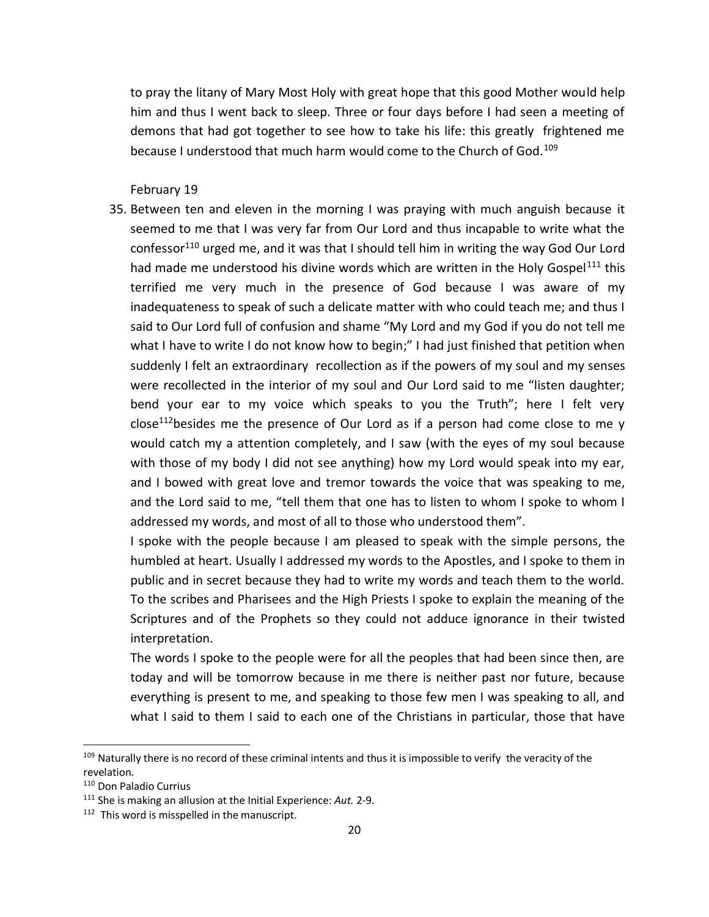to pray the litany of Mary Most Holy with great hope that this good Mother would help him and thus I went back to sleep. Three or four days before I had seen a meeting of demons that had got together to see how to take his life: this greatly frightened me because I understood that much harm would come to the Church of God.<sup>109</sup>

February 19

35. Between ten and eleven in the morning I was praying with much anguish because it seemed to me that I was very far from Our Lord and thus incapable to write what the confessor<sup>110</sup> urged me, and it was that I should tell him in writing the way God Our Lord had made me understood his divine words which are written in the Holy Gospel<sup>111</sup> this terrified me very much in the presence of God because I was aware of my inadequateness to speak of such a delicate matter with who could teach me; and thus I said to Our Lord full of confusion and shame "My Lord and my God if you do not tell me what I have to write I do not know how to begin;" I had just finished that petition when suddenly I felt an extraordinary recollection as if the powers of my soul and my senses were recollected in the interior of my soul and Our Lord said to me "listen daughter; bend your ear to my voice which speaks to you the Truth"; here I felt very close<sup>112</sup>besides me the presence of Our Lord as if a person had come close to me y would catch my a attention completely, and I saw (with the eyes of my soul because with those of my body I did not see anything) how my Lord would speak into my ear, and I bowed with great love and tremor towards the voice that was speaking to me, and the Lord said to me, "tell them that one has to listen to whom I spoke to whom I addressed my words, and most of all to those who understood them".

I spoke with the people because I am pleased to speak with the simple persons, the humbled at heart. Usually I addressed my words to the Apostles, and I spoke to them in public and in secret because they had to write my words and teach them to the world. To the scribes and Pharisees and the High Priests I spoke to explain the meaning of the Scriptures and of the Prophets so they could not adduce ignorance in their twisted interpretation.

The words I spoke to the people were for all the peoples that had been since then, are today and will be tomorrow because in me there is neither past nor future, because everything is present to me, and speaking to those few men I was speaking to all, and what I said to them I said to each one of the Christians in particular, those that have

<sup>&</sup>lt;sup>109</sup> Naturally there is no record of these criminal intents and thus it is impossible to verify the veracity of the revelation.

<sup>110</sup> Don Paladio Currius

<sup>111</sup> She is making an allusion at the Initial Experience: *Aut.* 2-9.

<sup>&</sup>lt;sup>112</sup> This word is misspelled in the manuscript.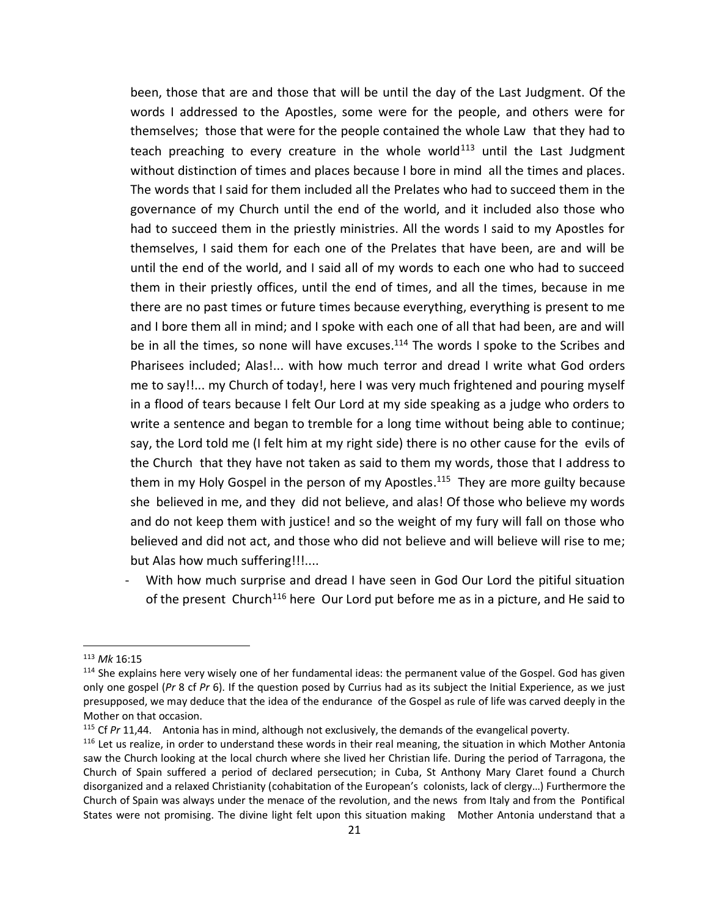been, those that are and those that will be until the day of the Last Judgment. Of the words I addressed to the Apostles, some were for the people, and others were for themselves; those that were for the people contained the whole Law that they had to teach preaching to every creature in the whole world<sup>113</sup> until the Last Judgment without distinction of times and places because I bore in mind all the times and places. The words that I said for them included all the Prelates who had to succeed them in the governance of my Church until the end of the world, and it included also those who had to succeed them in the priestly ministries. All the words I said to my Apostles for themselves, I said them for each one of the Prelates that have been, are and will be until the end of the world, and I said all of my words to each one who had to succeed them in their priestly offices, until the end of times, and all the times, because in me there are no past times or future times because everything, everything is present to me and I bore them all in mind; and I spoke with each one of all that had been, are and will be in all the times, so none will have excuses.<sup>114</sup> The words I spoke to the Scribes and Pharisees included; Alas!... with how much terror and dread I write what God orders me to say!!... my Church of today!, here I was very much frightened and pouring myself in a flood of tears because I felt Our Lord at my side speaking as a judge who orders to write a sentence and began to tremble for a long time without being able to continue; say, the Lord told me (I felt him at my right side) there is no other cause for the evils of the Church that they have not taken as said to them my words, those that I address to them in my Holy Gospel in the person of my Apostles.<sup>115</sup> They are more guilty because she believed in me, and they did not believe, and alas! Of those who believe my words and do not keep them with justice! and so the weight of my fury will fall on those who believed and did not act, and those who did not believe and will believe will rise to me; but Alas how much suffering!!!....

- With how much surprise and dread I have seen in God Our Lord the pitiful situation of the present Church<sup>116</sup> here Our Lord put before me as in a picture, and He said to

<sup>113</sup> *Mk* 16:15

<sup>&</sup>lt;sup>114</sup> She explains here very wisely one of her fundamental ideas: the permanent value of the Gospel. God has given only one gospel (*Pr* 8 cf *Pr* 6). If the question posed by Currius had as its subject the Initial Experience, as we just presupposed, we may deduce that the idea of the endurance of the Gospel as rule of life was carved deeply in the Mother on that occasion.

<sup>115</sup> Cf *Pr* 11,44. Antonia has in mind, although not exclusively, the demands of the evangelical poverty.

 $116$  Let us realize, in order to understand these words in their real meaning, the situation in which Mother Antonia saw the Church looking at the local church where she lived her Christian life. During the period of Tarragona, the Church of Spain suffered a period of declared persecution; in Cuba, St Anthony Mary Claret found a Church disorganized and a relaxed Christianity (cohabitation of the European's colonists, lack of clergy…) Furthermore the Church of Spain was always under the menace of the revolution, and the news from Italy and from the Pontifical States were not promising. The divine light felt upon this situation making Mother Antonia understand that a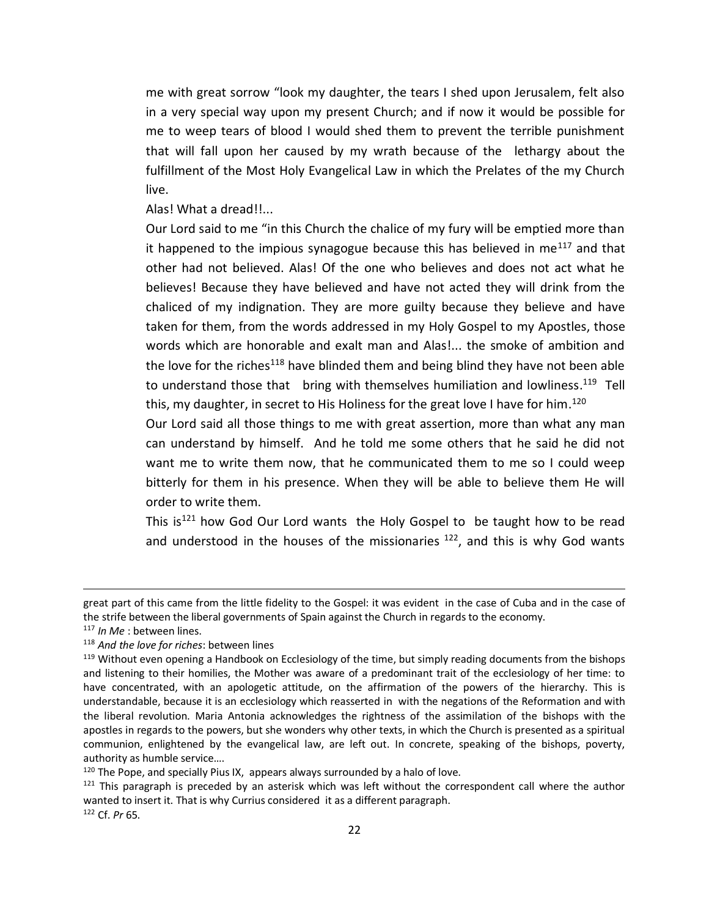me with great sorrow "look my daughter, the tears I shed upon Jerusalem, felt also in a very special way upon my present Church; and if now it would be possible for me to weep tears of blood I would shed them to prevent the terrible punishment that will fall upon her caused by my wrath because of the lethargy about the fulfillment of the Most Holy Evangelical Law in which the Prelates of the my Church live.

Alas! What a dread!!...

Our Lord said to me "in this Church the chalice of my fury will be emptied more than it happened to the impious synagogue because this has believed in me $117$  and that other had not believed. Alas! Of the one who believes and does not act what he believes! Because they have believed and have not acted they will drink from the chaliced of my indignation. They are more guilty because they believe and have taken for them, from the words addressed in my Holy Gospel to my Apostles, those words which are honorable and exalt man and Alas!... the smoke of ambition and the love for the riches<sup>118</sup> have blinded them and being blind they have not been able to understand those that bring with themselves humiliation and lowliness.<sup>119</sup> Tell this, my daughter, in secret to His Holiness for the great love I have for him.<sup>120</sup>

Our Lord said all those things to me with great assertion, more than what any man can understand by himself. And he told me some others that he said he did not want me to write them now, that he communicated them to me so I could weep bitterly for them in his presence. When they will be able to believe them He will order to write them.

This is<sup>121</sup> how God Our Lord wants the Holy Gospel to be taught how to be read and understood in the houses of the missionaries  $122$ , and this is why God wants

great part of this came from the little fidelity to the Gospel: it was evident in the case of Cuba and in the case of the strife between the liberal governments of Spain against the Church in regards to the economy.

<sup>117</sup> *In Me* : between lines.

<sup>118</sup> *And the love for riches*: between lines

<sup>&</sup>lt;sup>119</sup> Without even opening a Handbook on Ecclesiology of the time, but simply reading documents from the bishops and listening to their homilies, the Mother was aware of a predominant trait of the ecclesiology of her time: to have concentrated, with an apologetic attitude, on the affirmation of the powers of the hierarchy. This is understandable, because it is an ecclesiology which reasserted in with the negations of the Reformation and with the liberal revolution. Maria Antonia acknowledges the rightness of the assimilation of the bishops with the apostles in regards to the powers, but she wonders why other texts, in which the Church is presented as a spiritual communion, enlightened by the evangelical law, are left out. In concrete, speaking of the bishops, poverty, authority as humble service….

 $120$  The Pope, and specially Pius IX, appears always surrounded by a halo of love.

 $121$  This paragraph is preceded by an asterisk which was left without the correspondent call where the author wanted to insert it. That is why Currius considered it as a different paragraph.

<sup>122</sup> Cf. *Pr* 65.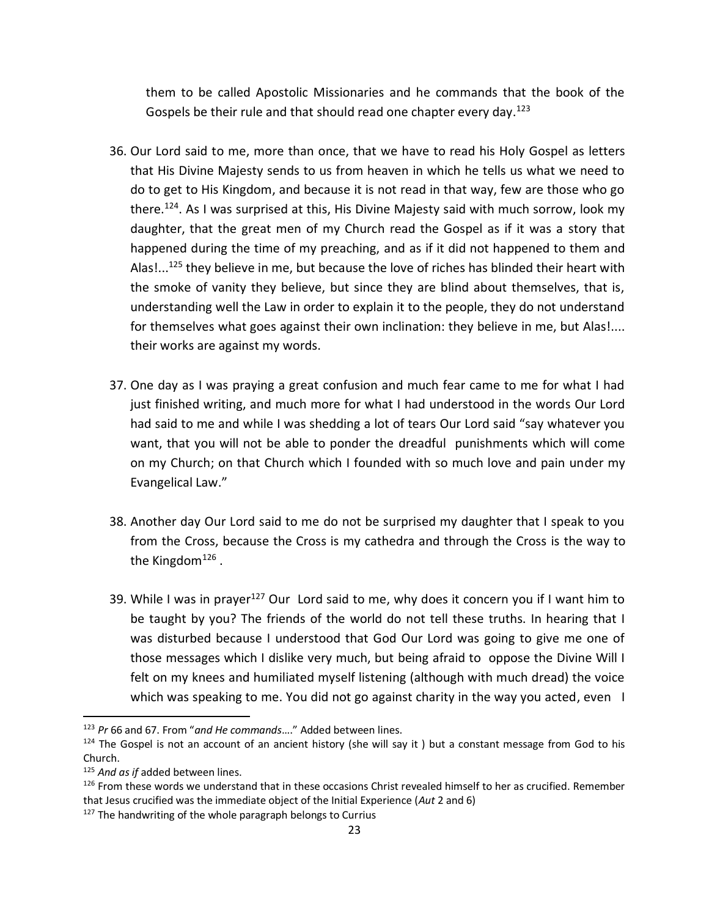them to be called Apostolic Missionaries and he commands that the book of the Gospels be their rule and that should read one chapter every day.<sup>123</sup>

- 36. Our Lord said to me, more than once, that we have to read his Holy Gospel as letters that His Divine Majesty sends to us from heaven in which he tells us what we need to do to get to His Kingdom, and because it is not read in that way, few are those who go there.<sup>124</sup>. As I was surprised at this, His Divine Majesty said with much sorrow, look my daughter, that the great men of my Church read the Gospel as if it was a story that happened during the time of my preaching, and as if it did not happened to them and Alas!...<sup>125</sup> they believe in me, but because the love of riches has blinded their heart with the smoke of vanity they believe, but since they are blind about themselves, that is, understanding well the Law in order to explain it to the people, they do not understand for themselves what goes against their own inclination: they believe in me, but Alas!.... their works are against my words.
- 37. One day as I was praying a great confusion and much fear came to me for what I had just finished writing, and much more for what I had understood in the words Our Lord had said to me and while I was shedding a lot of tears Our Lord said "say whatever you want, that you will not be able to ponder the dreadful punishments which will come on my Church; on that Church which I founded with so much love and pain under my Evangelical Law."
- 38. Another day Our Lord said to me do not be surprised my daughter that I speak to you from the Cross, because the Cross is my cathedra and through the Cross is the way to the Kingdom<sup>126</sup>.
- 39. While I was in prayer<sup>127</sup> Our Lord said to me, why does it concern you if I want him to be taught by you? The friends of the world do not tell these truths. In hearing that I was disturbed because I understood that God Our Lord was going to give me one of those messages which I dislike very much, but being afraid to oppose the Divine Will I felt on my knees and humiliated myself listening (although with much dread) the voice which was speaking to me. You did not go against charity in the way you acted, even I

<sup>123</sup> *Pr* 66 and 67. From "*and He commands*…." Added between lines.

<sup>&</sup>lt;sup>124</sup> The Gospel is not an account of an ancient history (she will say it ) but a constant message from God to his Church.

<sup>125</sup> *And as if* added between lines.

 $126$  From these words we understand that in these occasions Christ revealed himself to her as crucified. Remember that Jesus crucified was the immediate object of the Initial Experience (*Aut* 2 and 6)

<sup>&</sup>lt;sup>127</sup> The handwriting of the whole paragraph belongs to Currius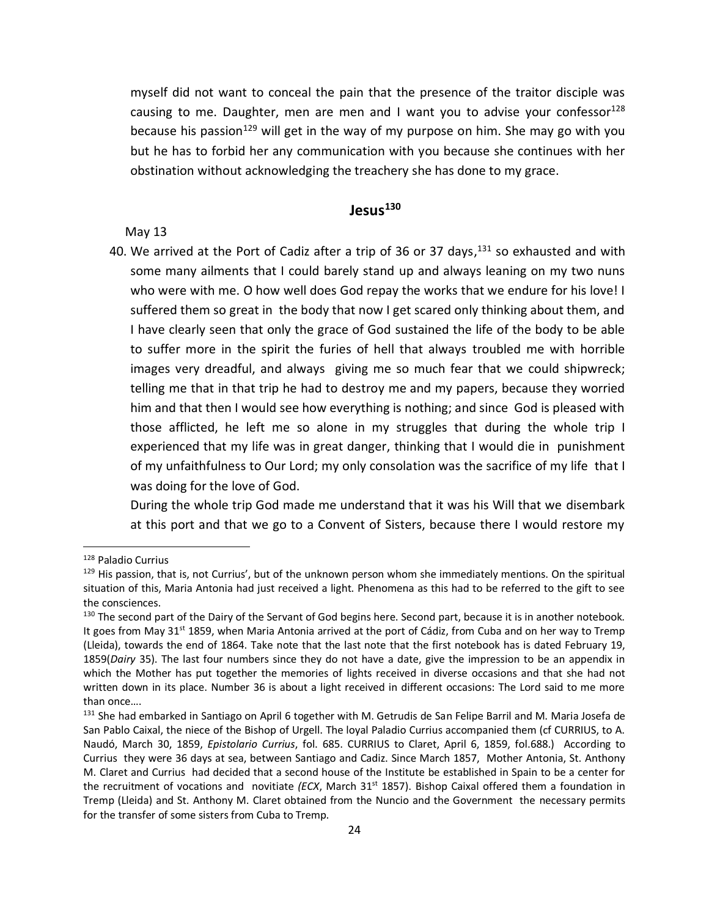myself did not want to conceal the pain that the presence of the traitor disciple was causing to me. Daughter, men are men and I want you to advise your confessor<sup>128</sup> because his passion<sup>129</sup> will get in the way of my purpose on him. She may go with you but he has to forbid her any communication with you because she continues with her obstination without acknowledging the treachery she has done to my grace.

## **Jesus<sup>130</sup>**

May 13

40. We arrived at the Port of Cadiz after a trip of 36 or 37 days,<sup>131</sup> so exhausted and with some many ailments that I could barely stand up and always leaning on my two nuns who were with me. O how well does God repay the works that we endure for his love! I suffered them so great in the body that now I get scared only thinking about them, and I have clearly seen that only the grace of God sustained the life of the body to be able to suffer more in the spirit the furies of hell that always troubled me with horrible images very dreadful, and always giving me so much fear that we could shipwreck; telling me that in that trip he had to destroy me and my papers, because they worried him and that then I would see how everything is nothing; and since God is pleased with those afflicted, he left me so alone in my struggles that during the whole trip I experienced that my life was in great danger, thinking that I would die in punishment of my unfaithfulness to Our Lord; my only consolation was the sacrifice of my life that I was doing for the love of God.

During the whole trip God made me understand that it was his Will that we disembark at this port and that we go to a Convent of Sisters, because there I would restore my

<sup>128</sup> Paladio Currius

<sup>&</sup>lt;sup>129</sup> His passion, that is, not Currius', but of the unknown person whom she immediately mentions. On the spiritual situation of this, Maria Antonia had just received a light. Phenomena as this had to be referred to the gift to see the consciences.

<sup>&</sup>lt;sup>130</sup> The second part of the Dairy of the Servant of God begins here. Second part, because it is in another notebook. It goes from May 31<sup>st</sup> 1859, when Maria Antonia arrived at the port of Cádiz, from Cuba and on her way to Tremp (Lleida), towards the end of 1864. Take note that the last note that the first notebook has is dated February 19, 1859(*Dairy* 35). The last four numbers since they do not have a date, give the impression to be an appendix in which the Mother has put together the memories of lights received in diverse occasions and that she had not written down in its place. Number 36 is about a light received in different occasions: The Lord said to me more than once….

<sup>&</sup>lt;sup>131</sup> She had embarked in Santiago on April 6 together with M. Getrudis de San Felipe Barril and M. Maria Josefa de San Pablo Caixal, the niece of the Bishop of Urgell. The loyal Paladio Currius accompanied them (cf CURRIUS, to A. Naudó, March 30, 1859, *Epistolario Currius*, fol. 685. CURRIUS to Claret, April 6, 1859, fol.688.) According to Currius they were 36 days at sea, between Santiago and Cadiz. Since March 1857, Mother Antonia, St. Anthony M. Claret and Currius had decided that a second house of the Institute be established in Spain to be a center for the recruitment of vocations and novitiate *(ECX*, March 31<sup>st</sup> 1857). Bishop Caixal offered them a foundation in Tremp (Lleida) and St. Anthony M. Claret obtained from the Nuncio and the Government the necessary permits for the transfer of some sisters from Cuba to Tremp.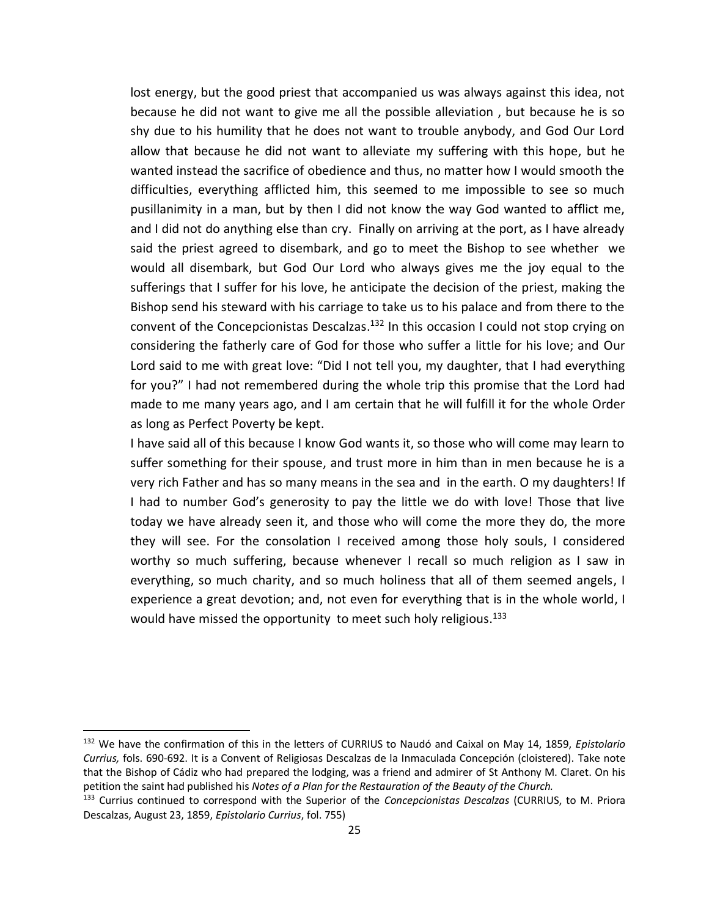lost energy, but the good priest that accompanied us was always against this idea, not because he did not want to give me all the possible alleviation , but because he is so shy due to his humility that he does not want to trouble anybody, and God Our Lord allow that because he did not want to alleviate my suffering with this hope, but he wanted instead the sacrifice of obedience and thus, no matter how I would smooth the difficulties, everything afflicted him, this seemed to me impossible to see so much pusillanimity in a man, but by then I did not know the way God wanted to afflict me, and I did not do anything else than cry. Finally on arriving at the port, as I have already said the priest agreed to disembark, and go to meet the Bishop to see whether we would all disembark, but God Our Lord who always gives me the joy equal to the sufferings that I suffer for his love, he anticipate the decision of the priest, making the Bishop send his steward with his carriage to take us to his palace and from there to the convent of the Concepcionistas Descalzas.<sup>132</sup> In this occasion I could not stop crying on considering the fatherly care of God for those who suffer a little for his love; and Our Lord said to me with great love: "Did I not tell you, my daughter, that I had everything for you?" I had not remembered during the whole trip this promise that the Lord had made to me many years ago, and I am certain that he will fulfill it for the whole Order as long as Perfect Poverty be kept.

I have said all of this because I know God wants it, so those who will come may learn to suffer something for their spouse, and trust more in him than in men because he is a very rich Father and has so many means in the sea and in the earth. O my daughters! If I had to number God's generosity to pay the little we do with love! Those that live today we have already seen it, and those who will come the more they do, the more they will see. For the consolation I received among those holy souls, I considered worthy so much suffering, because whenever I recall so much religion as I saw in everything, so much charity, and so much holiness that all of them seemed angels, I experience a great devotion; and, not even for everything that is in the whole world, I would have missed the opportunity to meet such holy religious.<sup>133</sup>

<sup>132</sup> We have the confirmation of this in the letters of CURRIUS to Naudó and Caixal on May 14, 1859, *Epistolario Currius,* fols. 690-692. It is a Convent of Religiosas Descalzas de la Inmaculada Concepción (cloistered). Take note that the Bishop of Cádiz who had prepared the lodging, was a friend and admirer of St Anthony M. Claret. On his petition the saint had published his *Notes of a Plan for the Restauration of the Beauty of the Church.*

<sup>133</sup> Currius continued to correspond with the Superior of the *Concepcionistas Descalzas* (CURRIUS, to M. Priora Descalzas, August 23, 1859, *Epistolario Currius*, fol. 755)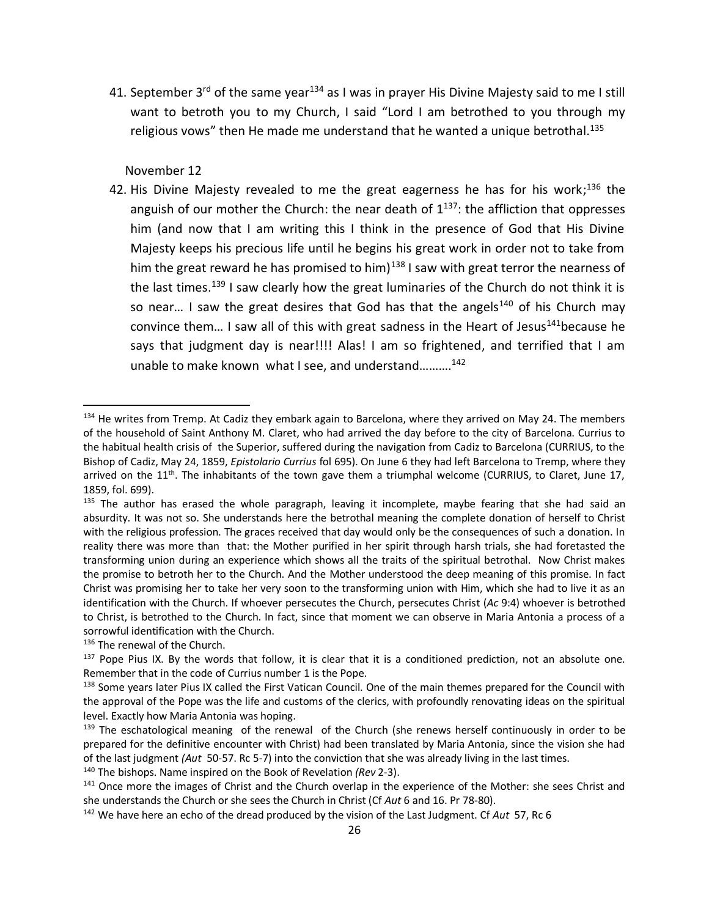41. September  $3^{rd}$  of the same year<sup>134</sup> as I was in prayer His Divine Majesty said to me I still want to betroth you to my Church, I said "Lord I am betrothed to you through my religious vows" then He made me understand that he wanted a unique betrothal.<sup>135</sup>

November 12

42. His Divine Majesty revealed to me the great eagerness he has for his work;<sup>136</sup> the anguish of our mother the Church: the near death of  $1^{137}$ : the affliction that oppresses him (and now that I am writing this I think in the presence of God that His Divine Majesty keeps his precious life until he begins his great work in order not to take from him the great reward he has promised to him)<sup>138</sup> I saw with great terror the nearness of the last times.<sup>139</sup> I saw clearly how the great luminaries of the Church do not think it is so near... I saw the great desires that God has that the angels<sup>140</sup> of his Church may convince them... I saw all of this with great sadness in the Heart of Jesus<sup>141</sup>because he says that judgment day is near!!!! Alas! I am so frightened, and terrified that I am unable to make known what I see, and understand……….<sup>142</sup>

<sup>&</sup>lt;sup>134</sup> He writes from Tremp. At Cadiz they embark again to Barcelona, where they arrived on May 24. The members of the household of Saint Anthony M. Claret, who had arrived the day before to the city of Barcelona. Currius to the habitual health crisis of the Superior, suffered during the navigation from Cadiz to Barcelona (CURRIUS, to the Bishop of Cadiz, May 24, 1859, *Epistolario Currius* fol 695). On June 6 they had left Barcelona to Tremp, where they arrived on the 11<sup>th</sup>. The inhabitants of the town gave them a triumphal welcome (CURRIUS, to Claret, June 17, 1859, fol. 699).

 $135$  The author has erased the whole paragraph, leaving it incomplete, maybe fearing that she had said an absurdity. It was not so. She understands here the betrothal meaning the complete donation of herself to Christ with the religious profession. The graces received that day would only be the consequences of such a donation. In reality there was more than that: the Mother purified in her spirit through harsh trials, she had foretasted the transforming union during an experience which shows all the traits of the spiritual betrothal. Now Christ makes the promise to betroth her to the Church. And the Mother understood the deep meaning of this promise. In fact Christ was promising her to take her very soon to the transforming union with Him, which she had to live it as an identification with the Church. If whoever persecutes the Church, persecutes Christ (*Ac* 9:4) whoever is betrothed to Christ, is betrothed to the Church. In fact, since that moment we can observe in Maria Antonia a process of a sorrowful identification with the Church.

<sup>136</sup> The renewal of the Church.

 $137$  Pope Pius IX. By the words that follow, it is clear that it is a conditioned prediction, not an absolute one. Remember that in the code of Currius number 1 is the Pope.

<sup>&</sup>lt;sup>138</sup> Some years later Pius IX called the First Vatican Council. One of the main themes prepared for the Council with the approval of the Pope was the life and customs of the clerics, with profoundly renovating ideas on the spiritual level. Exactly how Maria Antonia was hoping.

 $139$  The eschatological meaning of the renewal of the Church (she renews herself continuously in order to be prepared for the definitive encounter with Christ) had been translated by Maria Antonia, since the vision she had of the last judgment *(Aut* 50-57. Rc 5-7) into the conviction that she was already living in the last times.

<sup>140</sup> The bishops. Name inspired on the Book of Revelation *(Rev* 2-3).

<sup>&</sup>lt;sup>141</sup> Once more the images of Christ and the Church overlap in the experience of the Mother: she sees Christ and she understands the Church or she sees the Church in Christ (Cf *Aut* 6 and 16. Pr 78-80).

<sup>142</sup> We have here an echo of the dread produced by the vision of the Last Judgment. Cf *Aut* 57, Rc 6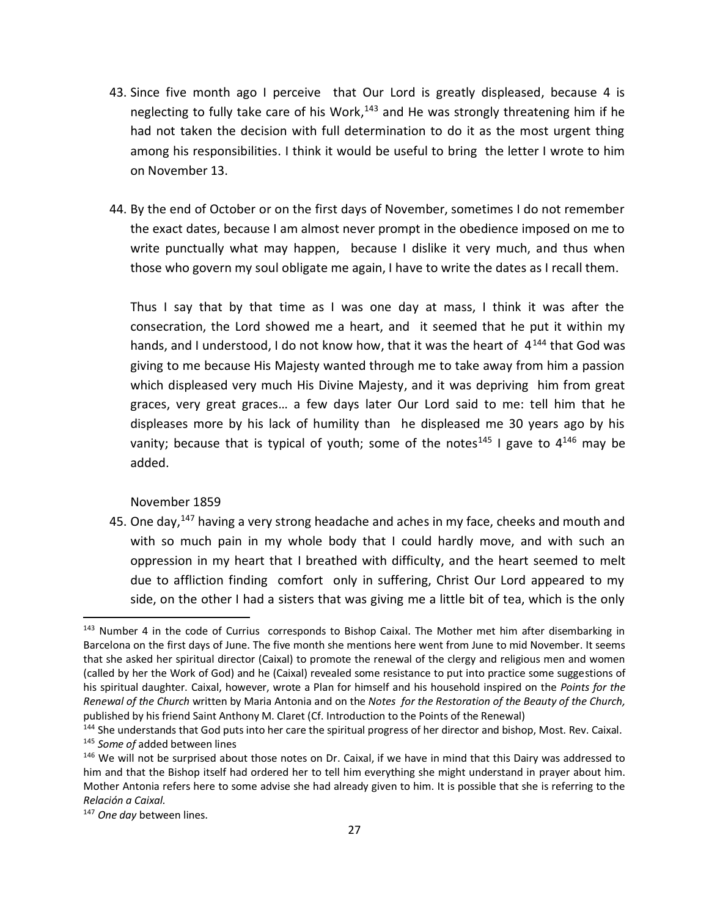- 43. Since five month ago I perceive that Our Lord is greatly displeased, because 4 is neglecting to fully take care of his Work,<sup>143</sup> and He was strongly threatening him if he had not taken the decision with full determination to do it as the most urgent thing among his responsibilities. I think it would be useful to bring the letter I wrote to him on November 13.
- 44. By the end of October or on the first days of November, sometimes I do not remember the exact dates, because I am almost never prompt in the obedience imposed on me to write punctually what may happen, because I dislike it very much, and thus when those who govern my soul obligate me again, I have to write the dates as I recall them.

Thus I say that by that time as I was one day at mass, I think it was after the consecration, the Lord showed me a heart, and it seemed that he put it within my hands, and I understood, I do not know how, that it was the heart of  $4^{144}$  that God was giving to me because His Majesty wanted through me to take away from him a passion which displeased very much His Divine Majesty, and it was depriving him from great graces, very great graces… a few days later Our Lord said to me: tell him that he displeases more by his lack of humility than he displeased me 30 years ago by his vanity; because that is typical of youth; some of the notes<sup>145</sup> I gave to  $4^{146}$  may be added.

November 1859

45. One day,<sup>147</sup> having a very strong headache and aches in my face, cheeks and mouth and with so much pain in my whole body that I could hardly move, and with such an oppression in my heart that I breathed with difficulty, and the heart seemed to melt due to affliction finding comfort only in suffering, Christ Our Lord appeared to my side, on the other I had a sisters that was giving me a little bit of tea, which is the only

<sup>&</sup>lt;sup>143</sup> Number 4 in the code of Currius corresponds to Bishop Caixal. The Mother met him after disembarking in Barcelona on the first days of June. The five month she mentions here went from June to mid November. It seems that she asked her spiritual director (Caixal) to promote the renewal of the clergy and religious men and women (called by her the Work of God) and he (Caixal) revealed some resistance to put into practice some suggestions of his spiritual daughter. Caixal, however, wrote a Plan for himself and his household inspired on the *Points for the Renewal of the Church* written by Maria Antonia and on the *Notes for the Restoration of the Beauty of the Church,*  published by his friend Saint Anthony M. Claret (Cf. Introduction to the Points of the Renewal)

<sup>144</sup> She understands that God puts into her care the spiritual progress of her director and bishop, Most. Rev. Caixal. <sup>145</sup> *Some of* added between lines

<sup>&</sup>lt;sup>146</sup> We will not be surprised about those notes on Dr. Caixal, if we have in mind that this Dairy was addressed to him and that the Bishop itself had ordered her to tell him everything she might understand in prayer about him. Mother Antonia refers here to some advise she had already given to him. It is possible that she is referring to the *Relación a Caixal.*

<sup>147</sup> *One day* between lines.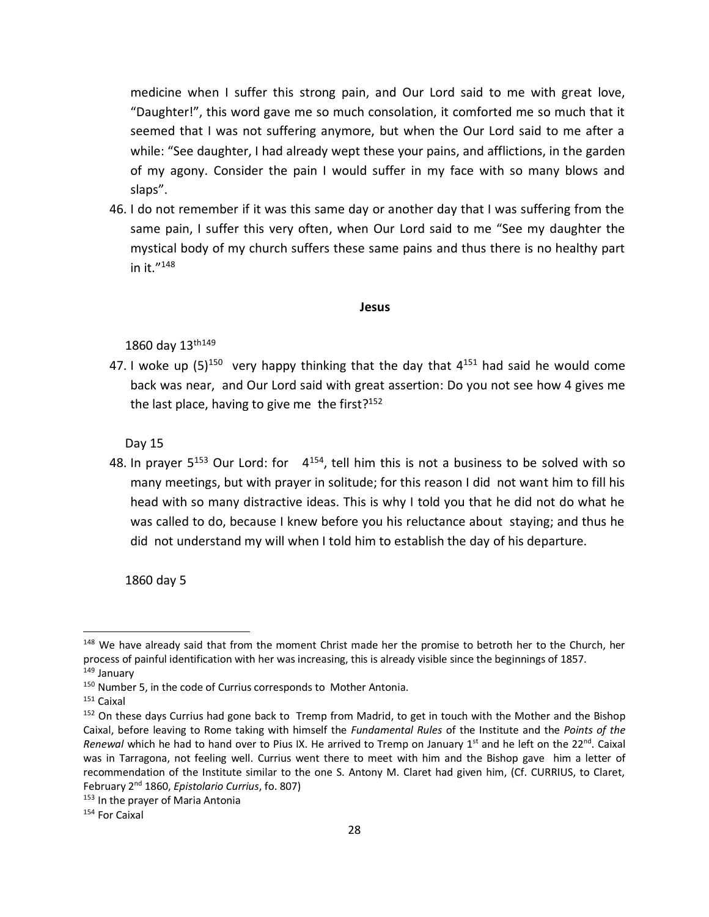medicine when I suffer this strong pain, and Our Lord said to me with great love, "Daughter!", this word gave me so much consolation, it comforted me so much that it seemed that I was not suffering anymore, but when the Our Lord said to me after a while: "See daughter, I had already wept these your pains, and afflictions, in the garden of my agony. Consider the pain I would suffer in my face with so many blows and slaps".

46. I do not remember if it was this same day or another day that I was suffering from the same pain, I suffer this very often, when Our Lord said to me "See my daughter the mystical body of my church suffers these same pains and thus there is no healthy part in it." 148

#### **Jesus**

1860 day 13th149

47. I woke up  $(5)^{150}$  very happy thinking that the day that  $4^{151}$  had said he would come back was near, and Our Lord said with great assertion: Do you not see how 4 gives me the last place, having to give me the first?<sup>152</sup>

Day 15

48. In prayer  $5^{153}$  Our Lord: for  $4^{154}$ , tell him this is not a business to be solved with so many meetings, but with prayer in solitude; for this reason I did not want him to fill his head with so many distractive ideas. This is why I told you that he did not do what he was called to do, because I knew before you his reluctance about staying; and thus he did not understand my will when I told him to establish the day of his departure.

1860 day 5

<sup>&</sup>lt;sup>148</sup> We have already said that from the moment Christ made her the promise to betroth her to the Church, her process of painful identification with her was increasing, this is already visible since the beginnings of 1857. <sup>149</sup> January

<sup>150</sup> Number 5, in the code of Currius corresponds to Mother Antonia.

<sup>151</sup> Caixal

<sup>&</sup>lt;sup>152</sup> On these days Currius had gone back to Tremp from Madrid, to get in touch with the Mother and the Bishop Caixal, before leaving to Rome taking with himself the *Fundamental Rules* of the Institute and the *Points of the Renewal* which he had to hand over to Pius IX. He arrived to Tremp on January 1<sup>st</sup> and he left on the 22<sup>nd</sup>. Caixal was in Tarragona, not feeling well. Currius went there to meet with him and the Bishop gave him a letter of recommendation of the Institute similar to the one S. Antony M. Claret had given him, (Cf. CURRIUS, to Claret, February 2nd 1860, *Epistolario Currius*, fo. 807)

<sup>&</sup>lt;sup>153</sup> In the prayer of Maria Antonia

<sup>154</sup> For Caixal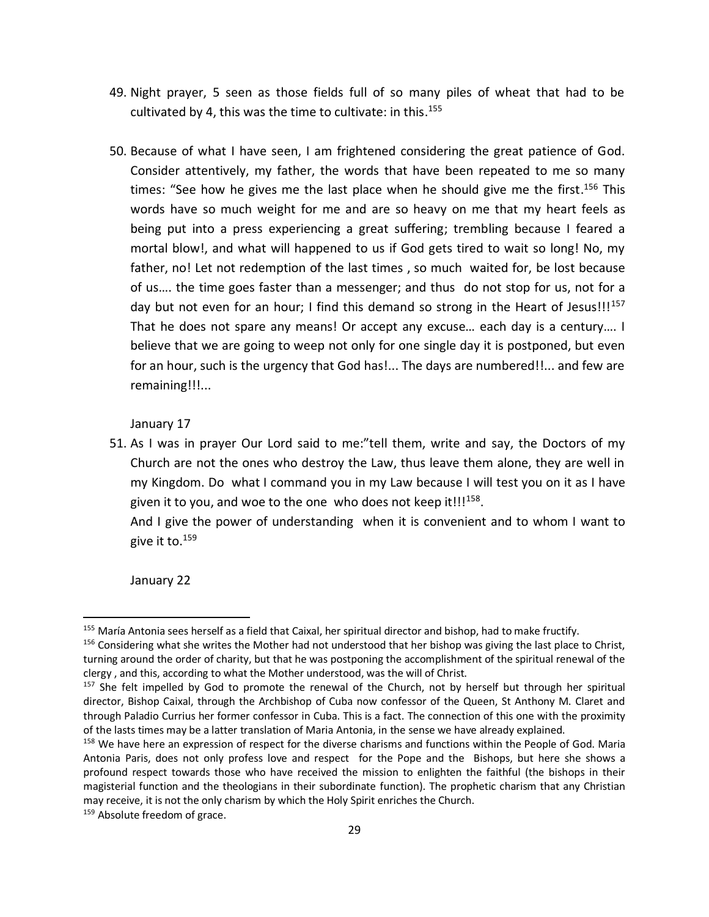- 49. Night prayer, 5 seen as those fields full of so many piles of wheat that had to be cultivated by 4, this was the time to cultivate: in this.<sup>155</sup>
- 50. Because of what I have seen, I am frightened considering the great patience of God. Consider attentively, my father, the words that have been repeated to me so many times: "See how he gives me the last place when he should give me the first.<sup>156</sup> This words have so much weight for me and are so heavy on me that my heart feels as being put into a press experiencing a great suffering; trembling because I feared a mortal blow!, and what will happened to us if God gets tired to wait so long! No, my father, no! Let not redemption of the last times , so much waited for, be lost because of us…. the time goes faster than a messenger; and thus do not stop for us, not for a day but not even for an hour; I find this demand so strong in the Heart of Jesus!!! $157$ That he does not spare any means! Or accept any excuse… each day is a century…. I believe that we are going to weep not only for one single day it is postponed, but even for an hour, such is the urgency that God has!... The days are numbered!!... and few are remaining!!!...

### January 17

51. As I was in prayer Our Lord said to me:"tell them, write and say, the Doctors of my Church are not the ones who destroy the Law, thus leave them alone, they are well in my Kingdom. Do what I command you in my Law because I will test you on it as I have given it to you, and woe to the one who does not keep it!!!<sup>158</sup>.

And I give the power of understanding when it is convenient and to whom I want to give it to. 159

January 22

 $\overline{a}$ 

159 Absolute freedom of grace.

<sup>&</sup>lt;sup>155</sup> María Antonia sees herself as a field that Caixal, her spiritual director and bishop, had to make fructify.

 $156$  Considering what she writes the Mother had not understood that her bishop was giving the last place to Christ, turning around the order of charity, but that he was postponing the accomplishment of the spiritual renewal of the clergy , and this, according to what the Mother understood, was the will of Christ.

<sup>&</sup>lt;sup>157</sup> She felt impelled by God to promote the renewal of the Church, not by herself but through her spiritual director, Bishop Caixal, through the Archbishop of Cuba now confessor of the Queen, St Anthony M. Claret and through Paladio Currius her former confessor in Cuba. This is a fact. The connection of this one with the proximity of the lasts times may be a latter translation of Maria Antonia, in the sense we have already explained.

<sup>&</sup>lt;sup>158</sup> We have here an expression of respect for the diverse charisms and functions within the People of God. Maria Antonia Paris, does not only profess love and respect for the Pope and the Bishops, but here she shows a profound respect towards those who have received the mission to enlighten the faithful (the bishops in their magisterial function and the theologians in their subordinate function). The prophetic charism that any Christian may receive, it is not the only charism by which the Holy Spirit enriches the Church.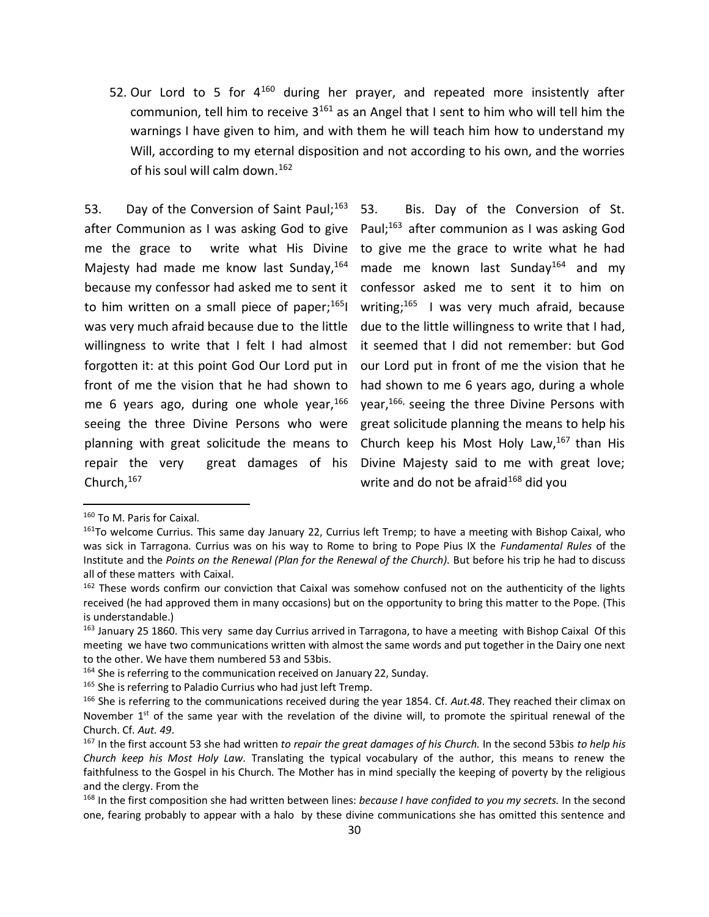52. Our Lord to 5 for  $4^{160}$  during her prayer, and repeated more insistently after communion, tell him to receive  $3^{161}$  as an Angel that I sent to him who will tell him the warnings I have given to him, and with them he will teach him how to understand my Will, according to my eternal disposition and not according to his own, and the worries of his soul will calm down. 162

53. Day of the Conversion of Saint Paul;<sup>163</sup> after Communion as I was asking God to give Paul;<sup>163</sup> after communion as I was asking God me the grace to write what His Divine Majesty had made me know last Sunday, 164 because my confessor had asked me to sent it confessor asked me to sent it to him on to him written on a small piece of paper;<sup>165</sup>l writing;<sup>165</sup> I was very much afraid, because was very much afraid because due to the little due to the little willingness to write that I had, willingness to write that I felt I had almost forgotten it: at this point God Our Lord put in our Lord put in front of me the vision that he front of me the vision that he had shown to me 6 years ago, during one whole year,<sup>166</sup> year,<sup>166,</sup> seeing the three Divine Persons with seeing the three Divine Persons who were planning with great solicitude the means to repair the very great damages of his Divine Majesty said to me with great love; Church, 167

Bis. Day of the Conversion of St. to give me the grace to write what he had made me known last Sunday<sup>164</sup> and my it seemed that I did not remember: but God had shown to me 6 years ago, during a whole great solicitude planning the means to help his Church keep his Most Holy Law, $167$  than His write and do not be afraid<sup>168</sup> did you

<sup>160</sup> To M. Paris for Caixal.

<sup>&</sup>lt;sup>161</sup>To welcome Currius. This same day January 22, Currius left Tremp; to have a meeting with Bishop Caixal, who was sick in Tarragona. Currius was on his way to Rome to bring to Pope Pius IX the *Fundamental Rules* of the Institute and the *Points on the Renewal (Plan for the Renewal of the Church).* But before his trip he had to discuss all of these matters with Caixal.

<sup>&</sup>lt;sup>162</sup> These words confirm our conviction that Caixal was somehow confused not on the authenticity of the lights received (he had approved them in many occasions) but on the opportunity to bring this matter to the Pope. (This is understandable.)

<sup>163</sup> January 25 1860. This very same day Currius arrived in Tarragona, to have a meeting with Bishop Caixal Of this meeting we have two communications written with almost the same words and put together in the Dairy one next to the other. We have them numbered 53 and 53bis.

<sup>&</sup>lt;sup>164</sup> She is referring to the communication received on January 22, Sunday.

<sup>&</sup>lt;sup>165</sup> She is referring to Paladio Currius who had just left Tremp.

<sup>166</sup> She is referring to the communications received during the year 1854. Cf. *Aut.48*. They reached their climax on November  $1<sup>st</sup>$  of the same year with the revelation of the divine will, to promote the spiritual renewal of the Church. Cf. *Aut. 49*.

<sup>167</sup> In the first account 53 she had written *to repair the great damages of his Church.* In the second 53bis *to help his Church keep his Most Holy Law.* Translating the typical vocabulary of the author, this means to renew the faithfulness to the Gospel in his Church. The Mother has in mind specially the keeping of poverty by the religious and the clergy. From the

<sup>168</sup> In the first composition she had written between lines: *because I have confided to you my secrets.* In the second one, fearing probably to appear with a halo by these divine communications she has omitted this sentence and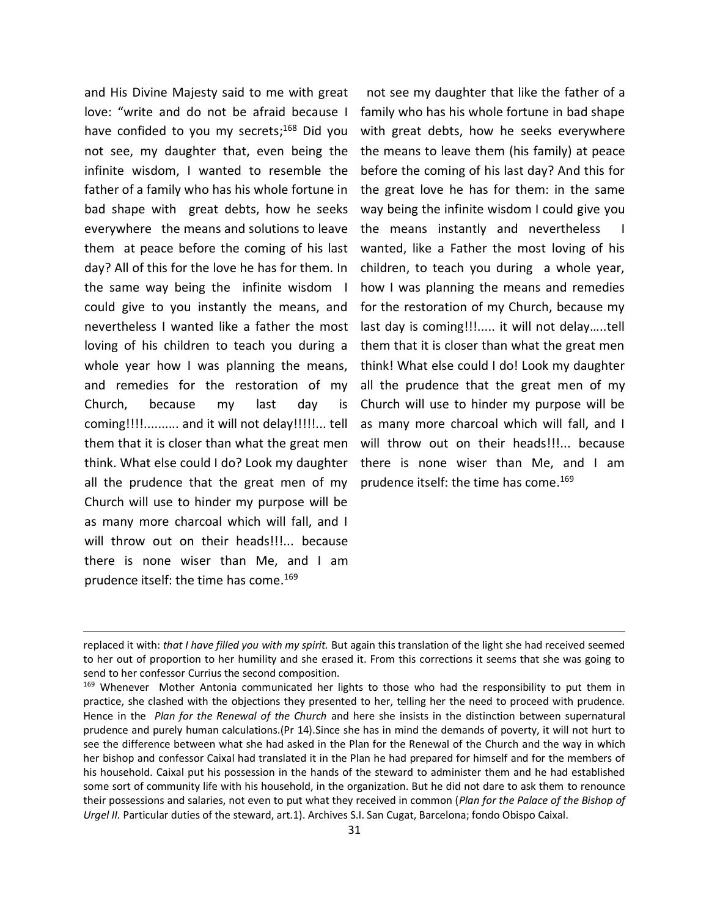and His Divine Majesty said to me with great love: "write and do not be afraid because I have confided to you my secrets; <sup>168</sup> Did you not see, my daughter that, even being the infinite wisdom, I wanted to resemble the father of a family who has his whole fortune in bad shape with great debts, how he seeks everywhere the means and solutions to leave them at peace before the coming of his last day? All of this for the love he has for them. In the same way being the infinite wisdom I could give to you instantly the means, and nevertheless I wanted like a father the most loving of his children to teach you during a whole year how I was planning the means, and remedies for the restoration of my Church, because my last day is coming!!!!.......... and it will not delay!!!!!... tell them that it is closer than what the great men think. What else could I do? Look my daughter all the prudence that the great men of my Church will use to hinder my purpose will be as many more charcoal which will fall, and I will throw out on their heads!!!... because there is none wiser than Me, and I am prudence itself: the time has come. 169

 $\overline{\phantom{a}}$ 

not see my daughter that like the father of a family who has his whole fortune in bad shape with great debts, how he seeks everywhere the means to leave them (his family) at peace before the coming of his last day? And this for the great love he has for them: in the same way being the infinite wisdom I could give you the means instantly and nevertheless I wanted, like a Father the most loving of his children, to teach you during a whole year, how I was planning the means and remedies for the restoration of my Church, because my last day is coming!!!..... it will not delay…..tell them that it is closer than what the great men think! What else could I do! Look my daughter all the prudence that the great men of my Church will use to hinder my purpose will be as many more charcoal which will fall, and I will throw out on their heads!!!... because there is none wiser than Me, and I am prudence itself: the time has come. 169

replaced it with: *that I have filled you with my spirit.* But again this translation of the light she had received seemed to her out of proportion to her humility and she erased it. From this corrections it seems that she was going to send to her confessor Currius the second composition.

<sup>169</sup> Whenever Mother Antonia communicated her lights to those who had the responsibility to put them in practice, she clashed with the objections they presented to her, telling her the need to proceed with prudence. Hence in the *Plan for the Renewal of the Church* and here she insists in the distinction between supernatural prudence and purely human calculations.(Pr 14).Since she has in mind the demands of poverty, it will not hurt to see the difference between what she had asked in the Plan for the Renewal of the Church and the way in which her bishop and confessor Caixal had translated it in the Plan he had prepared for himself and for the members of his household. Caixal put his possession in the hands of the steward to administer them and he had established some sort of community life with his household, in the organization. But he did not dare to ask them to renounce their possessions and salaries, not even to put what they received in common (*Plan for the Palace of the Bishop of Urgel II.* Particular duties of the steward, art.1). Archives S.I. San Cugat, Barcelona; fondo Obispo Caixal.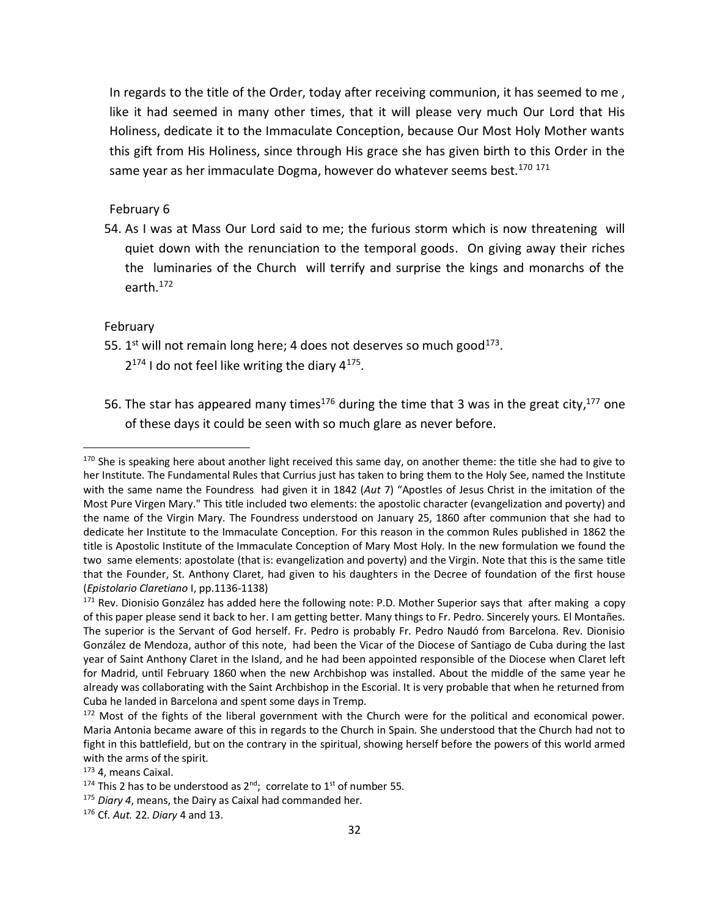In regards to the title of the Order, today after receiving communion, it has seemed to me , like it had seemed in many other times, that it will please very much Our Lord that His Holiness, dedicate it to the Immaculate Conception, because Our Most Holy Mother wants this gift from His Holiness, since through His grace she has given birth to this Order in the same year as her immaculate Dogma, however do whatever seems best.<sup>170 171</sup>

## February 6

54. As I was at Mass Our Lord said to me; the furious storm which is now threatening will quiet down with the renunciation to the temporal goods. On giving away their riches the luminaries of the Church will terrify and surprise the kings and monarchs of the earth. 172

### February

 $\overline{\phantom{a}}$ 

- 55.  $1<sup>st</sup>$  will not remain long here; 4 does not deserves so much good $<sup>173</sup>$ .</sup>  $2^{174}$  I do not feel like writing the diary  $4^{175}$ .
- 56. The star has appeared many times<sup>176</sup> during the time that 3 was in the great city,<sup>177</sup> one of these days it could be seen with so much glare as never before.

<sup>173</sup> 4, means Caixal.

<sup>176</sup> Cf*. Aut.* 22. *Diary* 4 and 13.

<sup>&</sup>lt;sup>170</sup> She is speaking here about another light received this same day, on another theme: the title she had to give to her Institute. The Fundamental Rules that Currius just has taken to bring them to the Holy See, named the Institute with the same name the Foundress had given it in 1842 (*Aut* 7) "Apostles of Jesus Christ in the imitation of the Most Pure Virgen Mary." This title included two elements: the apostolic character (evangelization and poverty) and the name of the Virgin Mary. The Foundress understood on January 25, 1860 after communion that she had to dedicate her Institute to the Immaculate Conception. For this reason in the common Rules published in 1862 the title is Apostolic Institute of the Immaculate Conception of Mary Most Holy. In the new formulation we found the two same elements: apostolate (that is: evangelization and poverty) and the Virgin. Note that this is the same title that the Founder, St. Anthony Claret, had given to his daughters in the Decree of foundation of the first house (*Epistolario Claretiano* I, pp.1136-1138)

 $171$  Rev. Dionisio González has added here the following note: P.D. Mother Superior says that after making a copy of this paper please send it back to her. I am getting better. Many things to Fr. Pedro. Sincerely yours. El Montañes. The superior is the Servant of God herself. Fr. Pedro is probably Fr. Pedro Naudó from Barcelona. Rev. Dionisio González de Mendoza, author of this note, had been the Vicar of the Diocese of Santiago de Cuba during the last year of Saint Anthony Claret in the Island, and he had been appointed responsible of the Diocese when Claret left for Madrid, until February 1860 when the new Archbishop was installed. About the middle of the same year he already was collaborating with the Saint Archbishop in the Escorial. It is very probable that when he returned from Cuba he landed in Barcelona and spent some days in Tremp.

<sup>&</sup>lt;sup>172</sup> Most of the fights of the liberal government with the Church were for the political and economical power. Maria Antonia became aware of this in regards to the Church in Spain. She understood that the Church had not to fight in this battlefield, but on the contrary in the spiritual, showing herself before the powers of this world armed with the arms of the spirit.

<sup>&</sup>lt;sup>174</sup> This 2 has to be understood as  $2^{nd}$ ; correlate to  $1^{st}$  of number 55.

<sup>175</sup> *Diary 4*, means, the Dairy as Caixal had commanded her.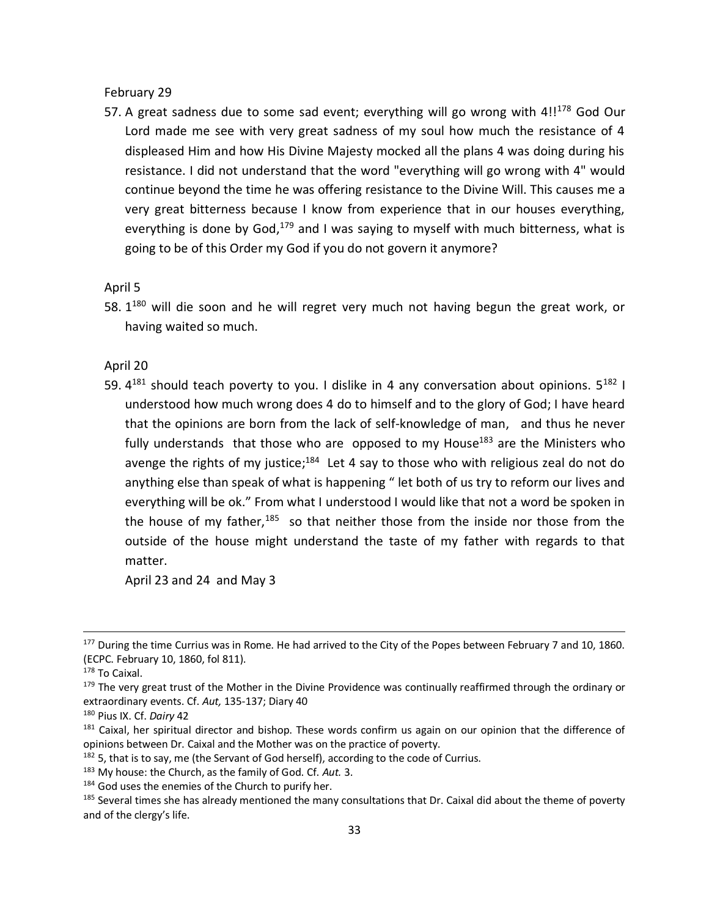February 29

57. A great sadness due to some sad event; everything will go wrong with  $4!!^{178}$  God Our Lord made me see with very great sadness of my soul how much the resistance of 4 displeased Him and how His Divine Majesty mocked all the plans 4 was doing during his resistance. I did not understand that the word "everything will go wrong with 4" would continue beyond the time he was offering resistance to the Divine Will. This causes me a very great bitterness because I know from experience that in our houses everything, everything is done by God,<sup>179</sup> and I was saying to myself with much bitterness, what is going to be of this Order my God if you do not govern it anymore?

April 5

58. 1<sup>180</sup> will die soon and he will regret very much not having begun the great work, or having waited so much.

April 20

59.  $4^{181}$  should teach poverty to you. I dislike in 4 any conversation about opinions.  $5^{182}$  I understood how much wrong does 4 do to himself and to the glory of God; I have heard that the opinions are born from the lack of self-knowledge of man, and thus he never fully understands that those who are opposed to my House<sup>183</sup> are the Ministers who avenge the rights of my justice;<sup>184</sup> Let 4 say to those who with religious zeal do not do anything else than speak of what is happening " let both of us try to reform our lives and everything will be ok." From what I understood I would like that not a word be spoken in the house of my father,<sup>185</sup> so that neither those from the inside nor those from the outside of the house might understand the taste of my father with regards to that matter.

April 23 and 24 and May 3

<sup>&</sup>lt;sup>177</sup> During the time Currius was in Rome. He had arrived to the City of the Popes between February 7 and 10, 1860. (ECPC. February 10, 1860, fol 811).

<sup>178</sup> To Caixal.

<sup>&</sup>lt;sup>179</sup> The very great trust of the Mother in the Divine Providence was continually reaffirmed through the ordinary or extraordinary events. Cf. *Aut,* 135-137; Diary 40

<sup>180</sup> Pius IX. Cf. *Dairy* 42

<sup>&</sup>lt;sup>181</sup> Caixal, her spiritual director and bishop. These words confirm us again on our opinion that the difference of opinions between Dr. Caixal and the Mother was on the practice of poverty.

<sup>&</sup>lt;sup>182</sup> 5, that is to say, me (the Servant of God herself), according to the code of Currius.

<sup>183</sup> My house: the Church, as the family of God. Cf. *Aut.* 3.

<sup>184</sup> God uses the enemies of the Church to purify her.

<sup>&</sup>lt;sup>185</sup> Several times she has already mentioned the many consultations that Dr. Caixal did about the theme of poverty and of the clergy's life.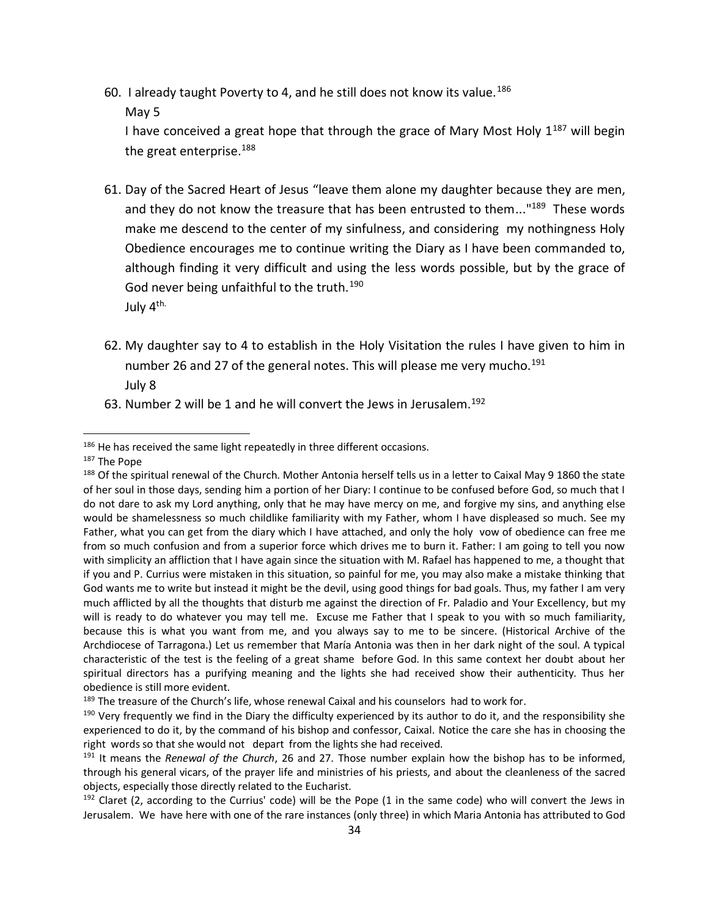- 60. I already taught Poverty to 4, and he still does not know its value.<sup>186</sup>
	- May 5

I have conceived a great hope that through the grace of Mary Most Holy  $1^{187}$  will begin the great enterprise.<sup>188</sup>

- 61. Day of the Sacred Heart of Jesus "leave them alone my daughter because they are men, and they do not know the treasure that has been entrusted to them..."<sup>189</sup> These words make me descend to the center of my sinfulness, and considering my nothingness Holy Obedience encourages me to continue writing the Diary as I have been commanded to, although finding it very difficult and using the less words possible, but by the grace of God never being unfaithful to the truth.<sup>190</sup> July 4th.
- 62. My daughter say to 4 to establish in the Holy Visitation the rules I have given to him in number 26 and 27 of the general notes. This will please me very mucho.<sup>191</sup> July 8
- 63. Number 2 will be 1 and he will convert the Jews in Jerusalem.<sup>192</sup>

<sup>&</sup>lt;sup>186</sup> He has received the same light repeatedly in three different occasions.

<sup>187</sup> The Pope

<sup>&</sup>lt;sup>188</sup> Of the spiritual renewal of the Church. Mother Antonia herself tells us in a letter to Caixal May 9 1860 the state of her soul in those days, sending him a portion of her Diary: I continue to be confused before God, so much that I do not dare to ask my Lord anything, only that he may have mercy on me, and forgive my sins, and anything else would be shamelessness so much childlike familiarity with my Father, whom I have displeased so much. See my Father, what you can get from the diary which I have attached, and only the holy vow of obedience can free me from so much confusion and from a superior force which drives me to burn it. Father: I am going to tell you now with simplicity an affliction that I have again since the situation with M. Rafael has happened to me, a thought that if you and P. Currius were mistaken in this situation, so painful for me, you may also make a mistake thinking that God wants me to write but instead it might be the devil, using good things for bad goals. Thus, my father I am very much afflicted by all the thoughts that disturb me against the direction of Fr. Paladio and Your Excellency, but my will is ready to do whatever you may tell me. Excuse me Father that I speak to you with so much familiarity, because this is what you want from me, and you always say to me to be sincere. (Historical Archive of the Archdiocese of Tarragona.) Let us remember that María Antonia was then in her dark night of the soul. A typical characteristic of the test is the feeling of a great shame before God. In this same context her doubt about her spiritual directors has a purifying meaning and the lights she had received show their authenticity. Thus her obedience is still more evident.

<sup>&</sup>lt;sup>189</sup> The treasure of the Church's life, whose renewal Caixal and his counselors had to work for.

 $190$  Very frequently we find in the Diary the difficulty experienced by its author to do it, and the responsibility she experienced to do it, by the command of his bishop and confessor, Caixal. Notice the care she has in choosing the right words so that she would not depart from the lights she had received.

<sup>191</sup> It means the *Renewal of the Church*, 26 and 27. Those number explain how the bishop has to be informed, through his general vicars, of the prayer life and ministries of his priests, and about the cleanleness of the sacred objects, especially those directly related to the Eucharist.

 $192$  Claret (2, according to the Currius' code) will be the Pope (1 in the same code) who will convert the Jews in Jerusalem. We have here with one of the rare instances (only three) in which Maria Antonia has attributed to God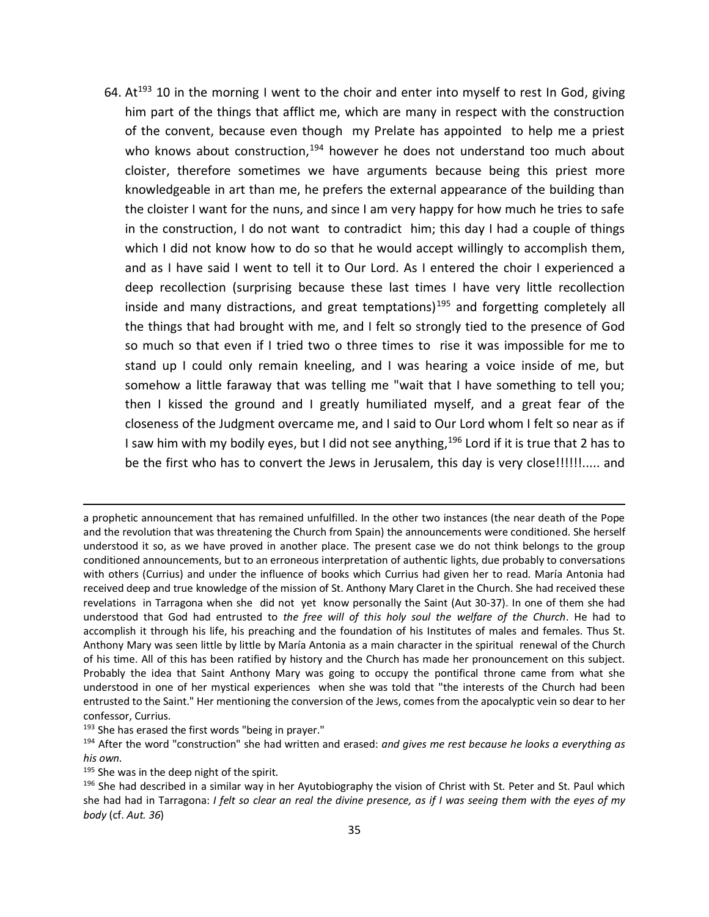64. At<sup>193</sup> 10 in the morning I went to the choir and enter into myself to rest In God, giving him part of the things that afflict me, which are many in respect with the construction of the convent, because even though my Prelate has appointed to help me a priest who knows about construction, $194$  however he does not understand too much about cloister, therefore sometimes we have arguments because being this priest more knowledgeable in art than me, he prefers the external appearance of the building than the cloister I want for the nuns, and since I am very happy for how much he tries to safe in the construction, I do not want to contradict him; this day I had a couple of things which I did not know how to do so that he would accept willingly to accomplish them, and as I have said I went to tell it to Our Lord. As I entered the choir I experienced a deep recollection (surprising because these last times I have very little recollection inside and many distractions, and great temptations)<sup>195</sup> and forgetting completely all the things that had brought with me, and I felt so strongly tied to the presence of God so much so that even if I tried two o three times to rise it was impossible for me to stand up I could only remain kneeling, and I was hearing a voice inside of me, but somehow a little faraway that was telling me "wait that I have something to tell you; then I kissed the ground and I greatly humiliated myself, and a great fear of the closeness of the Judgment overcame me, and I said to Our Lord whom I felt so near as if I saw him with my bodily eyes, but I did not see anything,  $196$  Lord if it is true that 2 has to be the first who has to convert the Jews in Jerusalem, this day is very close!!!!!!..... and

<sup>193</sup> She has erased the first words "being in prayer."

a prophetic announcement that has remained unfulfilled. In the other two instances (the near death of the Pope and the revolution that was threatening the Church from Spain) the announcements were conditioned. She herself understood it so, as we have proved in another place. The present case we do not think belongs to the group conditioned announcements, but to an erroneous interpretation of authentic lights, due probably to conversations with others (Currius) and under the influence of books which Currius had given her to read. María Antonia had received deep and true knowledge of the mission of St. Anthony Mary Claret in the Church. She had received these revelations in Tarragona when she did not yet know personally the Saint (Aut 30-37). In one of them she had understood that God had entrusted to *the free will of this holy soul the welfare of the Church*. He had to accomplish it through his life, his preaching and the foundation of his Institutes of males and females. Thus St. Anthony Mary was seen little by little by María Antonia as a main character in the spiritual renewal of the Church of his time. All of this has been ratified by history and the Church has made her pronouncement on this subject. Probably the idea that Saint Anthony Mary was going to occupy the pontifical throne came from what she understood in one of her mystical experiences when she was told that "the interests of the Church had been entrusted to the Saint." Her mentioning the conversion of the Jews, comes from the apocalyptic vein so dear to her confessor, Currius.

<sup>194</sup> After the word "construction" she had written and erased: *and gives me rest because he looks a everything as his own.* 

 $195$  She was in the deep night of the spirit.

 $196$  She had described in a similar way in her Ayutobiography the vision of Christ with St. Peter and St. Paul which she had had in Tarragona: *I felt so clear an real the divine presence, as if I was seeing them with the eyes of my body* (cf. *Aut. 36*)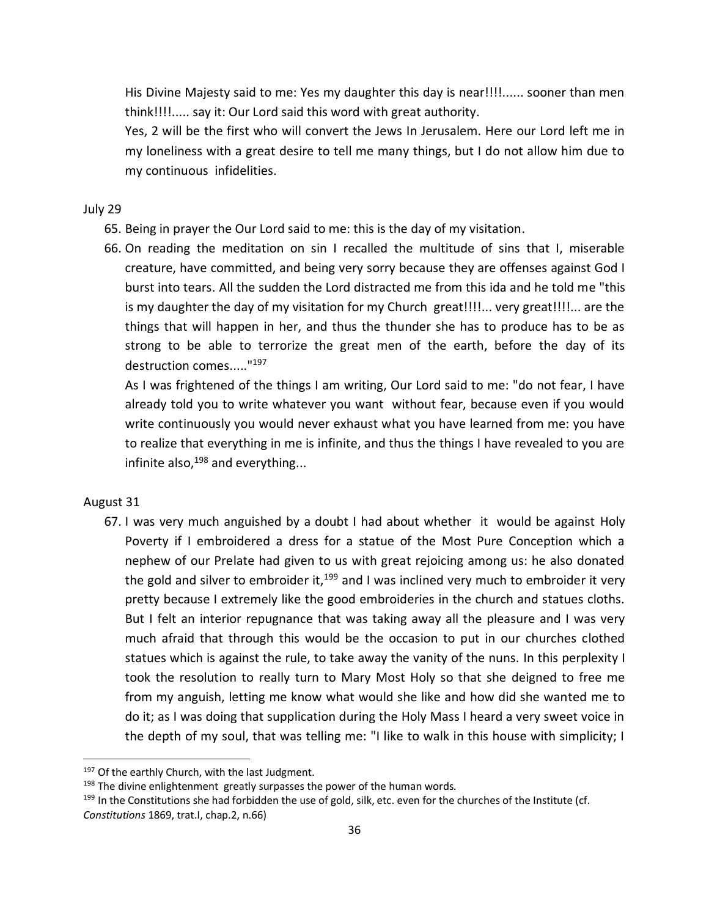His Divine Majesty said to me: Yes my daughter this day is near!!!!...... sooner than men think!!!!..... say it: Our Lord said this word with great authority.

Yes, 2 will be the first who will convert the Jews In Jerusalem. Here our Lord left me in my loneliness with a great desire to tell me many things, but I do not allow him due to my continuous infidelities.

## July 29

- 65. Being in prayer the Our Lord said to me: this is the day of my visitation.
- 66. On reading the meditation on sin I recalled the multitude of sins that I, miserable creature, have committed, and being very sorry because they are offenses against God I burst into tears. All the sudden the Lord distracted me from this ida and he told me "this is my daughter the day of my visitation for my Church great!!!!... very great!!!!... are the things that will happen in her, and thus the thunder she has to produce has to be as strong to be able to terrorize the great men of the earth, before the day of its destruction comes....."<sup>197</sup>

As I was frightened of the things I am writing, Our Lord said to me: "do not fear, I have already told you to write whatever you want without fear, because even if you would write continuously you would never exhaust what you have learned from me: you have to realize that everything in me is infinite, and thus the things I have revealed to you are infinite also, $198$  and everything...

## August 31

 $\overline{a}$ 

67. I was very much anguished by a doubt I had about whether it would be against Holy Poverty if I embroidered a dress for a statue of the Most Pure Conception which a nephew of our Prelate had given to us with great rejoicing among us: he also donated the gold and silver to embroider it,  $199$  and I was inclined very much to embroider it very pretty because I extremely like the good embroideries in the church and statues cloths. But I felt an interior repugnance that was taking away all the pleasure and I was very much afraid that through this would be the occasion to put in our churches clothed statues which is against the rule, to take away the vanity of the nuns. In this perplexity I took the resolution to really turn to Mary Most Holy so that she deigned to free me from my anguish, letting me know what would she like and how did she wanted me to do it; as I was doing that supplication during the Holy Mass I heard a very sweet voice in the depth of my soul, that was telling me: "I like to walk in this house with simplicity; I

<sup>&</sup>lt;sup>197</sup> Of the earthly Church, with the last Judgment.

 $198$  The divine enlightenment greatly surpasses the power of the human words.

 $199$  In the Constitutions she had forbidden the use of gold, silk, etc. even for the churches of the Institute (cf. *Constitutions* 1869, trat.I, chap.2, n.66)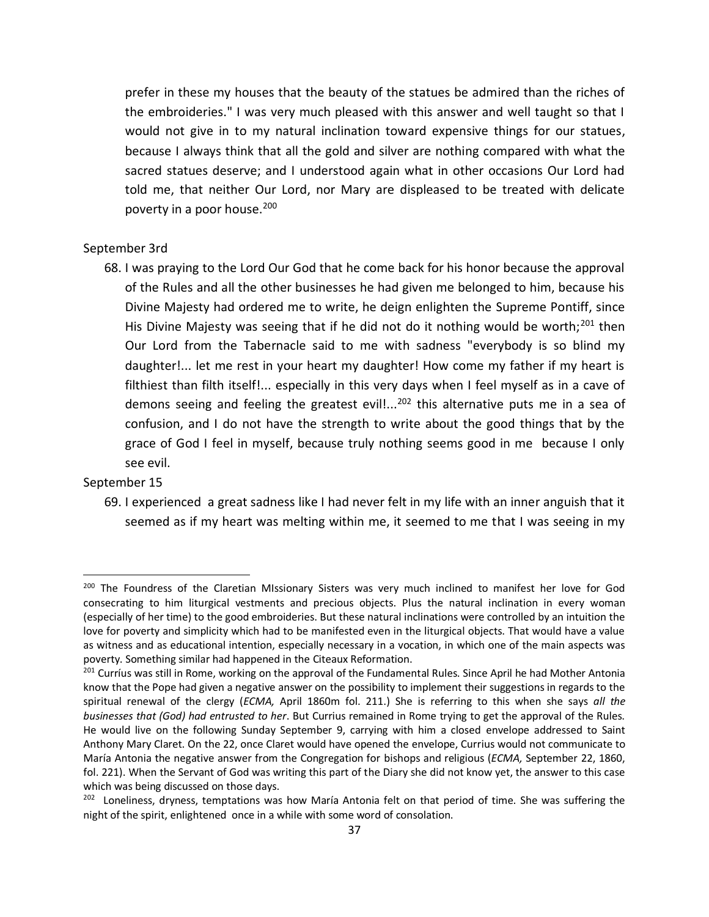prefer in these my houses that the beauty of the statues be admired than the riches of the embroideries." I was very much pleased with this answer and well taught so that I would not give in to my natural inclination toward expensive things for our statues, because I always think that all the gold and silver are nothing compared with what the sacred statues deserve; and I understood again what in other occasions Our Lord had told me, that neither Our Lord, nor Mary are displeased to be treated with delicate poverty in a poor house.<sup>200</sup>

## September 3rd

68. I was praying to the Lord Our God that he come back for his honor because the approval of the Rules and all the other businesses he had given me belonged to him, because his Divine Majesty had ordered me to write, he deign enlighten the Supreme Pontiff, since His Divine Majesty was seeing that if he did not do it nothing would be worth;<sup>201</sup> then Our Lord from the Tabernacle said to me with sadness "everybody is so blind my daughter!... let me rest in your heart my daughter! How come my father if my heart is filthiest than filth itself!... especially in this very days when I feel myself as in a cave of demons seeing and feeling the greatest evil!...<sup>202</sup> this alternative puts me in a sea of confusion, and I do not have the strength to write about the good things that by the grace of God I feel in myself, because truly nothing seems good in me because I only see evil.

### September 15

 $\overline{a}$ 

69. I experienced a great sadness like I had never felt in my life with an inner anguish that it seemed as if my heart was melting within me, it seemed to me that I was seeing in my

<sup>&</sup>lt;sup>200</sup> The Foundress of the Claretian MIssionary Sisters was very much inclined to manifest her love for God consecrating to him liturgical vestments and precious objects. Plus the natural inclination in every woman (especially of her time) to the good embroideries. But these natural inclinations were controlled by an intuition the love for poverty and simplicity which had to be manifested even in the liturgical objects. That would have a value as witness and as educational intention, especially necessary in a vocation, in which one of the main aspects was poverty. Something similar had happened in the Citeaux Reformation.

<sup>&</sup>lt;sup>201</sup> Curríus was still in Rome, working on the approval of the Fundamental Rules. Since April he had Mother Antonia know that the Pope had given a negative answer on the possibility to implement their suggestions in regards to the spiritual renewal of the clergy (*ECMA,* April 1860m fol. 211.) She is referring to this when she says *all the businesses that (God) had entrusted to her*. But Currius remained in Rome trying to get the approval of the Rules. He would live on the following Sunday September 9, carrying with him a closed envelope addressed to Saint Anthony Mary Claret. On the 22, once Claret would have opened the envelope, Currius would not communicate to María Antonia the negative answer from the Congregation for bishops and religious (*ECMA,* September 22, 1860, fol. 221). When the Servant of God was writing this part of the Diary she did not know yet, the answer to this case which was being discussed on those days.

<sup>&</sup>lt;sup>202</sup> Loneliness, dryness, temptations was how María Antonia felt on that period of time. She was suffering the night of the spirit, enlightened once in a while with some word of consolation.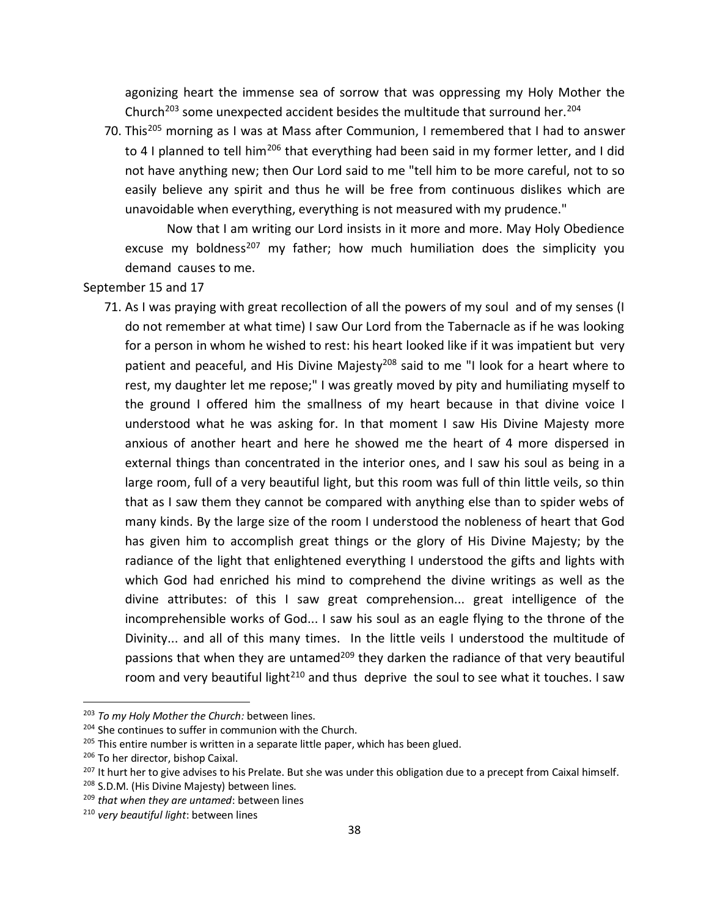agonizing heart the immense sea of sorrow that was oppressing my Holy Mother the Church<sup>203</sup> some unexpected accident besides the multitude that surround her.<sup>204</sup>

70. This<sup>205</sup> morning as I was at Mass after Communion, I remembered that I had to answer to 4 I planned to tell him<sup>206</sup> that everything had been said in my former letter, and I did not have anything new; then Our Lord said to me "tell him to be more careful, not to so easily believe any spirit and thus he will be free from continuous dislikes which are unavoidable when everything, everything is not measured with my prudence."

Now that I am writing our Lord insists in it more and more. May Holy Obedience excuse my boldness<sup>207</sup> my father; how much humiliation does the simplicity you demand causes to me.

September 15 and 17

71. As I was praying with great recollection of all the powers of my soul and of my senses (I do not remember at what time) I saw Our Lord from the Tabernacle as if he was looking for a person in whom he wished to rest: his heart looked like if it was impatient but very patient and peaceful, and His Divine Majesty<sup>208</sup> said to me "I look for a heart where to rest, my daughter let me repose;" I was greatly moved by pity and humiliating myself to the ground I offered him the smallness of my heart because in that divine voice I understood what he was asking for. In that moment I saw His Divine Majesty more anxious of another heart and here he showed me the heart of 4 more dispersed in external things than concentrated in the interior ones, and I saw his soul as being in a large room, full of a very beautiful light, but this room was full of thin little veils, so thin that as I saw them they cannot be compared with anything else than to spider webs of many kinds. By the large size of the room I understood the nobleness of heart that God has given him to accomplish great things or the glory of His Divine Majesty; by the radiance of the light that enlightened everything I understood the gifts and lights with which God had enriched his mind to comprehend the divine writings as well as the divine attributes: of this I saw great comprehension... great intelligence of the incomprehensible works of God... I saw his soul as an eagle flying to the throne of the Divinity... and all of this many times. In the little veils I understood the multitude of passions that when they are untamed<sup>209</sup> they darken the radiance of that very beautiful room and very beautiful light<sup>210</sup> and thus deprive the soul to see what it touches. I saw

<sup>203</sup> *To my Holy Mother the Church:* between lines.

<sup>&</sup>lt;sup>204</sup> She continues to suffer in communion with the Church.

 $205$  This entire number is written in a separate little paper, which has been glued.

<sup>&</sup>lt;sup>206</sup> To her director, bishop Caixal.

<sup>&</sup>lt;sup>207</sup> It hurt her to give advises to his Prelate. But she was under this obligation due to a precept from Caixal himself.

<sup>&</sup>lt;sup>208</sup> S.D.M. (His Divine Majesty) between lines.

<sup>209</sup> *that when they are untamed*: between lines

<sup>210</sup> *very beautiful light*: between lines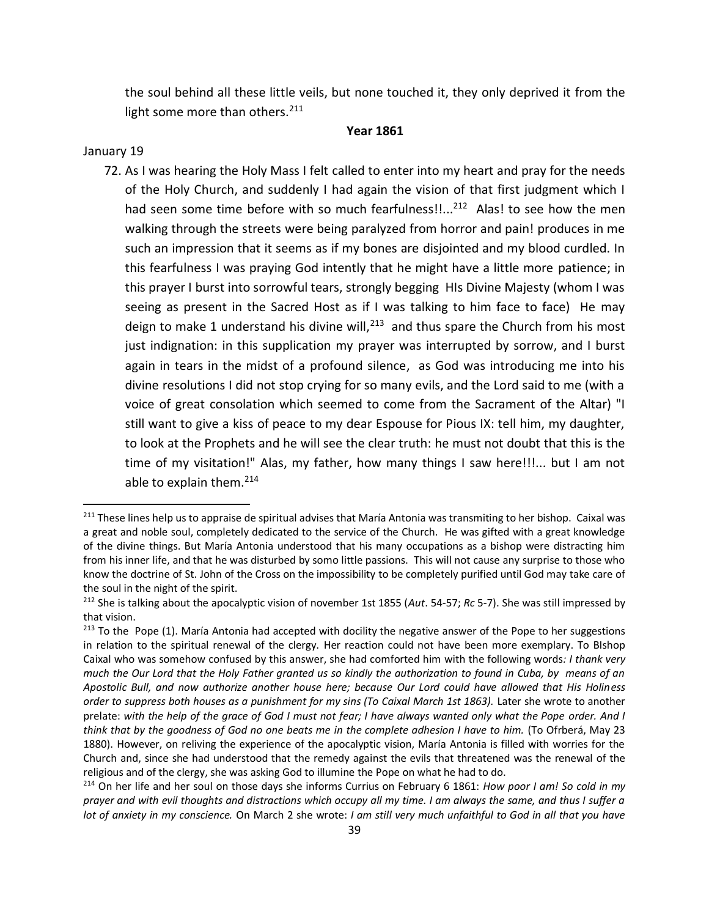the soul behind all these little veils, but none touched it, they only deprived it from the light some more than others.<sup>211</sup>

### **Year 1861**

### January 19

 $\overline{\phantom{a}}$ 

72. As I was hearing the Holy Mass I felt called to enter into my heart and pray for the needs of the Holy Church, and suddenly I had again the vision of that first judgment which I had seen some time before with so much fearfulness!!...<sup>212</sup> Alas! to see how the men walking through the streets were being paralyzed from horror and pain! produces in me such an impression that it seems as if my bones are disjointed and my blood curdled. In this fearfulness I was praying God intently that he might have a little more patience; in this prayer I burst into sorrowful tears, strongly begging HIs Divine Majesty (whom I was seeing as present in the Sacred Host as if I was talking to him face to face) He may deign to make 1 understand his divine will, $^{213}$  and thus spare the Church from his most just indignation: in this supplication my prayer was interrupted by sorrow, and I burst again in tears in the midst of a profound silence, as God was introducing me into his divine resolutions I did not stop crying for so many evils, and the Lord said to me (with a voice of great consolation which seemed to come from the Sacrament of the Altar) "I still want to give a kiss of peace to my dear Espouse for Pious IX: tell him, my daughter, to look at the Prophets and he will see the clear truth: he must not doubt that this is the time of my visitation!" Alas, my father, how many things I saw here!!!... but I am not able to explain them. $214$ 

<sup>&</sup>lt;sup>211</sup> These lines help us to appraise de spiritual advises that María Antonia was transmiting to her bishop. Caixal was a great and noble soul, completely dedicated to the service of the Church. He was gifted with a great knowledge of the divine things. But María Antonia understood that his many occupations as a bishop were distracting him from his inner life, and that he was disturbed by somo little passions. This will not cause any surprise to those who know the doctrine of St. John of the Cross on the impossibility to be completely purified until God may take care of the soul in the night of the spirit.

<sup>212</sup> She is talking about the apocalyptic vision of november 1st 1855 (*Aut*. 54-57; *Rc* 5-7). She was still impressed by that vision.

<sup>&</sup>lt;sup>213</sup> To the Pope (1). María Antonia had accepted with docility the negative answer of the Pope to her suggestions in relation to the spiritual renewal of the clergy. Her reaction could not have been more exemplary. To BIshop Caixal who was somehow confused by this answer, she had comforted him with the following words*: I thank very much the Our Lord that the Holy Father granted us so kindly the authorization to found in Cuba, by means of an Apostolic Bull, and now authorize another house here; because Our Lord could have allowed that His Holiness order to suppress both houses as a punishment for my sins (To Caixal March 1st 1863).* Later she wrote to another prelate: *with the help of the grace of God I must not fear; I have always wanted only what the Pope order. And I think that by the goodness of God no one beats me in the complete adhesion I have to him.* (To Ofrberá, May 23 1880). However, on reliving the experience of the apocalyptic vision, María Antonia is filled with worries for the Church and, since she had understood that the remedy against the evils that threatened was the renewal of the religious and of the clergy, she was asking God to illumine the Pope on what he had to do.

<sup>214</sup> On her life and her soul on those days she informs Currius on February 6 1861: *How poor I am! So cold in my prayer and with evil thoughts and distractions which occupy all my time. I am always the same, and thus I suffer a lot of anxiety in my conscience.* On March 2 she wrote: *I am still very much unfaithful to God in all that you have*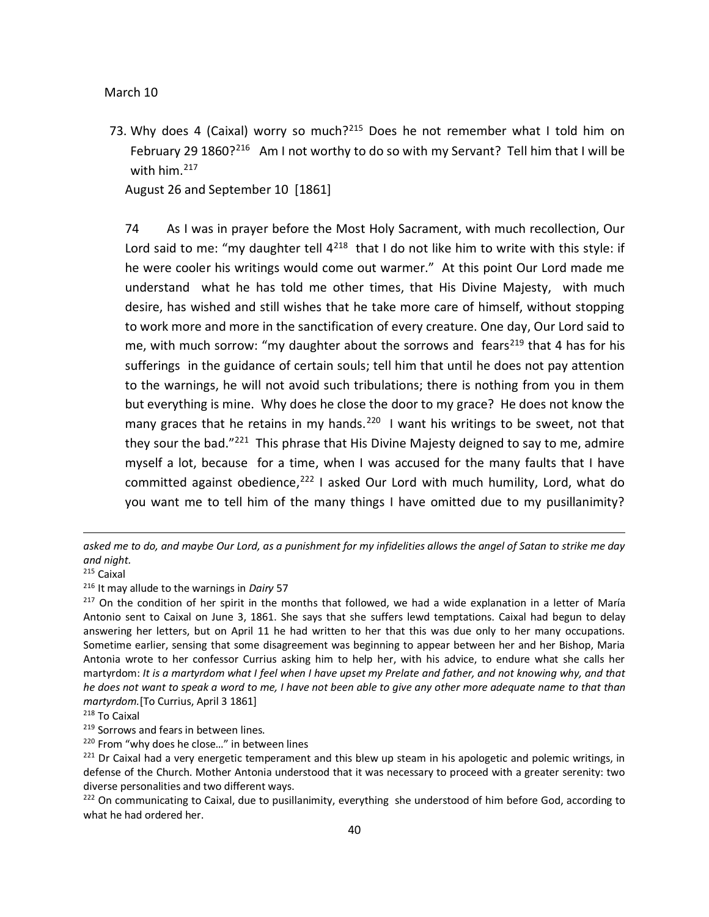#### March 10

73. Why does 4 (Caixal) worry so much?<sup>215</sup> Does he not remember what I told him on February 29 1860?<sup>216</sup> Am I not worthy to do so with my Servant? Tell him that I will be with him.<sup>217</sup>

August 26 and September 10 [1861]

74 As I was in prayer before the Most Holy Sacrament, with much recollection, Our Lord said to me: "my daughter tell  $4^{218}$  that I do not like him to write with this style: if he were cooler his writings would come out warmer." At this point Our Lord made me understand what he has told me other times, that His Divine Majesty, with much desire, has wished and still wishes that he take more care of himself, without stopping to work more and more in the sanctification of every creature. One day, Our Lord said to me, with much sorrow: "my daughter about the sorrows and fears<sup>219</sup> that 4 has for his sufferings in the guidance of certain souls; tell him that until he does not pay attention to the warnings, he will not avoid such tribulations; there is nothing from you in them but everything is mine. Why does he close the door to my grace? He does not know the many graces that he retains in my hands.<sup>220</sup> I want his writings to be sweet, not that they sour the bad."<sup>221</sup> This phrase that His Divine Majesty deigned to say to me, admire myself a lot, because for a time, when I was accused for the many faults that I have committed against obedience, $222$  I asked Our Lord with much humility, Lord, what do you want me to tell him of the many things I have omitted due to my pusillanimity?

*asked me to do, and maybe Our Lord, as a punishment for my infidelities allows the angel of Satan to strike me day and night.* 

<sup>215</sup> Caixal

<sup>216</sup> It may allude to the warnings in *Dairy* 57

 $217$  On the condition of her spirit in the months that followed, we had a wide explanation in a letter of María Antonio sent to Caixal on June 3, 1861. She says that she suffers lewd temptations. Caixal had begun to delay answering her letters, but on April 11 he had written to her that this was due only to her many occupations. Sometime earlier, sensing that some disagreement was beginning to appear between her and her Bishop, Maria Antonia wrote to her confessor Currius asking him to help her, with his advice, to endure what she calls her martyrdom: *It is a martyrdom what I feel when I have upset my Prelate and father, and not knowing why, and that he does not want to speak a word to me, I have not been able to give any other more adequate name to that than martyrdom.*[To Currius, April 3 1861]

<sup>218</sup> To Caixal

<sup>&</sup>lt;sup>219</sup> Sorrows and fears in between lines.

<sup>&</sup>lt;sup>220</sup> From "why does he close..." in between lines

<sup>&</sup>lt;sup>221</sup> Dr Caixal had a very energetic temperament and this blew up steam in his apologetic and polemic writings, in defense of the Church. Mother Antonia understood that it was necessary to proceed with a greater serenity: two diverse personalities and two different ways.

<sup>&</sup>lt;sup>222</sup> On communicating to Caixal, due to pusillanimity, everything she understood of him before God, according to what he had ordered her.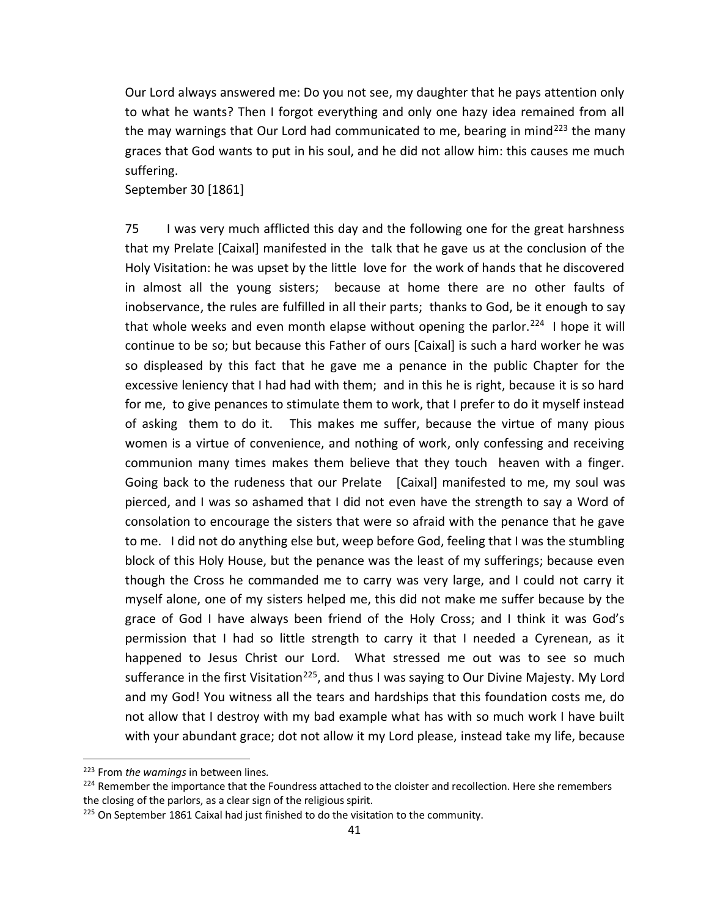Our Lord always answered me: Do you not see, my daughter that he pays attention only to what he wants? Then I forgot everything and only one hazy idea remained from all the may warnings that Our Lord had communicated to me, bearing in mind<sup>223</sup> the many graces that God wants to put in his soul, and he did not allow him: this causes me much suffering.

September 30 [1861]

75 I was very much afflicted this day and the following one for the great harshness that my Prelate [Caixal] manifested in the talk that he gave us at the conclusion of the Holy Visitation: he was upset by the little love for the work of hands that he discovered in almost all the young sisters; because at home there are no other faults of inobservance, the rules are fulfilled in all their parts; thanks to God, be it enough to say that whole weeks and even month elapse without opening the parlor.<sup>224</sup> I hope it will continue to be so; but because this Father of ours [Caixal] is such a hard worker he was so displeased by this fact that he gave me a penance in the public Chapter for the excessive leniency that I had had with them; and in this he is right, because it is so hard for me, to give penances to stimulate them to work, that I prefer to do it myself instead of asking them to do it. This makes me suffer, because the virtue of many pious women is a virtue of convenience, and nothing of work, only confessing and receiving communion many times makes them believe that they touch heaven with a finger. Going back to the rudeness that our Prelate [Caixal] manifested to me, my soul was pierced, and I was so ashamed that I did not even have the strength to say a Word of consolation to encourage the sisters that were so afraid with the penance that he gave to me. I did not do anything else but, weep before God, feeling that I was the stumbling block of this Holy House, but the penance was the least of my sufferings; because even though the Cross he commanded me to carry was very large, and I could not carry it myself alone, one of my sisters helped me, this did not make me suffer because by the grace of God I have always been friend of the Holy Cross; and I think it was God's permission that I had so little strength to carry it that I needed a Cyrenean, as it happened to Jesus Christ our Lord. What stressed me out was to see so much sufferance in the first Visitation<sup>225</sup>, and thus I was saying to Our Divine Majesty. My Lord and my God! You witness all the tears and hardships that this foundation costs me, do not allow that I destroy with my bad example what has with so much work I have built with your abundant grace; dot not allow it my Lord please, instead take my life, because

<sup>223</sup> From *the warnings* in between lines*.*

<sup>&</sup>lt;sup>224</sup> Remember the importance that the Foundress attached to the cloister and recollection. Here she remembers the closing of the parlors, as a clear sign of the religious spirit.

<sup>&</sup>lt;sup>225</sup> On September 1861 Caixal had just finished to do the visitation to the community.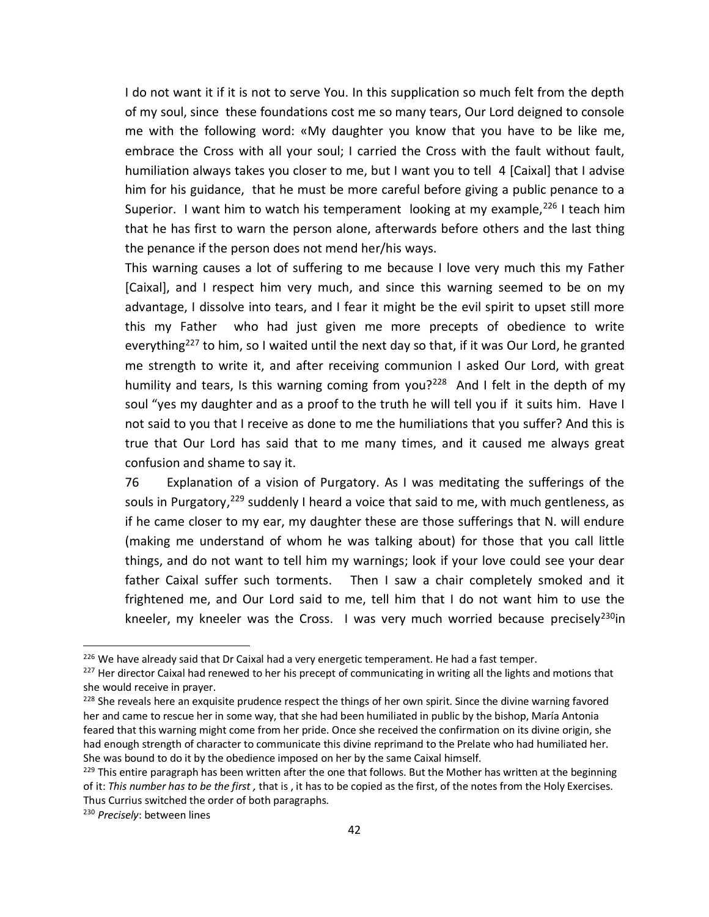I do not want it if it is not to serve You. In this supplication so much felt from the depth of my soul, since these foundations cost me so many tears, Our Lord deigned to console me with the following word: «My daughter you know that you have to be like me, embrace the Cross with all your soul; I carried the Cross with the fault without fault, humiliation always takes you closer to me, but I want you to tell 4 [Caixal] that I advise him for his guidance, that he must be more careful before giving a public penance to a Superior. I want him to watch his temperament looking at my example,  $226$  I teach him that he has first to warn the person alone, afterwards before others and the last thing the penance if the person does not mend her/his ways.

This warning causes a lot of suffering to me because I love very much this my Father [Caixal], and I respect him very much, and since this warning seemed to be on my advantage, I dissolve into tears, and I fear it might be the evil spirit to upset still more this my Father who had just given me more precepts of obedience to write everything<sup>227</sup> to him, so I waited until the next day so that, if it was Our Lord, he granted me strength to write it, and after receiving communion I asked Our Lord, with great humility and tears, Is this warning coming from you?<sup>228</sup> And I felt in the depth of my soul "yes my daughter and as a proof to the truth he will tell you if it suits him. Have I not said to you that I receive as done to me the humiliations that you suffer? And this is true that Our Lord has said that to me many times, and it caused me always great confusion and shame to say it.

76 Explanation of a vision of Purgatory. As I was meditating the sufferings of the souls in Purgatory,<sup>229</sup> suddenly I heard a voice that said to me, with much gentleness, as if he came closer to my ear, my daughter these are those sufferings that N. will endure (making me understand of whom he was talking about) for those that you call little things, and do not want to tell him my warnings; look if your love could see your dear father Caixal suffer such torments. Then I saw a chair completely smoked and it frightened me, and Our Lord said to me, tell him that I do not want him to use the kneeler, my kneeler was the Cross. I was very much worried because precisely<sup>230</sup>in

 $226$  We have already said that Dr Caixal had a very energetic temperament. He had a fast temper.

<sup>&</sup>lt;sup>227</sup> Her director Caixal had renewed to her his precept of communicating in writing all the lights and motions that she would receive in prayer.

<sup>&</sup>lt;sup>228</sup> She reveals here an exquisite prudence respect the things of her own spirit. Since the divine warning favored her and came to rescue her in some way, that she had been humiliated in public by the bishop, María Antonia feared that this warning might come from her pride. Once she received the confirmation on its divine origin, she had enough strength of character to communicate this divine reprimand to the Prelate who had humiliated her. She was bound to do it by the obedience imposed on her by the same Caixal himself.

 $^{229}$  This entire paragraph has been written after the one that follows. But the Mother has written at the beginning of it: *This number has to be the first ,* that is , it has to be copied as the first, of the notes from the Holy Exercises. Thus Currius switched the order of both paragraphs.

<sup>230</sup> *Precisely*: between lines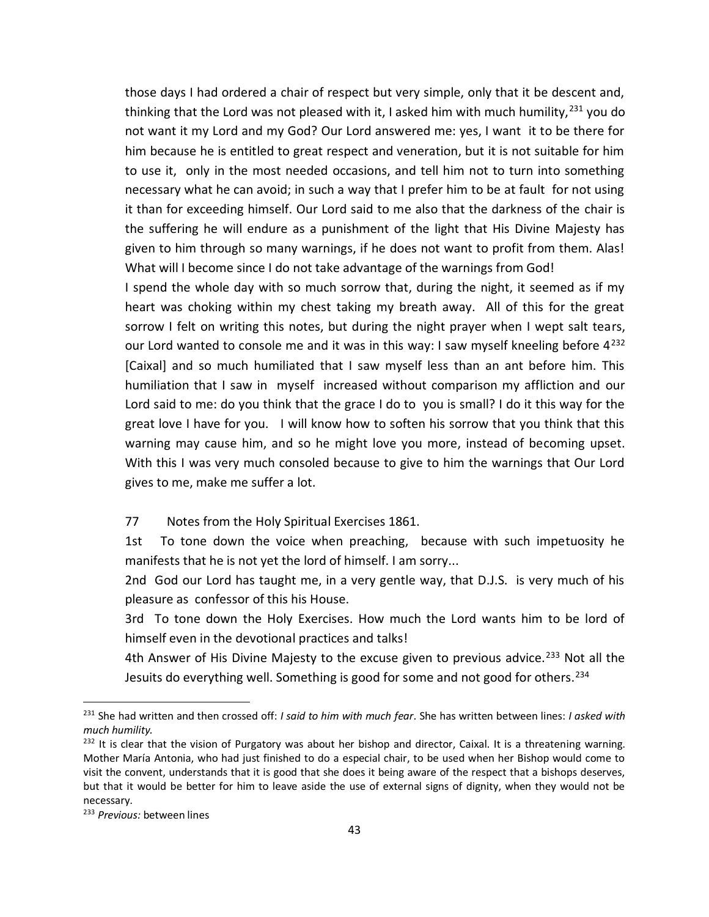those days I had ordered a chair of respect but very simple, only that it be descent and, thinking that the Lord was not pleased with it, I asked him with much humility,  $231$  you do not want it my Lord and my God? Our Lord answered me: yes, I want it to be there for him because he is entitled to great respect and veneration, but it is not suitable for him to use it, only in the most needed occasions, and tell him not to turn into something necessary what he can avoid; in such a way that I prefer him to be at fault for not using it than for exceeding himself. Our Lord said to me also that the darkness of the chair is the suffering he will endure as a punishment of the light that His Divine Majesty has given to him through so many warnings, if he does not want to profit from them. Alas! What will I become since I do not take advantage of the warnings from God!

I spend the whole day with so much sorrow that, during the night, it seemed as if my heart was choking within my chest taking my breath away. All of this for the great sorrow I felt on writing this notes, but during the night prayer when I wept salt tears, our Lord wanted to console me and it was in this way: I saw myself kneeling before  $4^{232}$ [Caixal] and so much humiliated that I saw myself less than an ant before him. This humiliation that I saw in myself increased without comparison my affliction and our Lord said to me: do you think that the grace I do to you is small? I do it this way for the great love I have for you. I will know how to soften his sorrow that you think that this warning may cause him, and so he might love you more, instead of becoming upset. With this I was very much consoled because to give to him the warnings that Our Lord gives to me, make me suffer a lot.

77 Notes from the Holy Spiritual Exercises 1861.

1st To tone down the voice when preaching, because with such impetuosity he manifests that he is not yet the lord of himself. I am sorry...

2nd God our Lord has taught me, in a very gentle way, that D.J.S. is very much of his pleasure as confessor of this his House.

3rd To tone down the Holy Exercises. How much the Lord wants him to be lord of himself even in the devotional practices and talks!

4th Answer of His Divine Majesty to the excuse given to previous advice.<sup>233</sup> Not all the Jesuits do everything well. Something is good for some and not good for others.<sup>234</sup>

<sup>231</sup> She had written and then crossed off: *I said to him with much fear*. She has written between lines: *I asked with much humility.*

 $232$  It is clear that the vision of Purgatory was about her bishop and director, Caixal. It is a threatening warning. Mother María Antonia, who had just finished to do a especial chair, to be used when her Bishop would come to visit the convent, understands that it is good that she does it being aware of the respect that a bishops deserves, but that it would be better for him to leave aside the use of external signs of dignity, when they would not be necessary.

<sup>233</sup> *Previous:* between lines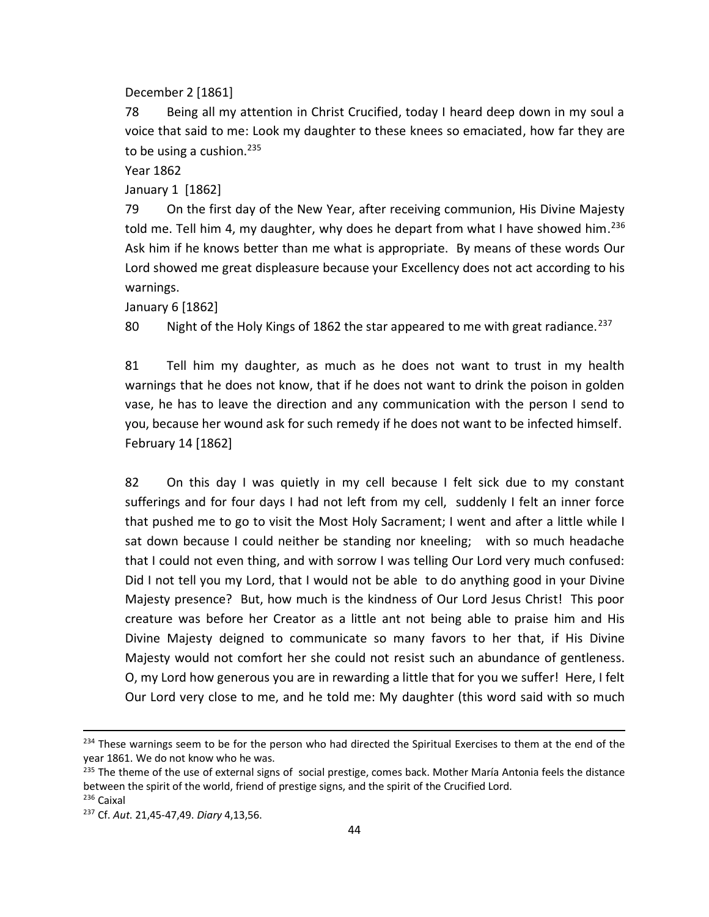December 2 [1861]

78 Being all my attention in Christ Crucified, today I heard deep down in my soul a voice that said to me: Look my daughter to these knees so emaciated, how far they are to be using a cushion.<sup>235</sup>

Year 1862

January 1 [1862]

79 On the first day of the New Year, after receiving communion, His Divine Majesty told me. Tell him 4, my daughter, why does he depart from what I have showed him.<sup>236</sup> Ask him if he knows better than me what is appropriate. By means of these words Our Lord showed me great displeasure because your Excellency does not act according to his warnings.

January 6 [1862]

80 Night of the Holy Kings of 1862 the star appeared to me with great radiance.<sup>237</sup>

81 Tell him my daughter, as much as he does not want to trust in my health warnings that he does not know, that if he does not want to drink the poison in golden vase, he has to leave the direction and any communication with the person I send to you, because her wound ask for such remedy if he does not want to be infected himself. February 14 [1862]

82 On this day I was quietly in my cell because I felt sick due to my constant sufferings and for four days I had not left from my cell, suddenly I felt an inner force that pushed me to go to visit the Most Holy Sacrament; I went and after a little while I sat down because I could neither be standing nor kneeling; with so much headache that I could not even thing, and with sorrow I was telling Our Lord very much confused: Did I not tell you my Lord, that I would not be able to do anything good in your Divine Majesty presence? But, how much is the kindness of Our Lord Jesus Christ! This poor creature was before her Creator as a little ant not being able to praise him and His Divine Majesty deigned to communicate so many favors to her that, if His Divine Majesty would not comfort her she could not resist such an abundance of gentleness. O, my Lord how generous you are in rewarding a little that for you we suffer! Here, I felt Our Lord very close to me, and he told me: My daughter (this word said with so much

<sup>&</sup>lt;sup>234</sup> These warnings seem to be for the person who had directed the Spiritual Exercises to them at the end of the year 1861. We do not know who he was.

<sup>&</sup>lt;sup>235</sup> The theme of the use of external signs of social prestige, comes back. Mother María Antonia feels the distance between the spirit of the world, friend of prestige signs, and the spirit of the Crucified Lord. <sup>236</sup> Caixal

<sup>237</sup> Cf. *Aut*. 21,45-47,49. *Diary* 4,13,56.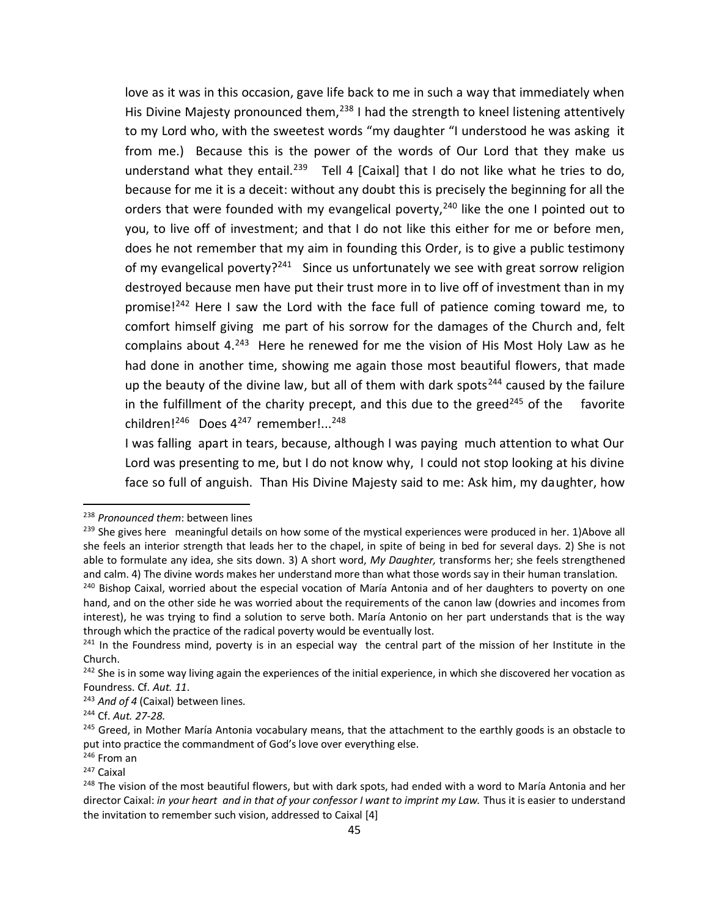love as it was in this occasion, gave life back to me in such a way that immediately when His Divine Majesty pronounced them,<sup>238</sup> I had the strength to kneel listening attentively to my Lord who, with the sweetest words "my daughter "I understood he was asking it from me.) Because this is the power of the words of Our Lord that they make us understand what they entail.<sup>239</sup> Tell 4 [Caixal] that I do not like what he tries to do, because for me it is a deceit: without any doubt this is precisely the beginning for all the orders that were founded with my evangelical poverty,<sup>240</sup> like the one I pointed out to you, to live off of investment; and that I do not like this either for me or before men, does he not remember that my aim in founding this Order, is to give a public testimony of my evangelical poverty?<sup>241</sup> Since us unfortunately we see with great sorrow religion destroyed because men have put their trust more in to live off of investment than in my promise!<sup>242</sup> Here I saw the Lord with the face full of patience coming toward me, to comfort himself giving me part of his sorrow for the damages of the Church and, felt complains about  $4.^{243}$  Here he renewed for me the vision of His Most Holy Law as he had done in another time, showing me again those most beautiful flowers, that made up the beauty of the divine law, but all of them with dark spots<sup>244</sup> caused by the failure in the fulfillment of the charity precept, and this due to the greed<sup>245</sup> of the favorite  $children!^{246}$  Does  $4^{247}$  remember!...<sup>248</sup>

I was falling apart in tears, because, although I was paying much attention to what Our Lord was presenting to me, but I do not know why, I could not stop looking at his divine face so full of anguish. Than His Divine Majesty said to me: Ask him, my daughter, how

<sup>238</sup> *Pronounced them*: between lines

<sup>&</sup>lt;sup>239</sup> She gives here meaningful details on how some of the mystical experiences were produced in her. 1)Above all she feels an interior strength that leads her to the chapel, in spite of being in bed for several days. 2) She is not able to formulate any idea, she sits down. 3) A short word, *My Daughter,* transforms her; she feels strengthened and calm. 4) The divine words makes her understand more than what those words say in their human translation.

<sup>&</sup>lt;sup>240</sup> Bishop Caixal, worried about the especial vocation of María Antonia and of her daughters to poverty on one hand, and on the other side he was worried about the requirements of the canon law (dowries and incomes from interest), he was trying to find a solution to serve both. María Antonio on her part understands that is the way through which the practice of the radical poverty would be eventually lost.

 $241$  In the Foundress mind, poverty is in an especial way the central part of the mission of her Institute in the Church.

<sup>&</sup>lt;sup>242</sup> She is in some way living again the experiences of the initial experience, in which she discovered her vocation as Foundress. Cf*. Aut. 11*.

<sup>&</sup>lt;sup>243</sup> And of 4 (Caixal) between lines.

<sup>244</sup> Cf. *Aut. 27-28*.

<sup>&</sup>lt;sup>245</sup> Greed, in Mother María Antonia vocabulary means, that the attachment to the earthly goods is an obstacle to put into practice the commandment of God's love over everything else.

<sup>246</sup> From an

<sup>247</sup> Caixal

<sup>&</sup>lt;sup>248</sup> The vision of the most beautiful flowers, but with dark spots, had ended with a word to María Antonia and her director Caixal: *in your heart and in that of your confessor I want to imprint my Law.* Thus it is easier to understand the invitation to remember such vision, addressed to Caixal [4]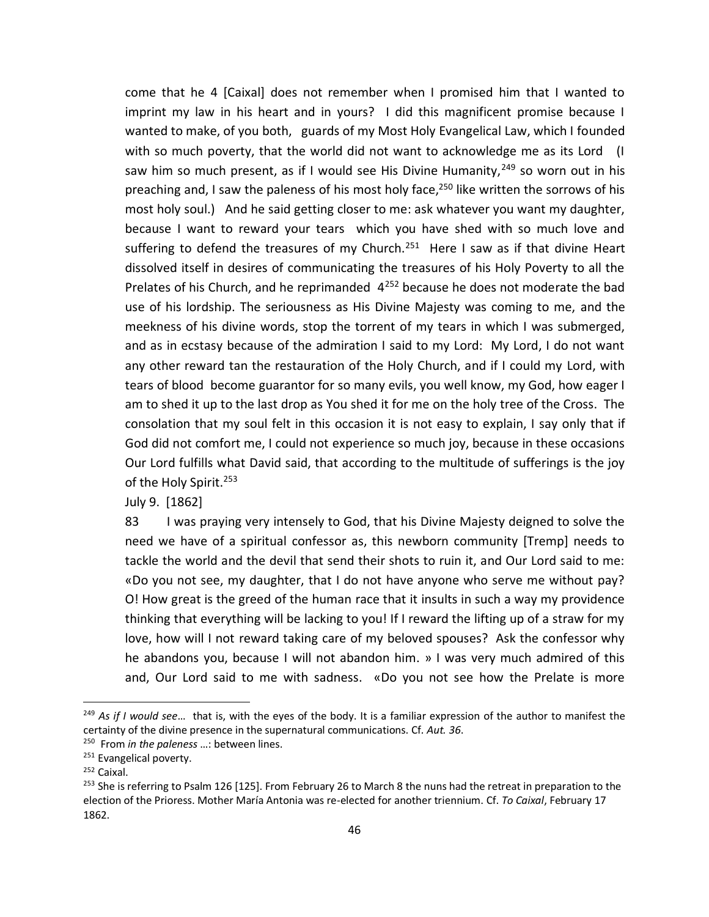come that he 4 [Caixal] does not remember when I promised him that I wanted to imprint my law in his heart and in yours? I did this magnificent promise because I wanted to make, of you both, guards of my Most Holy Evangelical Law, which I founded with so much poverty, that the world did not want to acknowledge me as its Lord (I saw him so much present, as if I would see His Divine Humanity,  $249$  so worn out in his preaching and, I saw the paleness of his most holy face,<sup>250</sup> like written the sorrows of his most holy soul.) And he said getting closer to me: ask whatever you want my daughter, because I want to reward your tears which you have shed with so much love and suffering to defend the treasures of my Church.<sup>251</sup> Here I saw as if that divine Heart dissolved itself in desires of communicating the treasures of his Holy Poverty to all the Prelates of his Church, and he reprimanded  $4^{252}$  because he does not moderate the bad use of his lordship. The seriousness as His Divine Majesty was coming to me, and the meekness of his divine words, stop the torrent of my tears in which I was submerged, and as in ecstasy because of the admiration I said to my Lord: My Lord, I do not want any other reward tan the restauration of the Holy Church, and if I could my Lord, with tears of blood become guarantor for so many evils, you well know, my God, how eager I am to shed it up to the last drop as You shed it for me on the holy tree of the Cross. The consolation that my soul felt in this occasion it is not easy to explain, I say only that if God did not comfort me, I could not experience so much joy, because in these occasions Our Lord fulfills what David said, that according to the multitude of sufferings is the joy of the Holy Spirit.<sup>253</sup>

July 9. [1862]

83 I was praying very intensely to God, that his Divine Majesty deigned to solve the need we have of a spiritual confessor as, this newborn community [Tremp] needs to tackle the world and the devil that send their shots to ruin it, and Our Lord said to me: «Do you not see, my daughter, that I do not have anyone who serve me without pay? O! How great is the greed of the human race that it insults in such a way my providence thinking that everything will be lacking to you! If I reward the lifting up of a straw for my love, how will I not reward taking care of my beloved spouses? Ask the confessor why he abandons you, because I will not abandon him. » I was very much admired of this and, Our Lord said to me with sadness. «Do you not see how the Prelate is more

<sup>249</sup> *As if I would see*… that is, with the eyes of the body. It is a familiar expression of the author to manifest the certainty of the divine presence in the supernatural communications. Cf*. Aut. 36*.

<sup>250</sup> From *in the paleness* …: between lines.

<sup>&</sup>lt;sup>251</sup> Evangelical poverty.

<sup>252</sup> Caixal.

<sup>&</sup>lt;sup>253</sup> She is referring to Psalm 126 [125]. From February 26 to March 8 the nuns had the retreat in preparation to the election of the Prioress. Mother María Antonia was re-elected for another triennium. Cf. *To Caixal*, February 17 1862.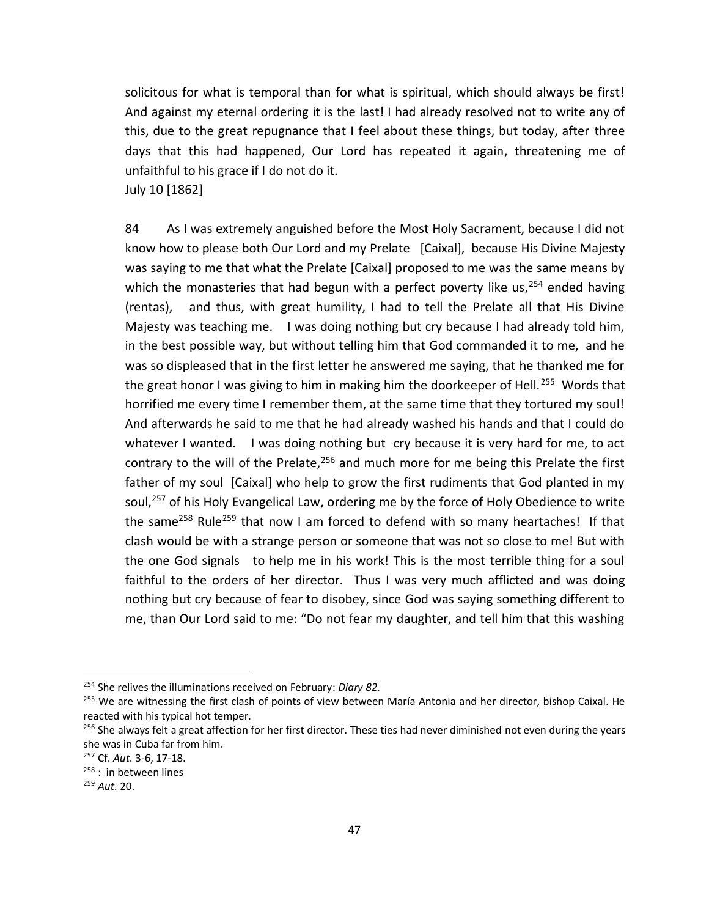solicitous for what is temporal than for what is spiritual, which should always be first! And against my eternal ordering it is the last! I had already resolved not to write any of this, due to the great repugnance that I feel about these things, but today, after three days that this had happened, Our Lord has repeated it again, threatening me of unfaithful to his grace if I do not do it.

July 10 [1862]

84 As I was extremely anguished before the Most Holy Sacrament, because I did not know how to please both Our Lord and my Prelate [Caixal], because His Divine Majesty was saying to me that what the Prelate [Caixal] proposed to me was the same means by which the monasteries that had begun with a perfect poverty like us,  $254$  ended having (rentas), and thus, with great humility, I had to tell the Prelate all that His Divine Majesty was teaching me. I was doing nothing but cry because I had already told him, in the best possible way, but without telling him that God commanded it to me, and he was so displeased that in the first letter he answered me saying, that he thanked me for the great honor I was giving to him in making him the doorkeeper of Hell.<sup>255</sup> Words that horrified me every time I remember them, at the same time that they tortured my soul! And afterwards he said to me that he had already washed his hands and that I could do whatever I wanted. I was doing nothing but cry because it is very hard for me, to act contrary to the will of the Prelate,  $256$  and much more for me being this Prelate the first father of my soul [Caixal] who help to grow the first rudiments that God planted in my soul,<sup>257</sup> of his Holy Evangelical Law, ordering me by the force of Holy Obedience to write the same<sup>258</sup> Rule<sup>259</sup> that now I am forced to defend with so many heartaches! If that clash would be with a strange person or someone that was not so close to me! But with the one God signals to help me in his work! This is the most terrible thing for a soul faithful to the orders of her director. Thus I was very much afflicted and was doing nothing but cry because of fear to disobey, since God was saying something different to me, than Our Lord said to me: "Do not fear my daughter, and tell him that this washing

<sup>254</sup> She relives the illuminations received on February: *Diary 82*.

<sup>&</sup>lt;sup>255</sup> We are witnessing the first clash of points of view between María Antonia and her director, bishop Caixal. He reacted with his typical hot temper.

<sup>&</sup>lt;sup>256</sup> She always felt a great affection for her first director. These ties had never diminished not even during the years she was in Cuba far from him.

<sup>257</sup> Cf. *Aut*. 3-6, 17-18.

<sup>&</sup>lt;sup>258</sup> : in between lines

<sup>259</sup> *Aut*. 20.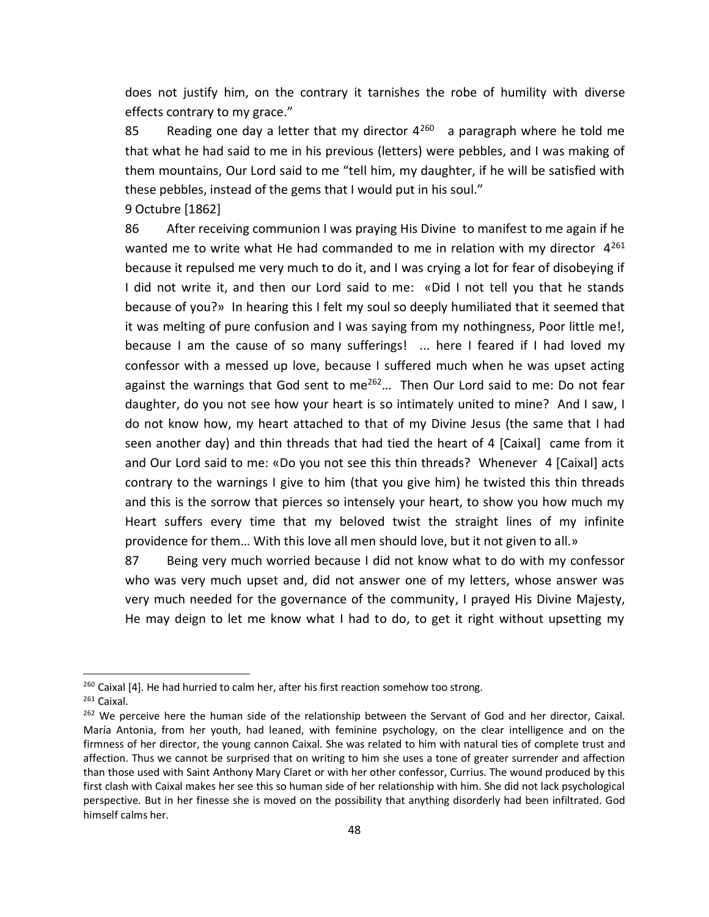does not justify him, on the contrary it tarnishes the robe of humility with diverse effects contrary to my grace."

85 Reading one day a letter that my director  $4^{260}$  a paragraph where he told me that what he had said to me in his previous (letters) were pebbles, and I was making of them mountains, Our Lord said to me "tell him, my daughter, if he will be satisfied with these pebbles, instead of the gems that I would put in his soul."

9 Octubre [1862]

86 After receiving communion I was praying His Divine to manifest to me again if he wanted me to write what He had commanded to me in relation with my director  $4^{261}$ because it repulsed me very much to do it, and I was crying a lot for fear of disobeying if I did not write it, and then our Lord said to me: «Did I not tell you that he stands because of you?» In hearing this I felt my soul so deeply humiliated that it seemed that it was melting of pure confusion and I was saying from my nothingness, Poor little me!, because I am the cause of so many sufferings! ... here I feared if I had loved my confessor with a messed up love, because I suffered much when he was upset acting against the warnings that God sent to me<sup>262</sup>... Then Our Lord said to me: Do not fear daughter, do you not see how your heart is so intimately united to mine? And I saw, I do not know how, my heart attached to that of my Divine Jesus (the same that I had seen another day) and thin threads that had tied the heart of 4 [Caixal] came from it and Our Lord said to me: «Do you not see this thin threads? Whenever 4 [Caixal] acts contrary to the warnings I give to him (that you give him) he twisted this thin threads and this is the sorrow that pierces so intensely your heart, to show you how much my Heart suffers every time that my beloved twist the straight lines of my infinite providence for them… With this love all men should love, but it not given to all.»

87 Being very much worried because I did not know what to do with my confessor who was very much upset and, did not answer one of my letters, whose answer was very much needed for the governance of the community, I prayed His Divine Majesty, He may deign to let me know what I had to do, to get it right without upsetting my

<sup>&</sup>lt;sup>260</sup> Caixal [4]. He had hurried to calm her, after his first reaction somehow too strong.

<sup>261</sup> Caixal.

<sup>&</sup>lt;sup>262</sup> We perceive here the human side of the relationship between the Servant of God and her director, Caixal. María Antonia, from her youth, had leaned, with feminine psychology, on the clear intelligence and on the firmness of her director, the young cannon Caixal. She was related to him with natural ties of complete trust and affection. Thus we cannot be surprised that on writing to him she uses a tone of greater surrender and affection than those used with Saint Anthony Mary Claret or with her other confessor, Currius. The wound produced by this first clash with Caixal makes her see this so human side of her relationship with him. She did not lack psychological perspective. But in her finesse she is moved on the possibility that anything disorderly had been infiltrated. God himself calms her.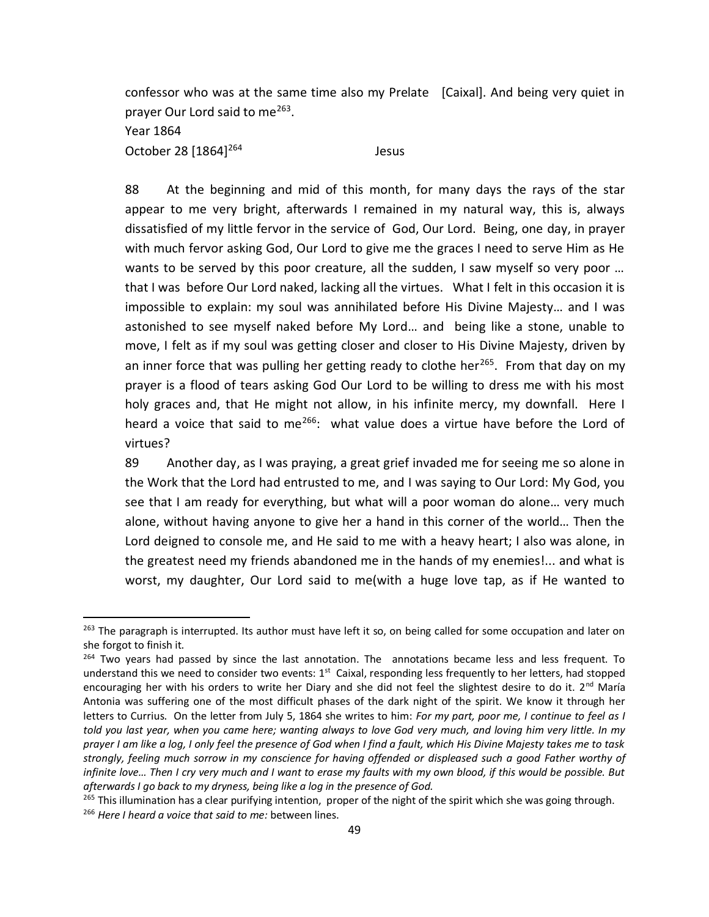confessor who was at the same time also my Prelate [Caixal]. And being very quiet in prayer Our Lord said to me<sup>263</sup>.

Year 1864

 $\overline{a}$ 

October 28 [1864]<sup>264</sup> Jesus

88 At the beginning and mid of this month, for many days the rays of the star appear to me very bright, afterwards I remained in my natural way, this is, always dissatisfied of my little fervor in the service of God, Our Lord. Being, one day, in prayer with much fervor asking God, Our Lord to give me the graces I need to serve Him as He wants to be served by this poor creature, all the sudden, I saw myself so very poor ... that I was before Our Lord naked, lacking all the virtues. What I felt in this occasion it is impossible to explain: my soul was annihilated before His Divine Majesty… and I was astonished to see myself naked before My Lord… and being like a stone, unable to move, I felt as if my soul was getting closer and closer to His Divine Majesty, driven by an inner force that was pulling her getting ready to clothe her<sup>265</sup>. From that day on my prayer is a flood of tears asking God Our Lord to be willing to dress me with his most holy graces and, that He might not allow, in his infinite mercy, my downfall. Here I heard a voice that said to me<sup>266</sup>: what value does a virtue have before the Lord of virtues?

89 Another day, as I was praying, a great grief invaded me for seeing me so alone in the Work that the Lord had entrusted to me, and I was saying to Our Lord: My God, you see that I am ready for everything, but what will a poor woman do alone… very much alone, without having anyone to give her a hand in this corner of the world… Then the Lord deigned to console me, and He said to me with a heavy heart; I also was alone, in the greatest need my friends abandoned me in the hands of my enemies!... and what is worst, my daughter, Our Lord said to me(with a huge love tap, as if He wanted to

<sup>&</sup>lt;sup>263</sup> The paragraph is interrupted. Its author must have left it so, on being called for some occupation and later on she forgot to finish it.

 $264$  Two years had passed by since the last annotation. The annotations became less and less frequent. To understand this we need to consider two events: 1<sup>st</sup> Caixal, responding less frequently to her letters, had stopped encouraging her with his orders to write her Diary and she did not feel the slightest desire to do it.  $2^{nd}$  María Antonia was suffering one of the most difficult phases of the dark night of the spirit. We know it through her letters to Currius. On the letter from July 5, 1864 she writes to him: *For my part, poor me, I continue to feel as I told you last year, when you came here; wanting always to love God very much, and loving him very little. In my prayer I am like a log, I only feel the presence of God when I find a fault, which His Divine Majesty takes me to task strongly, feeling much sorrow in my conscience for having offended or displeased such a good Father worthy of infinite love… Then I cry very much and I want to erase my faults with my own blood, if this would be possible. But afterwards I go back to my dryness, being like a log in the presence of God.*

<sup>&</sup>lt;sup>265</sup> This illumination has a clear purifying intention, proper of the night of the spirit which she was going through. <sup>266</sup> *Here I heard a voice that said to me:* between lines.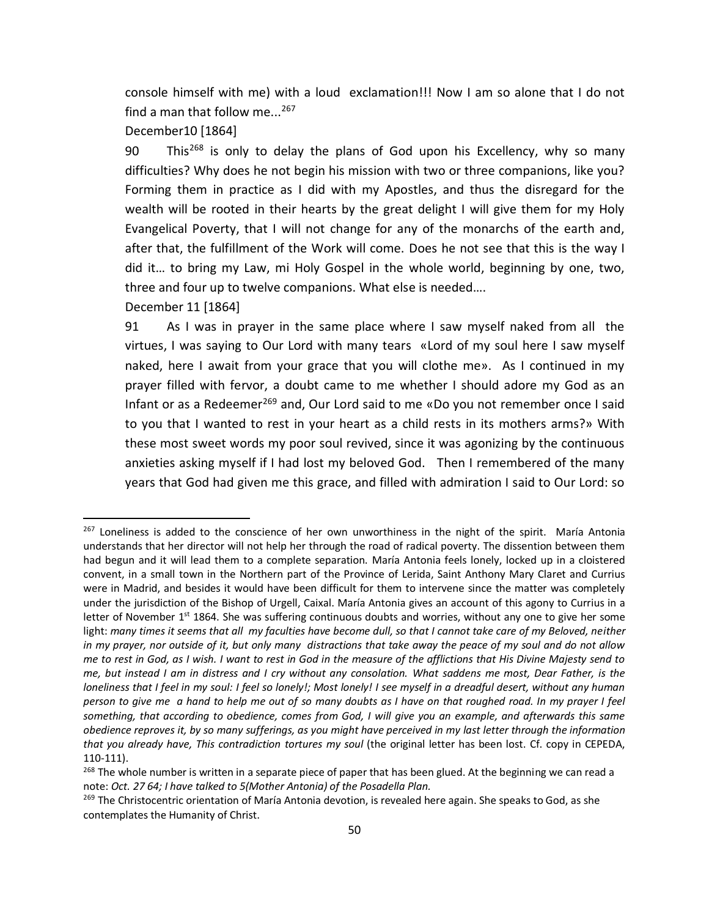console himself with me) with a loud exclamation!!! Now I am so alone that I do not find a man that follow me...<sup>267</sup>

December10 [1864]

90 This<sup>268</sup> is only to delay the plans of God upon his Excellency, why so many difficulties? Why does he not begin his mission with two or three companions, like you? Forming them in practice as I did with my Apostles, and thus the disregard for the wealth will be rooted in their hearts by the great delight I will give them for my Holy Evangelical Poverty, that I will not change for any of the monarchs of the earth and, after that, the fulfillment of the Work will come. Does he not see that this is the way I did it… to bring my Law, mi Holy Gospel in the whole world, beginning by one, two, three and four up to twelve companions. What else is needed….

December 11 [1864]

 $\overline{a}$ 

91 As I was in prayer in the same place where I saw myself naked from all the virtues, I was saying to Our Lord with many tears «Lord of my soul here I saw myself naked, here I await from your grace that you will clothe me». As I continued in my prayer filled with fervor, a doubt came to me whether I should adore my God as an Infant or as a Redeemer<sup>269</sup> and, Our Lord said to me «Do you not remember once I said to you that I wanted to rest in your heart as a child rests in its mothers arms?» With these most sweet words my poor soul revived, since it was agonizing by the continuous anxieties asking myself if I had lost my beloved God. Then I remembered of the many years that God had given me this grace, and filled with admiration I said to Our Lord: so

<sup>&</sup>lt;sup>267</sup> Loneliness is added to the conscience of her own unworthiness in the night of the spirit. María Antonia understands that her director will not help her through the road of radical poverty. The dissention between them had begun and it will lead them to a complete separation. María Antonia feels lonely, locked up in a cloistered convent, in a small town in the Northern part of the Province of Lerida, Saint Anthony Mary Claret and Currius were in Madrid, and besides it would have been difficult for them to intervene since the matter was completely under the jurisdiction of the Bishop of Urgell, Caixal. María Antonia gives an account of this agony to Currius in a letter of November 1<sup>st</sup> 1864. She was suffering continuous doubts and worries, without any one to give her some light: many times it seems that all my faculties have become dull, so that I cannot take care of my Beloved, neither *in my prayer, nor outside of it, but only many distractions that take away the peace of my soul and do not allow me to rest in God, as I wish. I want to rest in God in the measure of the afflictions that His Divine Majesty send to me, but instead I am in distress and I cry without any consolation. What saddens me most, Dear Father, is the loneliness that I feel in my soul: I feel so lonely!; Most lonely! I see myself in a dreadful desert, without any human person to give me a hand to help me out of so many doubts as I have on that roughed road. In my prayer I feel something, that according to obedience, comes from God, I will give you an example, and afterwards this same obedience reproves it, by so many sufferings, as you might have perceived in my last letter through the information that you already have, This contradiction tortures my soul* (the original letter has been lost. Cf. copy in CEPEDA, 110-111).

<sup>&</sup>lt;sup>268</sup> The whole number is written in a separate piece of paper that has been glued. At the beginning we can read a note: *Oct. 27 64; I have talked to 5(Mother Antonia) of the Posadella Plan.* 

<sup>&</sup>lt;sup>269</sup> The Christocentric orientation of María Antonia devotion, is revealed here again. She speaks to God, as she contemplates the Humanity of Christ.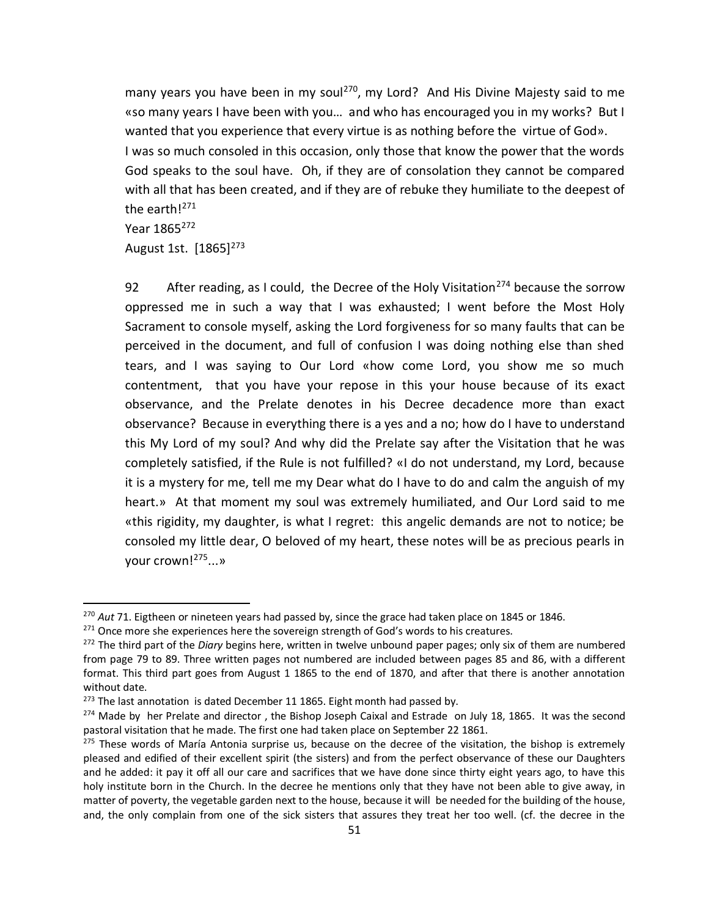many years you have been in my soul<sup>270</sup>, my Lord? And His Divine Majesty said to me «so many years I have been with you… and who has encouraged you in my works? But I wanted that you experience that every virtue is as nothing before the virtue of God». I was so much consoled in this occasion, only those that know the power that the words God speaks to the soul have. Oh, if they are of consolation they cannot be compared with all that has been created, and if they are of rebuke they humiliate to the deepest of the earth!<sup>271</sup>

# Year 1865<sup>272</sup>

 $\overline{a}$ 

August 1st. [1865]<sup>273</sup>

92 After reading, as I could, the Decree of the Holy Visitation<sup>274</sup> because the sorrow oppressed me in such a way that I was exhausted; I went before the Most Holy Sacrament to console myself, asking the Lord forgiveness for so many faults that can be perceived in the document, and full of confusion I was doing nothing else than shed tears, and I was saying to Our Lord «how come Lord, you show me so much contentment, that you have your repose in this your house because of its exact observance, and the Prelate denotes in his Decree decadence more than exact observance? Because in everything there is a yes and a no; how do I have to understand this My Lord of my soul? And why did the Prelate say after the Visitation that he was completely satisfied, if the Rule is not fulfilled? «I do not understand, my Lord, because it is a mystery for me, tell me my Dear what do I have to do and calm the anguish of my heart.» At that moment my soul was extremely humiliated, and Our Lord said to me «this rigidity, my daughter, is what I regret: this angelic demands are not to notice; be consoled my little dear, O beloved of my heart, these notes will be as precious pearls in your crown!<sup>275</sup>...»

<sup>270</sup> *Aut* 71. Eigtheen or nineteen years had passed by, since the grace had taken place on 1845 or 1846.

<sup>&</sup>lt;sup>271</sup> Once more she experiences here the sovereign strength of God's words to his creatures.

<sup>272</sup> The third part of the *Diary* begins here, written in twelve unbound paper pages; only six of them are numbered from page 79 to 89. Three written pages not numbered are included between pages 85 and 86, with a different format. This third part goes from August 1 1865 to the end of 1870, and after that there is another annotation without date.

 $273$  The last annotation is dated December 11 1865. Eight month had passed by.

 $^{274}$  Made by her Prelate and director, the Bishop Joseph Caixal and Estrade on July 18, 1865. It was the second pastoral visitation that he made. The first one had taken place on September 22 1861.

 $275$  These words of María Antonia surprise us, because on the decree of the visitation, the bishop is extremely pleased and edified of their excellent spirit (the sisters) and from the perfect observance of these our Daughters and he added: it pay it off all our care and sacrifices that we have done since thirty eight years ago, to have this holy institute born in the Church. In the decree he mentions only that they have not been able to give away, in matter of poverty, the vegetable garden next to the house, because it will be needed for the building of the house, and, the only complain from one of the sick sisters that assures they treat her too well. (cf. the decree in the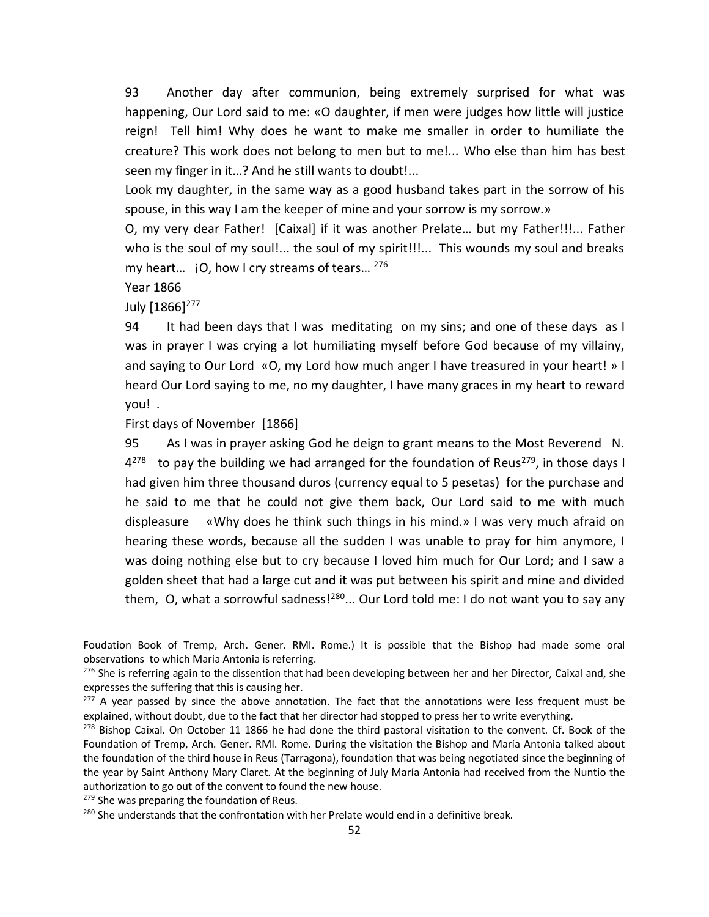93 Another day after communion, being extremely surprised for what was happening, Our Lord said to me: «O daughter, if men were judges how little will justice reign! Tell him! Why does he want to make me smaller in order to humiliate the creature? This work does not belong to men but to me!... Who else than him has best seen my finger in it…? And he still wants to doubt!...

Look my daughter, in the same way as a good husband takes part in the sorrow of his spouse, in this way I am the keeper of mine and your sorrow is my sorrow.»

O, my very dear Father! [Caixal] if it was another Prelate… but my Father!!!... Father who is the soul of my soul!... the soul of my spirit!!!... This wounds my soul and breaks my heart...  $\,$  iO, how I cry streams of tears...  $^{276}$ 

Year 1866

 $\overline{\phantom{a}}$ 

July [1866]<sup>277</sup>

94 It had been days that I was meditating on my sins; and one of these days as I was in prayer I was crying a lot humiliating myself before God because of my villainy, and saying to Our Lord «O, my Lord how much anger I have treasured in your heart! » I heard Our Lord saying to me, no my daughter, I have many graces in my heart to reward you! .

First days of November [1866]

95 As I was in prayer asking God he deign to grant means to the Most Reverend N.  $4^{278}$ to pay the building we had arranged for the foundation of Reus<sup>279</sup>, in those days I had given him three thousand duros (currency equal to 5 pesetas) for the purchase and he said to me that he could not give them back, Our Lord said to me with much displeasure «Why does he think such things in his mind.» I was very much afraid on hearing these words, because all the sudden I was unable to pray for him anymore, I was doing nothing else but to cry because I loved him much for Our Lord; and I saw a golden sheet that had a large cut and it was put between his spirit and mine and divided them, O, what a sorrowful sadness! $280...$  Our Lord told me: I do not want you to say any

 $279$  She was preparing the foundation of Reus.

Foudation Book of Tremp, Arch. Gener. RMI. Rome.) It is possible that the Bishop had made some oral observations to which Maria Antonia is referring.

 $276$  She is referring again to the dissention that had been developing between her and her Director, Caixal and, she expresses the suffering that this is causing her.

 $277$  A year passed by since the above annotation. The fact that the annotations were less frequent must be explained, without doubt, due to the fact that her director had stopped to press her to write everything.

<sup>&</sup>lt;sup>278</sup> Bishop Caixal. On October 11 1866 he had done the third pastoral visitation to the convent. Cf. Book of the Foundation of Tremp, Arch. Gener. RMI. Rome. During the visitation the Bishop and María Antonia talked about the foundation of the third house in Reus (Tarragona), foundation that was being negotiated since the beginning of the year by Saint Anthony Mary Claret. At the beginning of July María Antonia had received from the Nuntio the authorization to go out of the convent to found the new house.

<sup>&</sup>lt;sup>280</sup> She understands that the confrontation with her Prelate would end in a definitive break.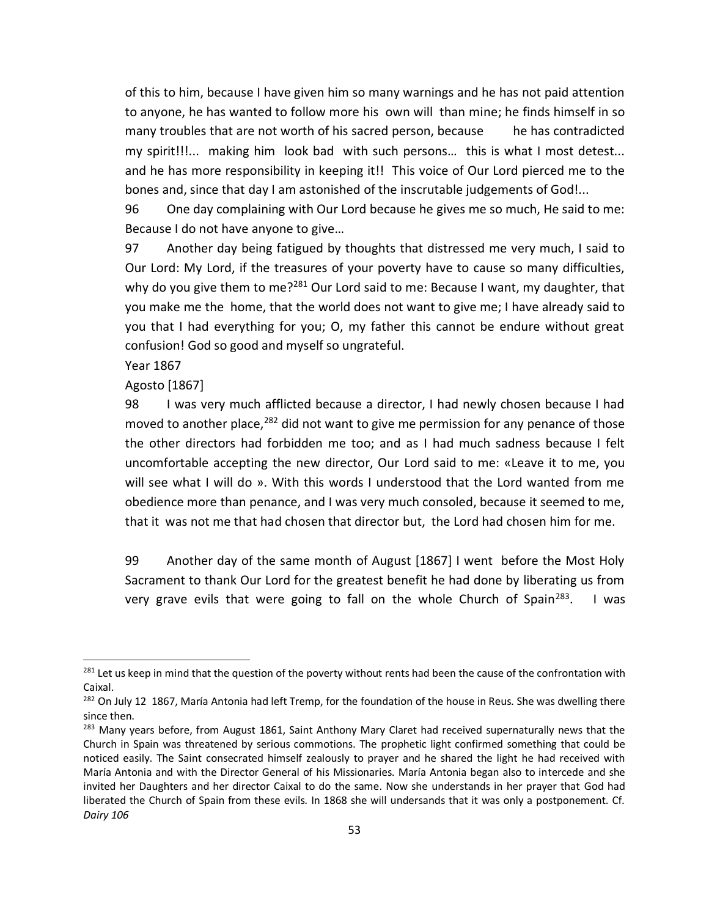of this to him, because I have given him so many warnings and he has not paid attention to anyone, he has wanted to follow more his own will than mine; he finds himself in so many troubles that are not worth of his sacred person, because he has contradicted my spirit!!!... making him look bad with such persons… this is what I most detest... and he has more responsibility in keeping it!! This voice of Our Lord pierced me to the bones and, since that day I am astonished of the inscrutable judgements of God!...

96 One day complaining with Our Lord because he gives me so much, He said to me: Because I do not have anyone to give…

97 Another day being fatigued by thoughts that distressed me very much, I said to Our Lord: My Lord, if the treasures of your poverty have to cause so many difficulties, why do you give them to me?<sup>281</sup> Our Lord said to me: Because I want, my daughter, that you make me the home, that the world does not want to give me; I have already said to you that I had everything for you; O, my father this cannot be endure without great confusion! God so good and myself so ungrateful.

Year 1867

 $\overline{a}$ 

Agosto [1867]

98 I was very much afflicted because a director, I had newly chosen because I had moved to another place,  $282$  did not want to give me permission for any penance of those the other directors had forbidden me too; and as I had much sadness because I felt uncomfortable accepting the new director, Our Lord said to me: «Leave it to me, you will see what I will do ». With this words I understood that the Lord wanted from me obedience more than penance, and I was very much consoled, because it seemed to me, that it was not me that had chosen that director but, the Lord had chosen him for me.

99 Another day of the same month of August [1867] I went before the Most Holy Sacrament to thank Our Lord for the greatest benefit he had done by liberating us from very grave evils that were going to fall on the whole Church of Spain<sup>283</sup>. I was

<sup>&</sup>lt;sup>281</sup> Let us keep in mind that the question of the poverty without rents had been the cause of the confrontation with Caixal.

<sup>&</sup>lt;sup>282</sup> On July 12 1867, María Antonia had left Tremp, for the foundation of the house in Reus. She was dwelling there since then.

<sup>&</sup>lt;sup>283</sup> Many years before, from August 1861, Saint Anthony Mary Claret had received supernaturally news that the Church in Spain was threatened by serious commotions. The prophetic light confirmed something that could be noticed easily. The Saint consecrated himself zealously to prayer and he shared the light he had received with María Antonia and with the Director General of his Missionaries. María Antonia began also to intercede and she invited her Daughters and her director Caixal to do the same. Now she understands in her prayer that God had liberated the Church of Spain from these evils. In 1868 she will undersands that it was only a postponement. Cf. *Dairy 106*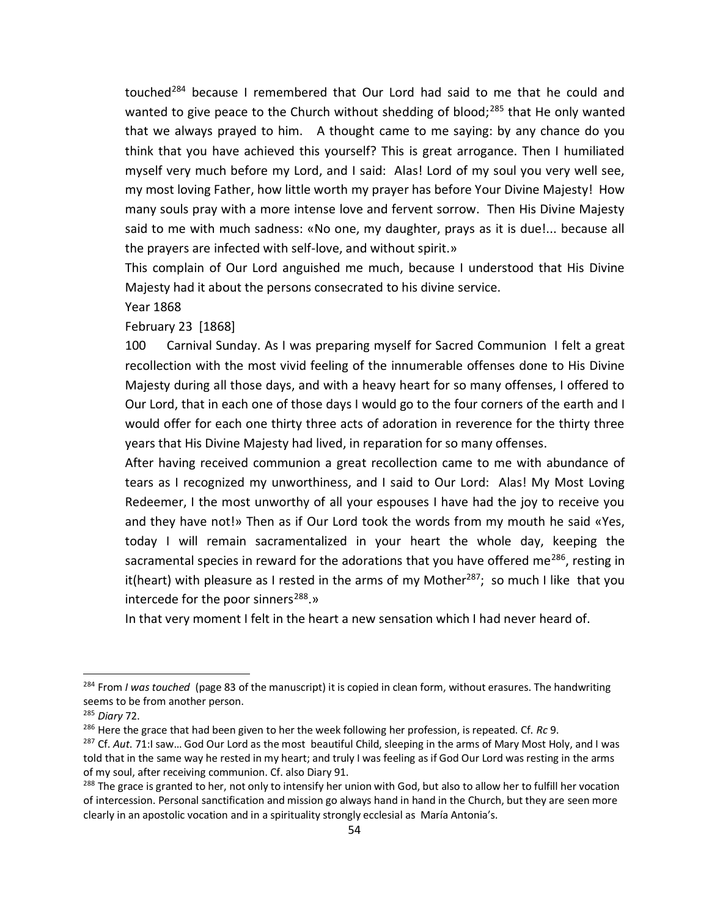touched<sup>284</sup> because I remembered that Our Lord had said to me that he could and wanted to give peace to the Church without shedding of blood;<sup>285</sup> that He only wanted that we always prayed to him. A thought came to me saying: by any chance do you think that you have achieved this yourself? This is great arrogance. Then I humiliated myself very much before my Lord, and I said: Alas! Lord of my soul you very well see, my most loving Father, how little worth my prayer has before Your Divine Majesty! How many souls pray with a more intense love and fervent sorrow. Then His Divine Majesty said to me with much sadness: «No one, my daughter, prays as it is due!... because all the prayers are infected with self-love, and without spirit.»

This complain of Our Lord anguished me much, because I understood that His Divine Majesty had it about the persons consecrated to his divine service.

Year 1868

February 23 [1868]

100 Carnival Sunday. As I was preparing myself for Sacred Communion I felt a great recollection with the most vivid feeling of the innumerable offenses done to His Divine Majesty during all those days, and with a heavy heart for so many offenses, I offered to Our Lord, that in each one of those days I would go to the four corners of the earth and I would offer for each one thirty three acts of adoration in reverence for the thirty three years that His Divine Majesty had lived, in reparation for so many offenses.

After having received communion a great recollection came to me with abundance of tears as I recognized my unworthiness, and I said to Our Lord: Alas! My Most Loving Redeemer, I the most unworthy of all your espouses I have had the joy to receive you and they have not!» Then as if Our Lord took the words from my mouth he said «Yes, today I will remain sacramentalized in your heart the whole day, keeping the sacramental species in reward for the adorations that you have offered me<sup>286</sup>, resting in it(heart) with pleasure as I rested in the arms of my Mother<sup>287</sup>; so much I like that you intercede for the poor sinners $^{288}$ .»

In that very moment I felt in the heart a new sensation which I had never heard of.

<sup>284</sup> From *I was touched* (page 83 of the manuscript) it is copied in clean form, without erasures. The handwriting seems to be from another person.

<sup>285</sup> *Diary* 72.

<sup>286</sup> Here the grace that had been given to her the week following her profession, is repeated. Cf. *Rc* 9.

<sup>287</sup> Cf. *Aut*. 71:I saw… God Our Lord as the most beautiful Child, sleeping in the arms of Mary Most Holy, and I was told that in the same way he rested in my heart; and truly I was feeling as if God Our Lord was resting in the arms of my soul, after receiving communion. Cf. also Diary 91.

<sup>&</sup>lt;sup>288</sup> The grace is granted to her, not only to intensify her union with God, but also to allow her to fulfill her vocation of intercession. Personal sanctification and mission go always hand in hand in the Church, but they are seen more clearly in an apostolic vocation and in a spirituality strongly ecclesial as María Antonia's.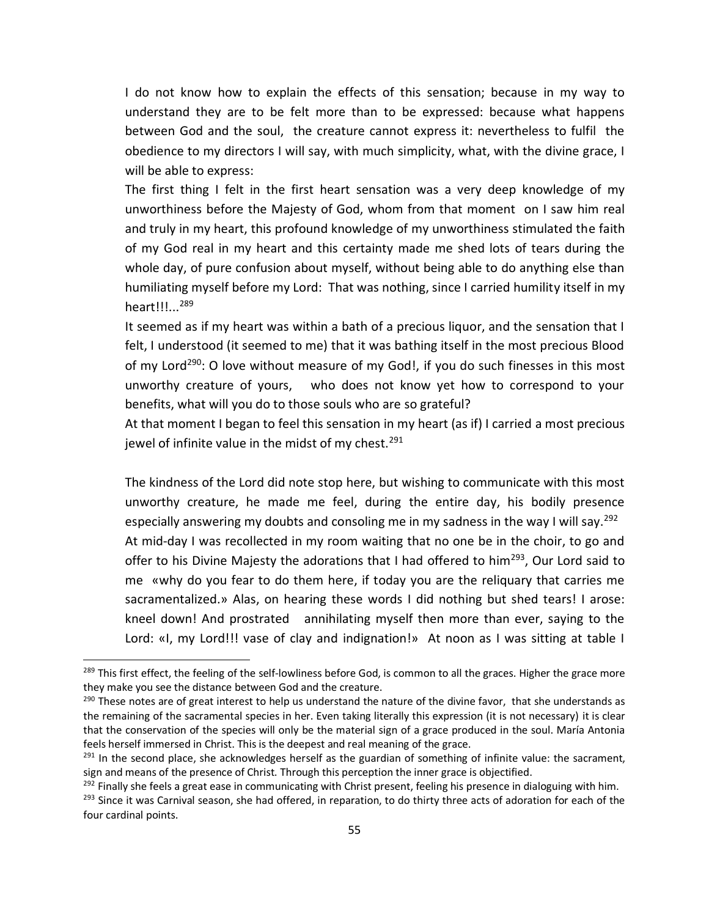I do not know how to explain the effects of this sensation; because in my way to understand they are to be felt more than to be expressed: because what happens between God and the soul, the creature cannot express it: nevertheless to fulfil the obedience to my directors I will say, with much simplicity, what, with the divine grace, I will be able to express:

The first thing I felt in the first heart sensation was a very deep knowledge of my unworthiness before the Majesty of God, whom from that moment on I saw him real and truly in my heart, this profound knowledge of my unworthiness stimulated the faith of my God real in my heart and this certainty made me shed lots of tears during the whole day, of pure confusion about myself, without being able to do anything else than humiliating myself before my Lord: That was nothing, since I carried humility itself in my heart!!!...<sup>289</sup>

It seemed as if my heart was within a bath of a precious liquor, and the sensation that I felt, I understood (it seemed to me) that it was bathing itself in the most precious Blood of my Lord<sup>290</sup>: O love without measure of my God!, if you do such finesses in this most unworthy creature of yours, who does not know yet how to correspond to your benefits, what will you do to those souls who are so grateful?

At that moment I began to feel this sensation in my heart (as if) I carried a most precious jewel of infinite value in the midst of my chest.<sup>291</sup>

The kindness of the Lord did note stop here, but wishing to communicate with this most unworthy creature, he made me feel, during the entire day, his bodily presence especially answering my doubts and consoling me in my sadness in the way I will say.<sup>292</sup> At mid-day I was recollected in my room waiting that no one be in the choir, to go and offer to his Divine Majesty the adorations that I had offered to him<sup>293</sup>, Our Lord said to me «why do you fear to do them here, if today you are the reliquary that carries me sacramentalized.» Alas, on hearing these words I did nothing but shed tears! I arose: kneel down! And prostrated annihilating myself then more than ever, saying to the Lord: «I, my Lord!!! vase of clay and indignation!» At noon as I was sitting at table I

<sup>&</sup>lt;sup>289</sup> This first effect, the feeling of the self-lowliness before God, is common to all the graces. Higher the grace more they make you see the distance between God and the creature.

 $290$  These notes are of great interest to help us understand the nature of the divine favor, that she understands as the remaining of the sacramental species in her. Even taking literally this expression (it is not necessary) it is clear that the conservation of the species will only be the material sign of a grace produced in the soul. María Antonia feels herself immersed in Christ. This is the deepest and real meaning of the grace.

 $^{291}$  In the second place, she acknowledges herself as the guardian of something of infinite value: the sacrament, sign and means of the presence of Christ. Through this perception the inner grace is objectified.

 $^{292}$  Finally she feels a great ease in communicating with Christ present, feeling his presence in dialoguing with him. <sup>293</sup> Since it was Carnival season, she had offered, in reparation, to do thirty three acts of adoration for each of the four cardinal points.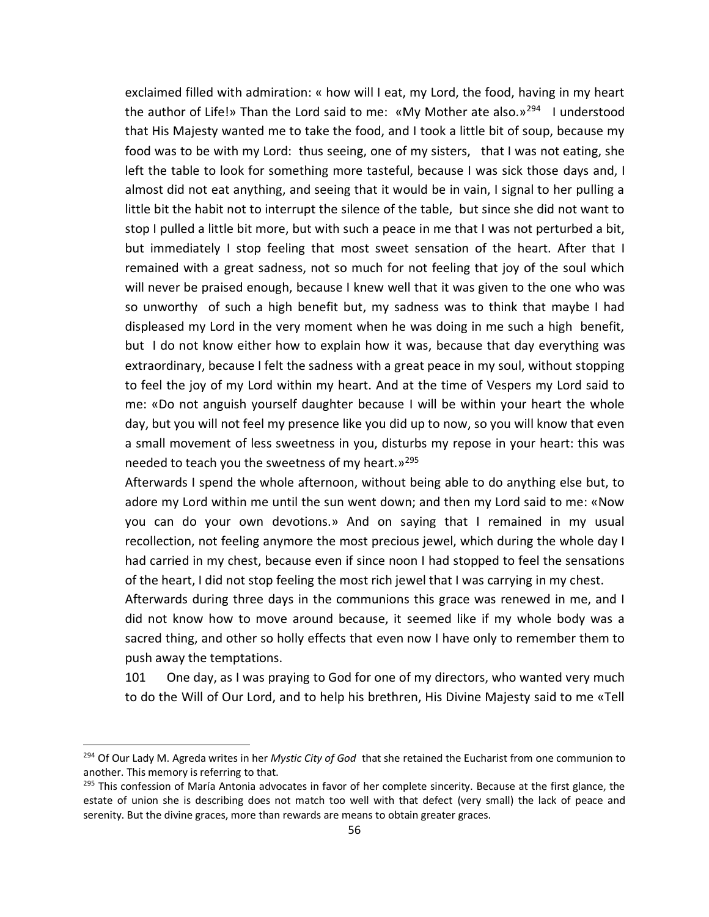exclaimed filled with admiration: « how will I eat, my Lord, the food, having in my heart the author of Life!» Than the Lord said to me: «My Mother ate also.»<sup>294</sup> I understood that His Majesty wanted me to take the food, and I took a little bit of soup, because my food was to be with my Lord: thus seeing, one of my sisters, that I was not eating, she left the table to look for something more tasteful, because I was sick those days and, I almost did not eat anything, and seeing that it would be in vain, I signal to her pulling a little bit the habit not to interrupt the silence of the table, but since she did not want to stop I pulled a little bit more, but with such a peace in me that I was not perturbed a bit, but immediately I stop feeling that most sweet sensation of the heart. After that I remained with a great sadness, not so much for not feeling that joy of the soul which will never be praised enough, because I knew well that it was given to the one who was so unworthy of such a high benefit but, my sadness was to think that maybe I had displeased my Lord in the very moment when he was doing in me such a high benefit, but I do not know either how to explain how it was, because that day everything was extraordinary, because I felt the sadness with a great peace in my soul, without stopping to feel the joy of my Lord within my heart. And at the time of Vespers my Lord said to me: «Do not anguish yourself daughter because I will be within your heart the whole day, but you will not feel my presence like you did up to now, so you will know that even a small movement of less sweetness in you, disturbs my repose in your heart: this was needed to teach you the sweetness of my heart. $v^{295}$ 

Afterwards I spend the whole afternoon, without being able to do anything else but, to adore my Lord within me until the sun went down; and then my Lord said to me: «Now you can do your own devotions.» And on saying that I remained in my usual recollection, not feeling anymore the most precious jewel, which during the whole day I had carried in my chest, because even if since noon I had stopped to feel the sensations of the heart, I did not stop feeling the most rich jewel that I was carrying in my chest.

Afterwards during three days in the communions this grace was renewed in me, and I did not know how to move around because, it seemed like if my whole body was a sacred thing, and other so holly effects that even now I have only to remember them to push away the temptations.

101 One day, as I was praying to God for one of my directors, who wanted very much to do the Will of Our Lord, and to help his brethren, His Divine Majesty said to me «Tell

<sup>294</sup> Of Our Lady M. Agreda writes in her *Mystic City of God* that she retained the Eucharist from one communion to another. This memory is referring to that.

<sup>&</sup>lt;sup>295</sup> This confession of María Antonia advocates in favor of her complete sincerity. Because at the first glance, the estate of union she is describing does not match too well with that defect (very small) the lack of peace and serenity. But the divine graces, more than rewards are means to obtain greater graces.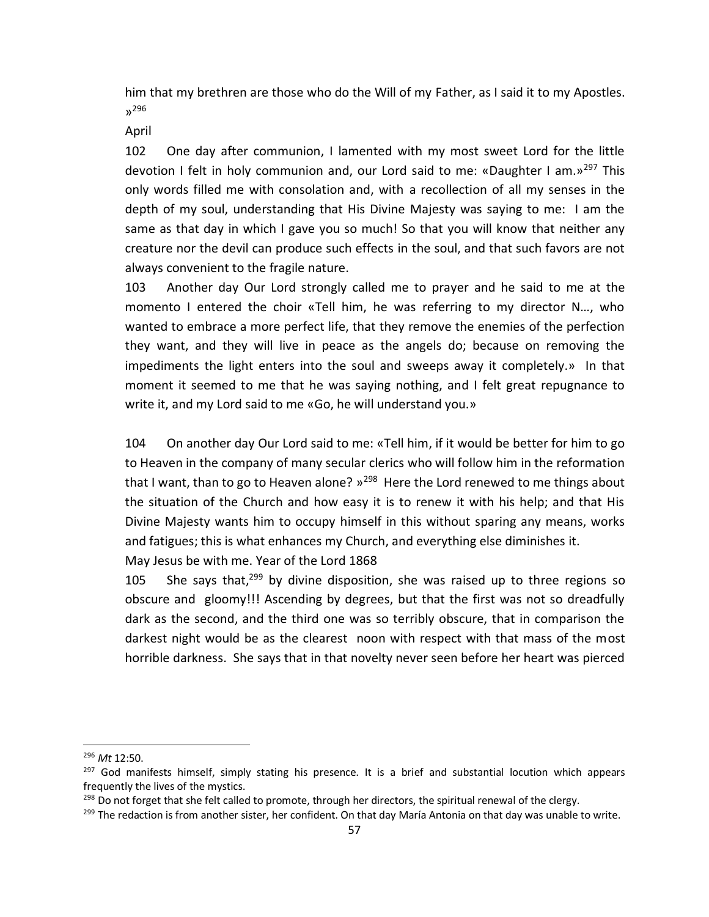him that my brethren are those who do the Will of my Father, as I said it to my Apostles. » 296

April

102 One day after communion, I lamented with my most sweet Lord for the little devotion I felt in holy communion and, our Lord said to me: «Daughter I am.»<sup>297</sup> This only words filled me with consolation and, with a recollection of all my senses in the depth of my soul, understanding that His Divine Majesty was saying to me: I am the same as that day in which I gave you so much! So that you will know that neither any creature nor the devil can produce such effects in the soul, and that such favors are not always convenient to the fragile nature.

103 Another day Our Lord strongly called me to prayer and he said to me at the momento I entered the choir «Tell him, he was referring to my director N…, who wanted to embrace a more perfect life, that they remove the enemies of the perfection they want, and they will live in peace as the angels do; because on removing the impediments the light enters into the soul and sweeps away it completely.» In that moment it seemed to me that he was saying nothing, and I felt great repugnance to write it, and my Lord said to me «Go, he will understand you.»

104 On another day Our Lord said to me: «Tell him, if it would be better for him to go to Heaven in the company of many secular clerics who will follow him in the reformation that I want, than to go to Heaven alone? »<sup>298</sup> Here the Lord renewed to me things about the situation of the Church and how easy it is to renew it with his help; and that His Divine Majesty wants him to occupy himself in this without sparing any means, works and fatigues; this is what enhances my Church, and everything else diminishes it.

May Jesus be with me. Year of the Lord 1868

105 She says that, $299$  by divine disposition, she was raised up to three regions so obscure and gloomy!!! Ascending by degrees, but that the first was not so dreadfully dark as the second, and the third one was so terribly obscure, that in comparison the darkest night would be as the clearest noon with respect with that mass of the most horrible darkness. She says that in that novelty never seen before her heart was pierced

<sup>296</sup> *Mt* 12:50.

<sup>&</sup>lt;sup>297</sup> God manifests himself, simply stating his presence. It is a brief and substantial locution which appears frequently the lives of the mystics.

 $^{298}$  Do not forget that she felt called to promote, through her directors, the spiritual renewal of the clergy.

<sup>&</sup>lt;sup>299</sup> The redaction is from another sister, her confident. On that day María Antonia on that day was unable to write.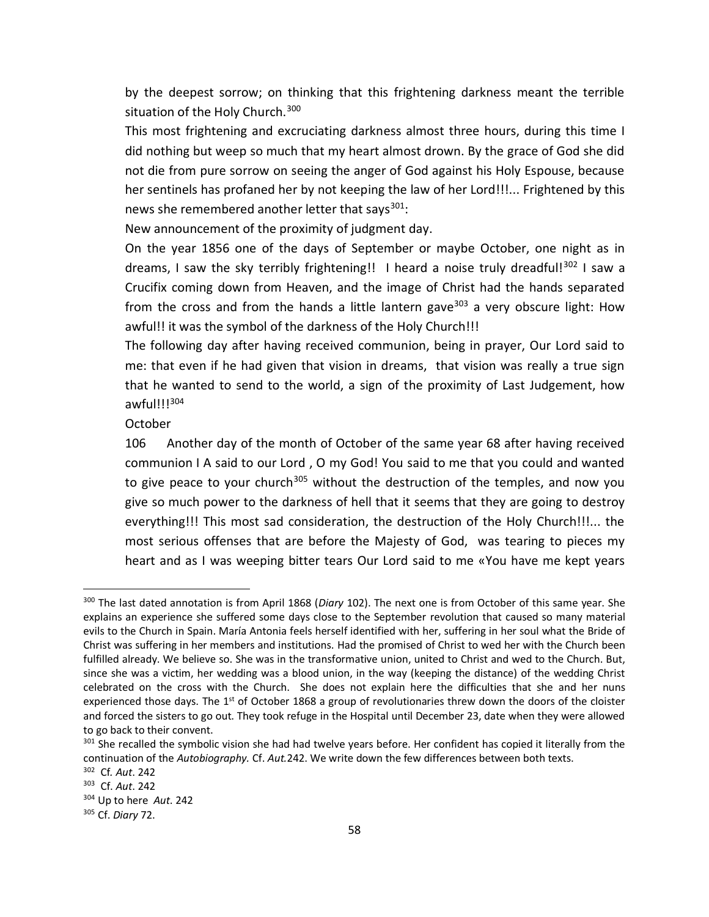by the deepest sorrow; on thinking that this frightening darkness meant the terrible situation of the Holy Church.<sup>300</sup>

This most frightening and excruciating darkness almost three hours, during this time I did nothing but weep so much that my heart almost drown. By the grace of God she did not die from pure sorrow on seeing the anger of God against his Holy Espouse, because her sentinels has profaned her by not keeping the law of her Lord!!!... Frightened by this news she remembered another letter that says $301$ :

New announcement of the proximity of judgment day.

On the year 1856 one of the days of September or maybe October, one night as in dreams, I saw the sky terribly frightening!! I heard a noise truly dreadful!<sup>302</sup> I saw a Crucifix coming down from Heaven, and the image of Christ had the hands separated from the cross and from the hands a little lantern gave<sup>303</sup> a very obscure light: How awful!! it was the symbol of the darkness of the Holy Church!!!

The following day after having received communion, being in prayer, Our Lord said to me: that even if he had given that vision in dreams, that vision was really a true sign that he wanted to send to the world, a sign of the proximity of Last Judgement, how awful!!!<sup>304</sup>

**October** 

106 Another day of the month of October of the same year 68 after having received communion I A said to our Lord , O my God! You said to me that you could and wanted to give peace to your church<sup>305</sup> without the destruction of the temples, and now you give so much power to the darkness of hell that it seems that they are going to destroy everything!!! This most sad consideration, the destruction of the Holy Church!!!... the most serious offenses that are before the Majesty of God, was tearing to pieces my heart and as I was weeping bitter tears Our Lord said to me «You have me kept years

<sup>300</sup> The last dated annotation is from April 1868 (*Diary* 102). The next one is from October of this same year. She explains an experience she suffered some days close to the September revolution that caused so many material evils to the Church in Spain. María Antonia feels herself identified with her, suffering in her soul what the Bride of Christ was suffering in her members and institutions. Had the promised of Christ to wed her with the Church been fulfilled already. We believe so. She was in the transformative union, united to Christ and wed to the Church. But, since she was a victim, her wedding was a blood union, in the way (keeping the distance) of the wedding Christ celebrated on the cross with the Church. She does not explain here the difficulties that she and her nuns experienced those days. The 1<sup>st</sup> of October 1868 a group of revolutionaries threw down the doors of the cloister and forced the sisters to go out. They took refuge in the Hospital until December 23, date when they were allowed to go back to their convent.

<sup>&</sup>lt;sup>301</sup> She recalled the symbolic vision she had had twelve years before. Her confident has copied it literally from the continuation of the *Autobiography.* Cf. *Aut.*242. We write down the few differences between both texts.

<sup>302</sup> Cf*. Aut*. 242

<sup>303</sup> Cf. *Aut*. 242

<sup>304</sup> Up to here *Aut*. 242

<sup>305</sup> Cf. *Diary* 72.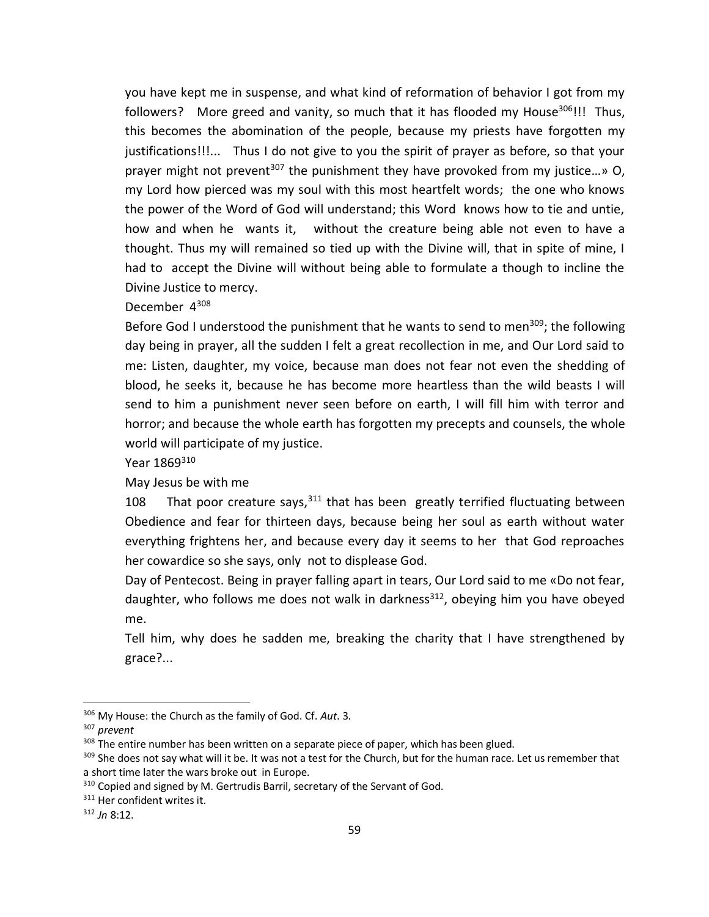you have kept me in suspense, and what kind of reformation of behavior I got from my followers? More greed and vanity, so much that it has flooded my House<sup>306</sup>!!! Thus, this becomes the abomination of the people, because my priests have forgotten my justifications!!!... Thus I do not give to you the spirit of prayer as before, so that your prayer might not prevent<sup>307</sup> the punishment they have provoked from my justice...» O, my Lord how pierced was my soul with this most heartfelt words; the one who knows the power of the Word of God will understand; this Word knows how to tie and untie, how and when he wants it, without the creature being able not even to have a thought. Thus my will remained so tied up with the Divine will, that in spite of mine, I had to accept the Divine will without being able to formulate a though to incline the Divine Justice to mercy.

December 4<sup>308</sup>

Before God I understood the punishment that he wants to send to men<sup>309</sup>; the following day being in prayer, all the sudden I felt a great recollection in me, and Our Lord said to me: Listen, daughter, my voice, because man does not fear not even the shedding of blood, he seeks it, because he has become more heartless than the wild beasts I will send to him a punishment never seen before on earth, I will fill him with terror and horror; and because the whole earth has forgotten my precepts and counsels, the whole world will participate of my justice.

Year 1869<sup>310</sup>

May Jesus be with me

108 That poor creature says,  $311$  that has been greatly terrified fluctuating between Obedience and fear for thirteen days, because being her soul as earth without water everything frightens her, and because every day it seems to her that God reproaches her cowardice so she says, only not to displease God.

Day of Pentecost. Being in prayer falling apart in tears, Our Lord said to me «Do not fear, daughter, who follows me does not walk in darkness $^{312}$ , obeying him you have obeyed me.

Tell him, why does he sadden me, breaking the charity that I have strengthened by grace?...

<sup>306</sup> My House: the Church as the family of God. Cf. *Aut*. 3.

<sup>307</sup> *prevent*

<sup>&</sup>lt;sup>308</sup> The entire number has been written on a separate piece of paper, which has been glued.

<sup>&</sup>lt;sup>309</sup> She does not say what will it be. It was not a test for the Church, but for the human race. Let us remember that a short time later the wars broke out in Europe.

<sup>&</sup>lt;sup>310</sup> Copied and signed by M. Gertrudis Barril, secretary of the Servant of God.

<sup>&</sup>lt;sup>311</sup> Her confident writes it.

<sup>312</sup> *Jn* 8:12.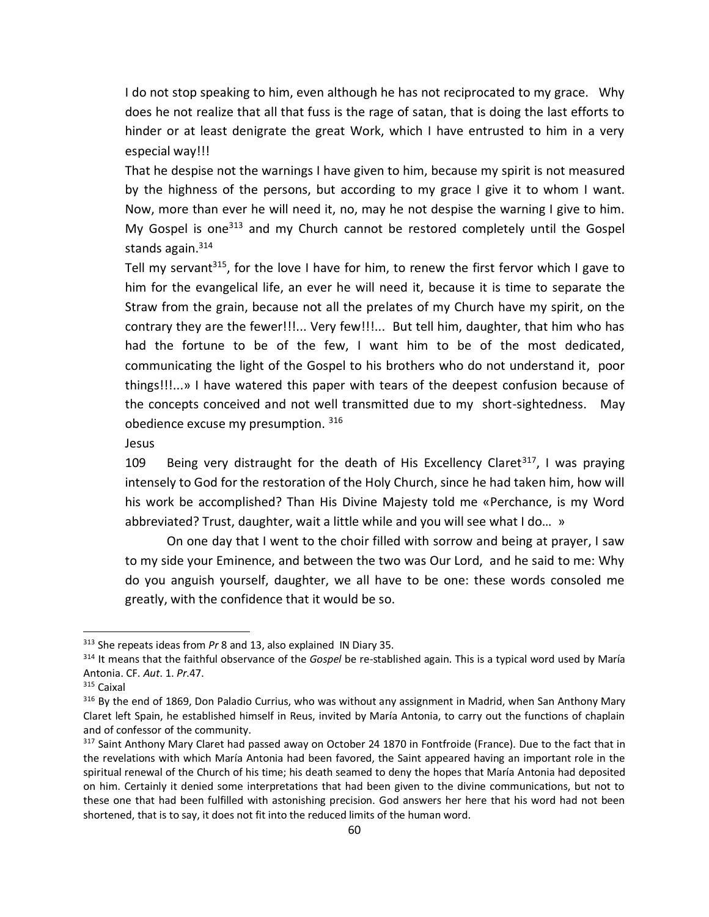I do not stop speaking to him, even although he has not reciprocated to my grace. Why does he not realize that all that fuss is the rage of satan, that is doing the last efforts to hinder or at least denigrate the great Work, which I have entrusted to him in a very especial way!!!

That he despise not the warnings I have given to him, because my spirit is not measured by the highness of the persons, but according to my grace I give it to whom I want. Now, more than ever he will need it, no, may he not despise the warning I give to him. My Gospel is one<sup>313</sup> and my Church cannot be restored completely until the Gospel stands again.<sup>314</sup>

Tell my servant<sup>315</sup>, for the love I have for him, to renew the first fervor which I gave to him for the evangelical life, an ever he will need it, because it is time to separate the Straw from the grain, because not all the prelates of my Church have my spirit, on the contrary they are the fewer!!!... Very few!!!... But tell him, daughter, that him who has had the fortune to be of the few, I want him to be of the most dedicated, communicating the light of the Gospel to his brothers who do not understand it, poor things!!!...» I have watered this paper with tears of the deepest confusion because of the concepts conceived and not well transmitted due to my short-sightedness. May obedience excuse my presumption. 316

Jesus

109 Being very distraught for the death of His Excellency Claret<sup>317</sup>, I was praying intensely to God for the restoration of the Holy Church, since he had taken him, how will his work be accomplished? Than His Divine Majesty told me «Perchance, is my Word abbreviated? Trust, daughter, wait a little while and you will see what I do… »

On one day that I went to the choir filled with sorrow and being at prayer, I saw to my side your Eminence, and between the two was Our Lord, and he said to me: Why do you anguish yourself, daughter, we all have to be one: these words consoled me greatly, with the confidence that it would be so.

<sup>313</sup> She repeats ideas from *Pr* 8 and 13, also explained IN Diary 35.

<sup>314</sup> It means that the faithful observance of the *Gospel* be re-stablished again. This is a typical word used by María Antonia. CF. *Aut*. 1. *Pr*.47.

<sup>315</sup> Caixal

<sup>&</sup>lt;sup>316</sup> By the end of 1869, Don Paladio Currius, who was without any assignment in Madrid, when San Anthony Mary Claret left Spain, he established himself in Reus, invited by María Antonia, to carry out the functions of chaplain and of confessor of the community.

<sup>&</sup>lt;sup>317</sup> Saint Anthony Mary Claret had passed away on October 24 1870 in Fontfroide (France). Due to the fact that in the revelations with which María Antonia had been favored, the Saint appeared having an important role in the spiritual renewal of the Church of his time; his death seamed to deny the hopes that María Antonia had deposited on him. Certainly it denied some interpretations that had been given to the divine communications, but not to these one that had been fulfilled with astonishing precision. God answers her here that his word had not been shortened, that is to say, it does not fit into the reduced limits of the human word.